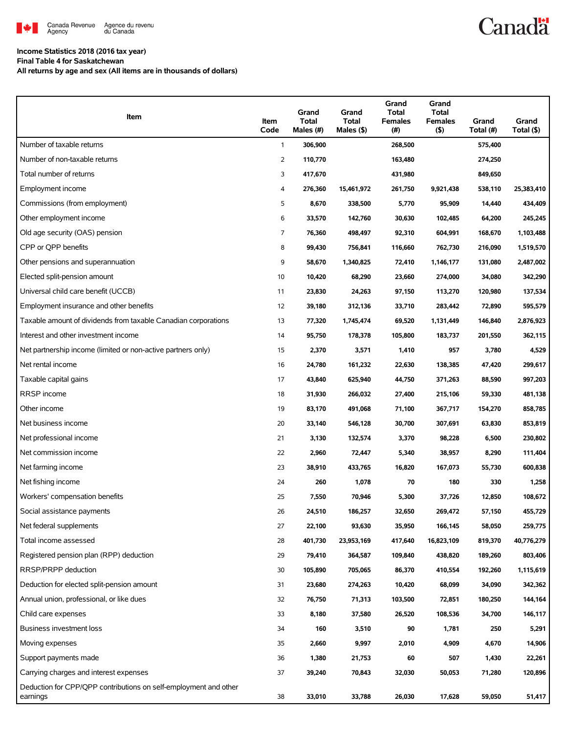

# **Canadä**

## **Income Statistics 2018 (2016 tax year)**

**Final Table 4 for Saskatchewan**

**All returns by age and sex (All items are in thousands of dollars)**

| Item                                                                         | Item<br>Code   | Grand<br><b>Total</b><br>Males (#) | Grand<br><b>Total</b><br>Males $($ \$) | Grand<br><b>Total</b><br><b>Females</b><br>(#) | Grand<br><b>Total</b><br><b>Females</b><br>$($ \$) | Grand<br>Total (#) | Grand<br>Total (\$) |
|------------------------------------------------------------------------------|----------------|------------------------------------|----------------------------------------|------------------------------------------------|----------------------------------------------------|--------------------|---------------------|
| Number of taxable returns                                                    | $\mathbf{1}$   | 306,900                            |                                        | 268,500                                        |                                                    | 575,400            |                     |
| Number of non-taxable returns                                                | $\overline{2}$ | 110,770                            |                                        | 163,480                                        |                                                    | 274,250            |                     |
| Total number of returns                                                      | 3              | 417,670                            |                                        | 431,980                                        |                                                    | 849,650            |                     |
| Employment income                                                            | 4              | 276,360                            | 15,461,972                             | 261,750                                        | 9,921,438                                          | 538,110            | 25,383,410          |
| Commissions (from employment)                                                | 5              | 8,670                              | 338,500                                | 5,770                                          | 95,909                                             | 14,440             | 434,409             |
| Other employment income                                                      | 6              | 33,570                             | 142,760                                | 30,630                                         | 102,485                                            | 64,200             | 245,245             |
| Old age security (OAS) pension                                               | 7              | 76,360                             | 498,497                                | 92,310                                         | 604,991                                            | 168,670            | 1,103,488           |
| CPP or QPP benefits                                                          | 8              | 99,430                             | 756,841                                | 116,660                                        | 762,730                                            | 216,090            | 1,519,570           |
| Other pensions and superannuation                                            | 9              | 58,670                             | 1,340,825                              | 72,410                                         | 1,146,177                                          | 131,080            | 2,487,002           |
| Elected split-pension amount                                                 | 10             | 10,420                             | 68,290                                 | 23,660                                         | 274,000                                            | 34,080             | 342,290             |
| Universal child care benefit (UCCB)                                          | 11             | 23,830                             | 24,263                                 | 97,150                                         | 113,270                                            | 120,980            | 137,534             |
| Employment insurance and other benefits                                      | 12             | 39,180                             | 312,136                                | 33,710                                         | 283,442                                            | 72,890             | 595,579             |
| Taxable amount of dividends from taxable Canadian corporations               | 13             | 77,320                             | 1,745,474                              | 69,520                                         | 1,131,449                                          | 146,840            | 2,876,923           |
| Interest and other investment income                                         | 14             | 95,750                             | 178,378                                | 105,800                                        | 183,737                                            | 201,550            | 362,115             |
| Net partnership income (limited or non-active partners only)                 | 15             | 2,370                              | 3,571                                  | 1,410                                          | 957                                                | 3,780              | 4,529               |
| Net rental income                                                            | 16             | 24,780                             | 161,232                                | 22,630                                         | 138,385                                            | 47,420             | 299,617             |
| Taxable capital gains                                                        | 17             | 43,840                             | 625,940                                | 44,750                                         | 371,263                                            | 88,590             | 997,203             |
| RRSP income                                                                  | 18             | 31,930                             | 266,032                                | 27,400                                         | 215,106                                            | 59,330             | 481,138             |
| Other income                                                                 | 19             | 83,170                             | 491,068                                | 71,100                                         | 367,717                                            | 154,270            | 858,785             |
| Net business income                                                          | 20             | 33,140                             | 546,128                                | 30,700                                         | 307,691                                            | 63,830             | 853,819             |
| Net professional income                                                      | 21             | 3,130                              | 132,574                                | 3,370                                          | 98,228                                             | 6,500              | 230,802             |
| Net commission income                                                        | 22             | 2,960                              | 72,447                                 | 5,340                                          | 38,957                                             | 8,290              | 111,404             |
| Net farming income                                                           | 23             | 38,910                             | 433,765                                | 16,820                                         | 167,073                                            | 55,730             | 600,838             |
| Net fishing income                                                           | 24             | 260                                | 1,078                                  | 70                                             | 180                                                | 330                | 1,258               |
| Workers' compensation benefits                                               | 25             | 7,550                              | 70,946                                 | 5,300                                          | 37,726                                             | 12,850             | 108,672             |
| Social assistance payments                                                   | 26             | 24,510                             | 186,257                                | 32,650                                         | 269,472                                            | 57,150             | 455,729             |
| Net federal supplements                                                      | 27             | 22,100                             | 93,630                                 | 35,950                                         | 166,145                                            | 58,050             | 259,775             |
| Total income assessed                                                        | 28             | 401,730                            | 23,953,169                             | 417,640                                        | 16,823,109                                         | 819,370            | 40,776,279          |
| Registered pension plan (RPP) deduction                                      | 29             | 79,410                             | 364,587                                | 109,840                                        | 438,820                                            | 189,260            | 803,406             |
| RRSP/PRPP deduction                                                          | 30             | 105,890                            | 705,065                                | 86,370                                         | 410,554                                            | 192,260            | 1,115,619           |
| Deduction for elected split-pension amount                                   | 31             | 23,680                             | 274,263                                | 10,420                                         | 68,099                                             | 34,090             | 342,362             |
| Annual union, professional, or like dues                                     | 32             | 76,750                             | 71,313                                 | 103,500                                        | 72,851                                             | 180,250            | 144,164             |
| Child care expenses                                                          | 33             | 8,180                              | 37,580                                 | 26,520                                         | 108,536                                            | 34,700             | 146,117             |
| <b>Business investment loss</b>                                              | 34             | 160                                | 3,510                                  | 90                                             | 1,781                                              | 250                | 5,291               |
| Moving expenses                                                              | 35             | 2,660                              | 9,997                                  | 2,010                                          | 4,909                                              | 4,670              | 14,906              |
| Support payments made                                                        | 36             | 1,380                              | 21,753                                 | 60                                             | 507                                                | 1,430              | 22,261              |
| Carrying charges and interest expenses                                       | 37             | 39,240                             | 70,843                                 | 32,030                                         | 50,053                                             | 71,280             | 120,896             |
| Deduction for CPP/QPP contributions on self-employment and other<br>earnings | 38             | 33,010                             | 33,788                                 | 26,030                                         | 17,628                                             | 59,050             | 51,417              |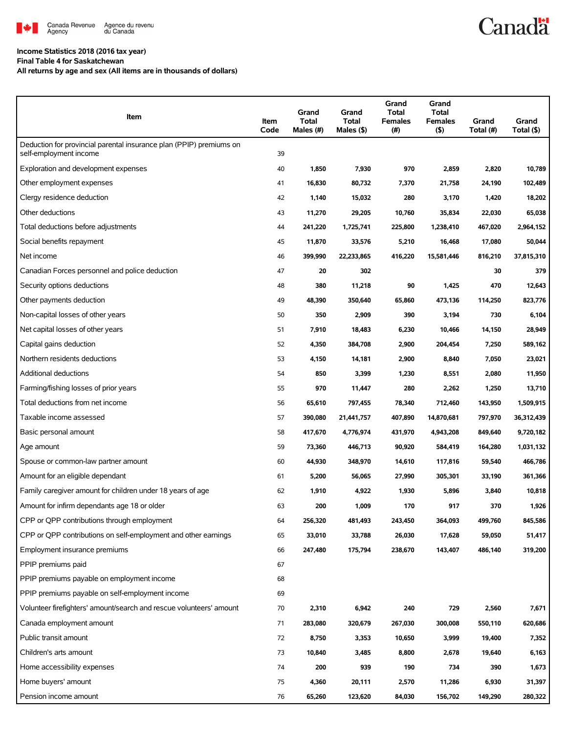

### **Income Statistics 2018 (2016 tax year) Final Table 4 for Saskatchewan**

**All returns by age and sex (All items are in thousands of dollars)**

| Item                                                                                          | Item<br>Code | Grand<br><b>Total</b><br>Males (#) | Grand<br><b>Total</b><br>Males $($ \$) | Grand<br><b>Total</b><br><b>Females</b><br>(#) | Grand<br><b>Total</b><br><b>Females</b><br>(5) | Grand<br>Total (#) | Grand<br>Total (\$) |
|-----------------------------------------------------------------------------------------------|--------------|------------------------------------|----------------------------------------|------------------------------------------------|------------------------------------------------|--------------------|---------------------|
| Deduction for provincial parental insurance plan (PPIP) premiums on<br>self-employment income | 39           |                                    |                                        |                                                |                                                |                    |                     |
| Exploration and development expenses                                                          | 40           | 1,850                              | 7,930                                  | 970                                            | 2,859                                          | 2,820              | 10,789              |
| Other employment expenses                                                                     | 41           | 16,830                             | 80,732                                 | 7,370                                          | 21,758                                         | 24,190             | 102,489             |
| Clergy residence deduction                                                                    | 42           | 1,140                              | 15,032                                 | 280                                            | 3,170                                          | 1,420              | 18,202              |
| Other deductions                                                                              | 43           | 11,270                             | 29,205                                 | 10,760                                         | 35,834                                         | 22,030             | 65,038              |
| Total deductions before adjustments                                                           | 44           | 241,220                            | 1,725,741                              | 225,800                                        | 1,238,410                                      | 467,020            | 2,964,152           |
| Social benefits repayment                                                                     | 45           | 11,870                             | 33,576                                 | 5,210                                          | 16,468                                         | 17,080             | 50,044              |
| Net income                                                                                    | 46           | 399,990                            | 22,233,865                             | 416,220                                        | 15,581,446                                     | 816,210            | 37,815,310          |
| Canadian Forces personnel and police deduction                                                | 47           | 20                                 | 302                                    |                                                |                                                | 30                 | 379                 |
| Security options deductions                                                                   | 48           | 380                                | 11,218                                 | 90                                             | 1,425                                          | 470                | 12,643              |
| Other payments deduction                                                                      | 49           | 48,390                             | 350,640                                | 65,860                                         | 473,136                                        | 114,250            | 823,776             |
| Non-capital losses of other years                                                             | 50           | 350                                | 2,909                                  | 390                                            | 3,194                                          | 730                | 6,104               |
| Net capital losses of other years                                                             | 51           | 7,910                              | 18,483                                 | 6,230                                          | 10,466                                         | 14,150             | 28,949              |
| Capital gains deduction                                                                       | 52           | 4,350                              | 384,708                                | 2,900                                          | 204,454                                        | 7,250              | 589,162             |
| Northern residents deductions                                                                 | 53           | 4,150                              | 14,181                                 | 2,900                                          | 8,840                                          | 7,050              | 23,021              |
| <b>Additional deductions</b>                                                                  | 54           | 850                                | 3,399                                  | 1,230                                          | 8,551                                          | 2,080              | 11,950              |
| Farming/fishing losses of prior years                                                         | 55           | 970                                | 11,447                                 | 280                                            | 2,262                                          | 1,250              | 13,710              |
| Total deductions from net income                                                              | 56           | 65,610                             | 797,455                                | 78,340                                         | 712,460                                        | 143,950            | 1,509,915           |
| Taxable income assessed                                                                       | 57           | 390,080                            | 21,441,757                             | 407,890                                        | 14,870,681                                     | 797,970            | 36,312,439          |
| Basic personal amount                                                                         | 58           | 417,670                            | 4,776,974                              | 431,970                                        | 4,943,208                                      | 849,640            | 9,720,182           |
| Age amount                                                                                    | 59           | 73,360                             | 446,713                                | 90,920                                         | 584,419                                        | 164,280            | 1,031,132           |
| Spouse or common-law partner amount                                                           | 60           | 44,930                             | 348,970                                | 14,610                                         | 117,816                                        | 59,540             | 466,786             |
| Amount for an eligible dependant                                                              | 61           | 5,200                              | 56,065                                 | 27,990                                         | 305,301                                        | 33,190             | 361,366             |
| Family caregiver amount for children under 18 years of age                                    | 62           | 1,910                              | 4,922                                  | 1,930                                          | 5,896                                          | 3,840              | 10,818              |
| Amount for infirm dependants age 18 or older                                                  | 63           | 200                                | 1,009                                  | 170                                            | 917                                            | 370                | 1,926               |
| CPP or QPP contributions through employment                                                   | 64           | 256,320                            | 481,493                                | 243,450                                        | 364,093                                        | 499,760            | 845,586             |
| CPP or OPP contributions on self-employment and other earnings                                | 65           | 33,010                             | 33,788                                 | 26,030                                         | 17,628                                         | 59,050             | 51,417              |
| Employment insurance premiums                                                                 | 66           | 247,480                            | 175,794                                | 238,670                                        | 143,407                                        | 486,140            | 319,200             |
| PPIP premiums paid                                                                            | 67           |                                    |                                        |                                                |                                                |                    |                     |
| PPIP premiums payable on employment income                                                    | 68           |                                    |                                        |                                                |                                                |                    |                     |
| PPIP premiums payable on self-employment income                                               | 69           |                                    |                                        |                                                |                                                |                    |                     |
| Volunteer firefighters' amount/search and rescue volunteers' amount                           | 70           | 2,310                              | 6,942                                  | 240                                            | 729                                            | 2,560              | 7,671               |
| Canada employment amount                                                                      | 71           | 283,080                            | 320,679                                | 267,030                                        | 300,008                                        | 550,110            | 620,686             |
| Public transit amount                                                                         | 72           | 8,750                              | 3,353                                  | 10,650                                         | 3,999                                          | 19,400             | 7,352               |
| Children's arts amount                                                                        | 73           | 10,840                             | 3,485                                  | 8,800                                          | 2,678                                          | 19,640             | 6,163               |
| Home accessibility expenses                                                                   | 74           | 200                                | 939                                    | 190                                            | 734                                            | 390                | 1,673               |
| Home buyers' amount                                                                           | 75           | 4,360                              | 20,111                                 | 2,570                                          | 11,286                                         | 6,930              | 31,397              |
| Pension income amount                                                                         | 76           | 65,260                             | 123,620                                | 84,030                                         | 156,702                                        | 149,290            | 280,322             |

**Canadä**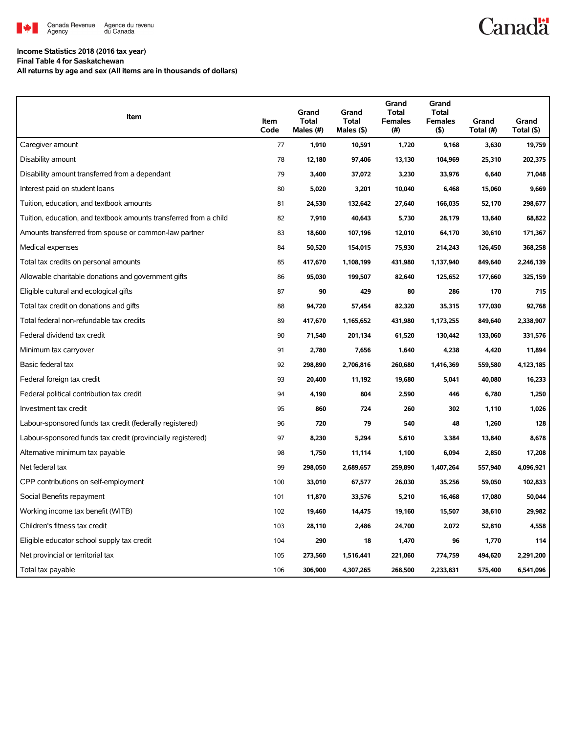

# **Canadä**

### **Income Statistics 2018 (2016 tax year)**

**Final Table 4 for Saskatchewan**

**All returns by age and sex (All items are in thousands of dollars)**

| Item                                                              | Item<br>Code | Grand<br><b>Total</b><br>Males (#) | Grand<br><b>Total</b><br>Males (\$) | Grand<br><b>Total</b><br><b>Females</b><br>(# ) | Grand<br><b>Total</b><br><b>Females</b><br>(5) | Grand<br>Total (#) | Grand<br>Total (\$) |
|-------------------------------------------------------------------|--------------|------------------------------------|-------------------------------------|-------------------------------------------------|------------------------------------------------|--------------------|---------------------|
| Caregiver amount                                                  | 77           | 1,910                              | 10,591                              | 1,720                                           | 9,168                                          | 3,630              | 19,759              |
| Disability amount                                                 | 78           | 12,180                             | 97,406                              | 13,130                                          | 104,969                                        | 25,310             | 202,375             |
| Disability amount transferred from a dependant                    | 79           | 3,400                              | 37,072                              | 3,230                                           | 33,976                                         | 6,640              | 71,048              |
| Interest paid on student loans                                    | 80           | 5,020                              | 3,201                               | 10,040                                          | 6,468                                          | 15,060             | 9,669               |
| Tuition, education, and textbook amounts                          | 81           | 24,530                             | 132,642                             | 27,640                                          | 166,035                                        | 52,170             | 298,677             |
| Tuition, education, and textbook amounts transferred from a child | 82           | 7,910                              | 40,643                              | 5,730                                           | 28,179                                         | 13,640             | 68,822              |
| Amounts transferred from spouse or common-law partner             | 83           | 18,600                             | 107,196                             | 12,010                                          | 64,170                                         | 30,610             | 171,367             |
| Medical expenses                                                  | 84           | 50,520                             | 154,015                             | 75,930                                          | 214,243                                        | 126,450            | 368,258             |
| Total tax credits on personal amounts                             | 85           | 417,670                            | 1,108,199                           | 431,980                                         | 1,137,940                                      | 849,640            | 2,246,139           |
| Allowable charitable donations and government gifts               | 86           | 95,030                             | 199,507                             | 82,640                                          | 125,652                                        | 177,660            | 325,159             |
| Eligible cultural and ecological gifts                            | 87           | 90                                 | 429                                 | 80                                              | 286                                            | 170                | 715                 |
| Total tax credit on donations and gifts                           | 88           | 94,720                             | 57,454                              | 82,320                                          | 35,315                                         | 177,030            | 92,768              |
| Total federal non-refundable tax credits                          | 89           | 417,670                            | 1,165,652                           | 431,980                                         | 1,173,255                                      | 849,640            | 2,338,907           |
| Federal dividend tax credit                                       | 90           | 71,540                             | 201,134                             | 61,520                                          | 130,442                                        | 133,060            | 331,576             |
| Minimum tax carryover                                             | 91           | 2,780                              | 7,656                               | 1,640                                           | 4,238                                          | 4,420              | 11,894              |
| Basic federal tax                                                 | 92           | 298,890                            | 2,706,816                           | 260,680                                         | 1,416,369                                      | 559,580            | 4,123,185           |
| Federal foreign tax credit                                        | 93           | 20,400                             | 11,192                              | 19,680                                          | 5,041                                          | 40,080             | 16,233              |
| Federal political contribution tax credit                         | 94           | 4,190                              | 804                                 | 2,590                                           | 446                                            | 6,780              | 1,250               |
| Investment tax credit                                             | 95           | 860                                | 724                                 | 260                                             | 302                                            | 1,110              | 1,026               |
| Labour-sponsored funds tax credit (federally registered)          | 96           | 720                                | 79                                  | 540                                             | 48                                             | 1,260              | 128                 |
| Labour-sponsored funds tax credit (provincially registered)       | 97           | 8,230                              | 5,294                               | 5,610                                           | 3,384                                          | 13,840             | 8,678               |
| Alternative minimum tax payable                                   | 98           | 1,750                              | 11,114                              | 1,100                                           | 6,094                                          | 2,850              | 17,208              |
| Net federal tax                                                   | 99           | 298,050                            | 2,689,657                           | 259,890                                         | 1,407,264                                      | 557,940            | 4,096,921           |
| CPP contributions on self-employment                              | 100          | 33,010                             | 67,577                              | 26,030                                          | 35,256                                         | 59,050             | 102,833             |
| Social Benefits repayment                                         | 101          | 11,870                             | 33,576                              | 5,210                                           | 16,468                                         | 17,080             | 50,044              |
| Working income tax benefit (WITB)                                 | 102          | 19,460                             | 14,475                              | 19,160                                          | 15,507                                         | 38,610             | 29,982              |
| Children's fitness tax credit                                     | 103          | 28,110                             | 2,486                               | 24,700                                          | 2,072                                          | 52,810             | 4,558               |
| Eligible educator school supply tax credit                        | 104          | 290                                | 18                                  | 1,470                                           | 96                                             | 1,770              | 114                 |
| Net provincial or territorial tax                                 | 105          | 273,560                            | 1,516,441                           | 221,060                                         | 774,759                                        | 494,620            | 2,291,200           |
| Total tax payable                                                 | 106          | 306,900                            | 4,307,265                           | 268,500                                         | 2,233,831                                      | 575,400            | 6,541,096           |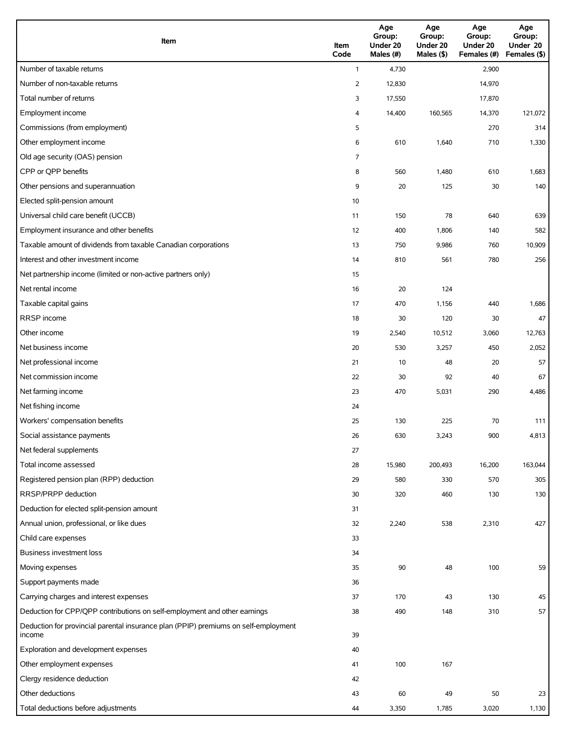| Item                                                                                          | Item<br>Code   | Age<br>Group:<br>Under 20<br>Males (#) | Age<br>Group:<br>Under 20<br>Males (\$) | Age<br>Group:<br>Under 20<br>Females (#) | Age<br>Group:<br>Under 20<br>Females (\$) |
|-----------------------------------------------------------------------------------------------|----------------|----------------------------------------|-----------------------------------------|------------------------------------------|-------------------------------------------|
| Number of taxable returns                                                                     | $\mathbf{1}$   | 4,730                                  |                                         | 2,900                                    |                                           |
| Number of non-taxable returns                                                                 | 2              | 12,830                                 |                                         | 14,970                                   |                                           |
| Total number of returns                                                                       | 3              | 17,550                                 |                                         | 17,870                                   |                                           |
| Employment income                                                                             | 4              | 14,400                                 | 160,565                                 | 14,370                                   | 121,072                                   |
| Commissions (from employment)                                                                 | 5              |                                        |                                         | 270                                      | 314                                       |
| Other employment income                                                                       | 6              | 610                                    | 1,640                                   | 710                                      | 1,330                                     |
| Old age security (OAS) pension                                                                | $\overline{7}$ |                                        |                                         |                                          |                                           |
| CPP or QPP benefits                                                                           | 8              | 560                                    | 1,480                                   | 610                                      | 1,683                                     |
| Other pensions and superannuation                                                             | 9              | 20                                     | 125                                     | 30                                       | 140                                       |
| Elected split-pension amount                                                                  | 10             |                                        |                                         |                                          |                                           |
| Universal child care benefit (UCCB)                                                           | 11             | 150                                    | 78                                      | 640                                      | 639                                       |
| Employment insurance and other benefits                                                       | 12             | 400                                    | 1,806                                   | 140                                      | 582                                       |
| Taxable amount of dividends from taxable Canadian corporations                                | 13             | 750                                    | 9,986                                   | 760                                      | 10,909                                    |
| Interest and other investment income                                                          | 14             | 810                                    | 561                                     | 780                                      | 256                                       |
| Net partnership income (limited or non-active partners only)                                  | 15             |                                        |                                         |                                          |                                           |
| Net rental income                                                                             | 16             | 20                                     | 124                                     |                                          |                                           |
| Taxable capital gains                                                                         | 17             | 470                                    | 1,156                                   | 440                                      | 1,686                                     |
| <b>RRSP</b> income                                                                            | 18             | 30                                     | 120                                     | 30                                       | 47                                        |
| Other income                                                                                  | 19             | 2,540                                  | 10,512                                  | 3,060                                    | 12,763                                    |
| Net business income                                                                           | 20             | 530                                    | 3,257                                   | 450                                      | 2,052                                     |
| Net professional income                                                                       | 21             | 10                                     | 48                                      | 20                                       | 57                                        |
| Net commission income                                                                         | 22             | 30                                     | 92                                      | 40                                       | 67                                        |
| Net farming income                                                                            | 23             | 470                                    | 5,031                                   | 290                                      | 4,486                                     |
| Net fishing income                                                                            | 24             |                                        |                                         |                                          |                                           |
| Workers' compensation benefits                                                                | 25             | 130                                    | 225                                     | 70                                       | 111                                       |
| Social assistance payments                                                                    | 26             | 630                                    | 3,243                                   | 900                                      | 4,813                                     |
| Net federal supplements                                                                       | 27             |                                        |                                         |                                          |                                           |
| Total income assessed                                                                         | 28             | 15,980                                 | 200,493                                 | 16,200                                   | 163,044                                   |
| Registered pension plan (RPP) deduction                                                       | 29             | 580                                    | 330                                     | 570                                      | 305                                       |
| RRSP/PRPP deduction                                                                           | 30             | 320                                    | 460                                     | 130                                      | 130                                       |
| Deduction for elected split-pension amount                                                    | 31             |                                        |                                         |                                          |                                           |
| Annual union, professional, or like dues                                                      | 32             | 2,240                                  | 538                                     | 2,310                                    | 427                                       |
| Child care expenses                                                                           | 33             |                                        |                                         |                                          |                                           |
| Business investment loss                                                                      | 34             |                                        |                                         |                                          |                                           |
| Moving expenses                                                                               | 35             | 90                                     | 48                                      | 100                                      | 59                                        |
| Support payments made                                                                         | 36             |                                        |                                         |                                          |                                           |
| Carrying charges and interest expenses                                                        | 37             | 170                                    | 43                                      | 130                                      | 45                                        |
| Deduction for CPP/QPP contributions on self-employment and other earnings                     | 38             | 490                                    | 148                                     | 310                                      | 57                                        |
| Deduction for provincial parental insurance plan (PPIP) premiums on self-employment<br>income | 39             |                                        |                                         |                                          |                                           |
| Exploration and development expenses                                                          | 40             |                                        |                                         |                                          |                                           |
| Other employment expenses                                                                     | 41             | 100                                    | 167                                     |                                          |                                           |
| Clergy residence deduction                                                                    | 42             |                                        |                                         |                                          |                                           |
| Other deductions                                                                              | 43             | 60                                     | 49                                      | 50                                       | 23                                        |
| Total deductions before adjustments                                                           | 44             | 3,350                                  | 1,785                                   | 3,020                                    | 1,130                                     |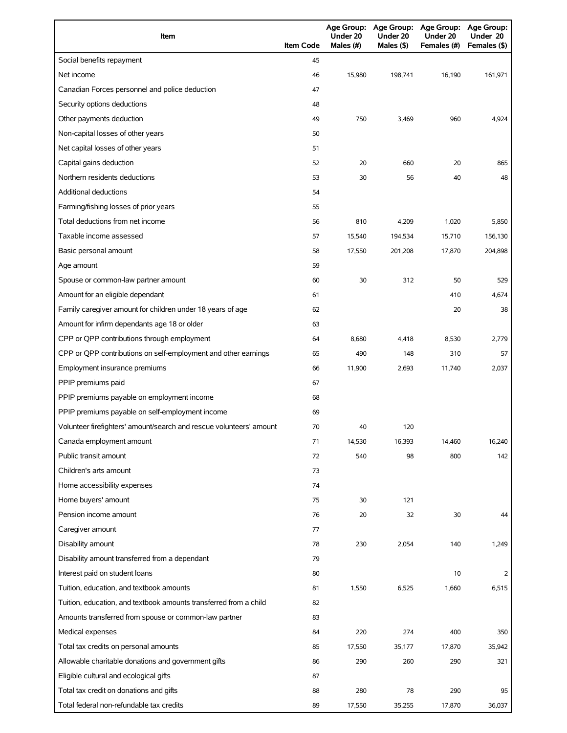| Item                                                                | <b>Item Code</b> | Under 20<br>Males (#) | Under 20<br>Males (\$) | Age Group: Age Group: Age Group: Age Group:<br>Under 20<br>Females (#) | Under 20<br>Females (\$) |
|---------------------------------------------------------------------|------------------|-----------------------|------------------------|------------------------------------------------------------------------|--------------------------|
| Social benefits repayment                                           | 45               |                       |                        |                                                                        |                          |
| Net income                                                          | 46               | 15,980                | 198,741                | 16,190                                                                 | 161,971                  |
| Canadian Forces personnel and police deduction                      | 47               |                       |                        |                                                                        |                          |
| Security options deductions                                         | 48               |                       |                        |                                                                        |                          |
| Other payments deduction                                            | 49               | 750                   | 3,469                  | 960                                                                    | 4,924                    |
| Non-capital losses of other years                                   | 50               |                       |                        |                                                                        |                          |
| Net capital losses of other years                                   | 51               |                       |                        |                                                                        |                          |
| Capital gains deduction                                             | 52               | 20                    | 660                    | 20                                                                     | 865                      |
| Northern residents deductions                                       | 53               | 30                    | 56                     | 40                                                                     | 48                       |
| <b>Additional deductions</b>                                        | 54               |                       |                        |                                                                        |                          |
| Farming/fishing losses of prior years                               | 55               |                       |                        |                                                                        |                          |
| Total deductions from net income                                    | 56               | 810                   | 4,209                  | 1,020                                                                  | 5,850                    |
| Taxable income assessed                                             | 57               | 15,540                | 194,534                | 15,710                                                                 | 156,130                  |
| Basic personal amount                                               | 58               | 17,550                | 201,208                | 17,870                                                                 | 204,898                  |
| Age amount                                                          | 59               |                       |                        |                                                                        |                          |
| Spouse or common-law partner amount                                 | 60               | 30                    | 312                    | 50                                                                     | 529                      |
| Amount for an eligible dependant                                    | 61               |                       |                        | 410                                                                    | 4,674                    |
| Family caregiver amount for children under 18 years of age          | 62               |                       |                        | 20                                                                     | 38                       |
| Amount for infirm dependants age 18 or older                        | 63               |                       |                        |                                                                        |                          |
| CPP or QPP contributions through employment                         | 64               | 8,680                 | 4,418                  | 8,530                                                                  | 2,779                    |
| CPP or QPP contributions on self-employment and other earnings      | 65               | 490                   | 148                    | 310                                                                    | 57                       |
| Employment insurance premiums                                       | 66               | 11,900                | 2,693                  | 11,740                                                                 | 2,037                    |
| PPIP premiums paid                                                  | 67               |                       |                        |                                                                        |                          |
| PPIP premiums payable on employment income                          | 68               |                       |                        |                                                                        |                          |
| PPIP premiums payable on self-employment income                     | 69               |                       |                        |                                                                        |                          |
| Volunteer firefighters' amount/search and rescue volunteers' amount | 70               | 40                    | 120                    |                                                                        |                          |
| Canada employment amount                                            | 71               | 14,530                | 16,393                 | 14,460                                                                 | 16,240                   |
| Public transit amount                                               | 72               | 540                   | 98                     | 800                                                                    | 142                      |
| Children's arts amount                                              | 73               |                       |                        |                                                                        |                          |
| Home accessibility expenses                                         | 74               |                       |                        |                                                                        |                          |
| Home buyers' amount                                                 | 75               | 30                    | 121                    |                                                                        |                          |
| Pension income amount                                               | 76               | 20                    | 32                     | 30                                                                     | 44                       |
| Caregiver amount                                                    | 77               |                       |                        |                                                                        |                          |
| Disability amount                                                   | 78               | 230                   | 2,054                  | 140                                                                    | 1,249                    |
| Disability amount transferred from a dependant                      | 79               |                       |                        |                                                                        |                          |
| Interest paid on student loans                                      | 80               |                       |                        | 10                                                                     | 2                        |
| Tuition, education, and textbook amounts                            | 81               | 1,550                 | 6,525                  | 1,660                                                                  | 6,515                    |
| Tuition, education, and textbook amounts transferred from a child   | 82               |                       |                        |                                                                        |                          |
| Amounts transferred from spouse or common-law partner               | 83               |                       |                        |                                                                        |                          |
| Medical expenses                                                    | 84               | 220                   | 274                    | 400                                                                    | 350                      |
| Total tax credits on personal amounts                               | 85               | 17,550                | 35,177                 | 17,870                                                                 | 35,942                   |
| Allowable charitable donations and government gifts                 | 86               | 290                   | 260                    | 290                                                                    | 321                      |
| Eligible cultural and ecological gifts                              | 87               |                       |                        |                                                                        |                          |
| Total tax credit on donations and gifts                             | 88               | 280                   | 78                     | 290                                                                    | 95                       |
| Total federal non-refundable tax credits                            | 89               | 17,550                | 35,255                 | 17,870                                                                 | 36,037                   |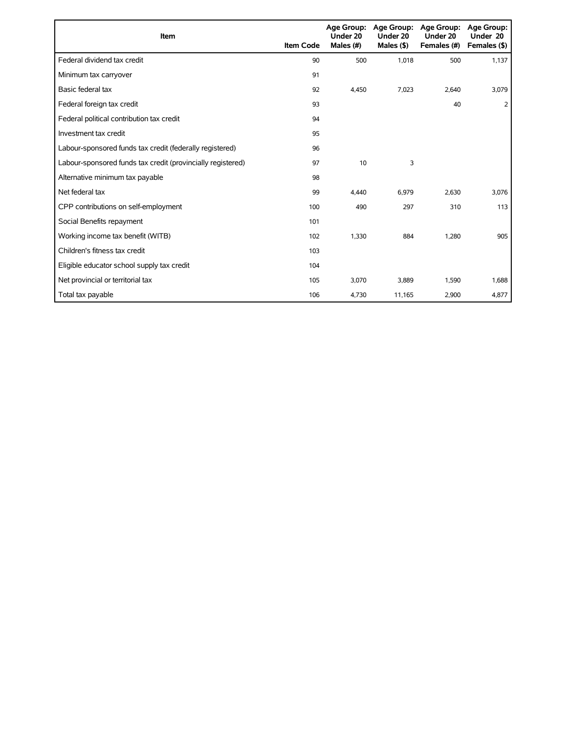| Item                                                        | <b>Item Code</b> | Under 20<br>Males (#) | Age Group: Age Group:<br>Under 20<br>Males $($ \$ $)$ | <b>Age Group:</b><br>Under 20<br>Females (#) | <b>Age Group:</b><br>Under 20<br>Females (\$) |
|-------------------------------------------------------------|------------------|-----------------------|-------------------------------------------------------|----------------------------------------------|-----------------------------------------------|
| Federal dividend tax credit                                 | 90               | 500                   | 1,018                                                 | 500                                          | 1,137                                         |
| Minimum tax carryover                                       | 91               |                       |                                                       |                                              |                                               |
| Basic federal tax                                           | 92               | 4,450                 | 7,023                                                 | 2,640                                        | 3,079                                         |
| Federal foreign tax credit                                  | 93               |                       |                                                       | 40                                           | 2                                             |
| Federal political contribution tax credit                   | 94               |                       |                                                       |                                              |                                               |
| Investment tax credit                                       | 95               |                       |                                                       |                                              |                                               |
| Labour-sponsored funds tax credit (federally registered)    | 96               |                       |                                                       |                                              |                                               |
| Labour-sponsored funds tax credit (provincially registered) | 97               | 10                    | 3                                                     |                                              |                                               |
| Alternative minimum tax payable                             | 98               |                       |                                                       |                                              |                                               |
| Net federal tax                                             | 99               | 4.440                 | 6,979                                                 | 2,630                                        | 3,076                                         |
| CPP contributions on self-employment                        | 100              | 490                   | 297                                                   | 310                                          | 113                                           |
| Social Benefits repayment                                   | 101              |                       |                                                       |                                              |                                               |
| Working income tax benefit (WITB)                           | 102              | 1,330                 | 884                                                   | 1.280                                        | 905                                           |
| Children's fitness tax credit                               | 103              |                       |                                                       |                                              |                                               |
| Eligible educator school supply tax credit                  | 104              |                       |                                                       |                                              |                                               |
| Net provincial or territorial tax                           | 105              | 3,070                 | 3,889                                                 | 1,590                                        | 1,688                                         |
| Total tax payable                                           | 106              | 4,730                 | 11,165                                                | 2,900                                        | 4,877                                         |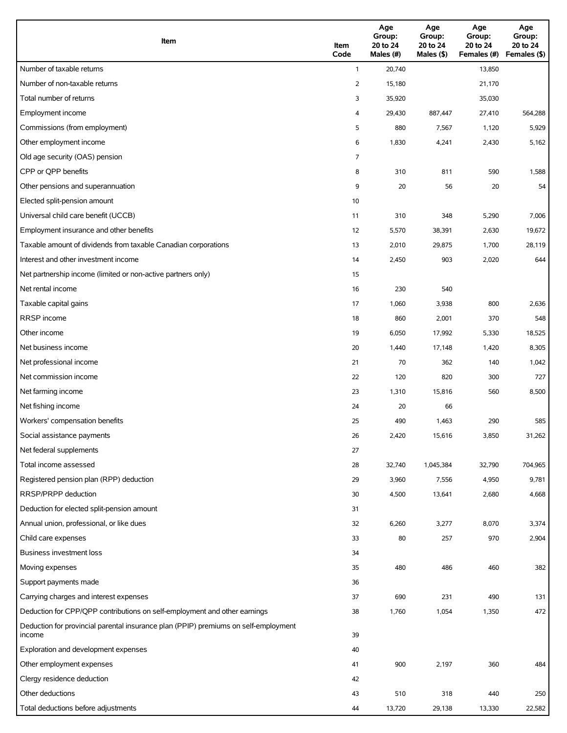| Item                                                                                          | Item<br>Code   | Age<br>Group:<br>20 to 24<br>Males (#) | Age<br>Group:<br>20 to 24<br>Males (\$) | Age<br>Group:<br>20 to 24<br>Females (#) | Age<br>Group:<br>20 to 24<br>Females (\$) |
|-----------------------------------------------------------------------------------------------|----------------|----------------------------------------|-----------------------------------------|------------------------------------------|-------------------------------------------|
| Number of taxable returns                                                                     | $\mathbf{1}$   | 20,740                                 |                                         | 13,850                                   |                                           |
| Number of non-taxable returns                                                                 | $\overline{2}$ | 15,180                                 |                                         | 21,170                                   |                                           |
| Total number of returns                                                                       | 3              | 35,920                                 |                                         | 35,030                                   |                                           |
| Employment income                                                                             | 4              | 29,430                                 | 887,447                                 | 27,410                                   | 564,288                                   |
| Commissions (from employment)                                                                 | 5              | 880                                    | 7,567                                   | 1,120                                    | 5,929                                     |
| Other employment income                                                                       | 6              | 1,830                                  | 4,241                                   | 2,430                                    | 5,162                                     |
| Old age security (OAS) pension                                                                | 7              |                                        |                                         |                                          |                                           |
| CPP or QPP benefits                                                                           | 8              | 310                                    | 811                                     | 590                                      | 1,588                                     |
| Other pensions and superannuation                                                             | 9              | 20                                     | 56                                      | 20                                       | 54                                        |
| Elected split-pension amount                                                                  | 10             |                                        |                                         |                                          |                                           |
| Universal child care benefit (UCCB)                                                           | 11             | 310                                    | 348                                     | 5,290                                    | 7,006                                     |
| Employment insurance and other benefits                                                       | 12             | 5,570                                  | 38,391                                  | 2,630                                    | 19,672                                    |
| Taxable amount of dividends from taxable Canadian corporations                                | 13             | 2,010                                  | 29,875                                  | 1,700                                    | 28,119                                    |
| Interest and other investment income                                                          | 14             | 2,450                                  | 903                                     | 2,020                                    | 644                                       |
| Net partnership income (limited or non-active partners only)                                  | 15             |                                        |                                         |                                          |                                           |
| Net rental income                                                                             | 16             | 230                                    | 540                                     |                                          |                                           |
| Taxable capital gains                                                                         | 17             | 1,060                                  | 3,938                                   | 800                                      | 2,636                                     |
| <b>RRSP</b> income                                                                            | 18             | 860                                    | 2,001                                   | 370                                      | 548                                       |
| Other income                                                                                  | 19             | 6,050                                  | 17,992                                  | 5,330                                    | 18,525                                    |
| Net business income                                                                           | 20             | 1,440                                  | 17,148                                  | 1,420                                    | 8,305                                     |
| Net professional income                                                                       | 21             | 70                                     | 362                                     | 140                                      | 1,042                                     |
| Net commission income                                                                         | 22             | 120                                    | 820                                     | 300                                      | 727                                       |
| Net farming income                                                                            | 23             | 1,310                                  | 15,816                                  | 560                                      | 8,500                                     |
| Net fishing income                                                                            | 24             | 20                                     | 66                                      |                                          |                                           |
| Workers' compensation benefits                                                                | 25             | 490                                    | 1,463                                   | 290                                      | 585                                       |
| Social assistance payments                                                                    | 26             | 2,420                                  | 15,616                                  | 3,850                                    | 31,262                                    |
| Net federal supplements                                                                       | 27             |                                        |                                         |                                          |                                           |
| Total income assessed                                                                         | 28             | 32,740                                 | 1,045,384                               | 32,790                                   | 704,965                                   |
| Registered pension plan (RPP) deduction                                                       | 29             | 3,960                                  | 7,556                                   | 4,950                                    | 9,781                                     |
| RRSP/PRPP deduction                                                                           | 30             | 4,500                                  | 13,641                                  | 2,680                                    | 4,668                                     |
| Deduction for elected split-pension amount                                                    | 31             |                                        |                                         |                                          |                                           |
| Annual union, professional, or like dues                                                      | 32             | 6,260                                  | 3,277                                   | 8,070                                    | 3,374                                     |
| Child care expenses                                                                           | 33             | 80                                     | 257                                     | 970                                      | 2,904                                     |
| Business investment loss                                                                      | 34             |                                        |                                         |                                          |                                           |
| Moving expenses                                                                               | 35             | 480                                    | 486                                     | 460                                      | 382                                       |
| Support payments made                                                                         | 36             |                                        |                                         |                                          |                                           |
| Carrying charges and interest expenses                                                        | 37             | 690                                    | 231                                     | 490                                      | 131                                       |
| Deduction for CPP/QPP contributions on self-employment and other earnings                     | 38             | 1,760                                  | 1,054                                   | 1,350                                    | 472                                       |
| Deduction for provincial parental insurance plan (PPIP) premiums on self-employment<br>income | 39             |                                        |                                         |                                          |                                           |
| Exploration and development expenses                                                          | 40             |                                        |                                         |                                          |                                           |
| Other employment expenses                                                                     | 41             | 900                                    | 2,197                                   | 360                                      | 484                                       |
| Clergy residence deduction                                                                    | 42             |                                        |                                         |                                          |                                           |
| Other deductions                                                                              | 43             | 510                                    | 318                                     | 440                                      | 250                                       |
| Total deductions before adjustments                                                           | 44             | 13,720                                 | 29,138                                  | 13,330                                   | 22,582                                    |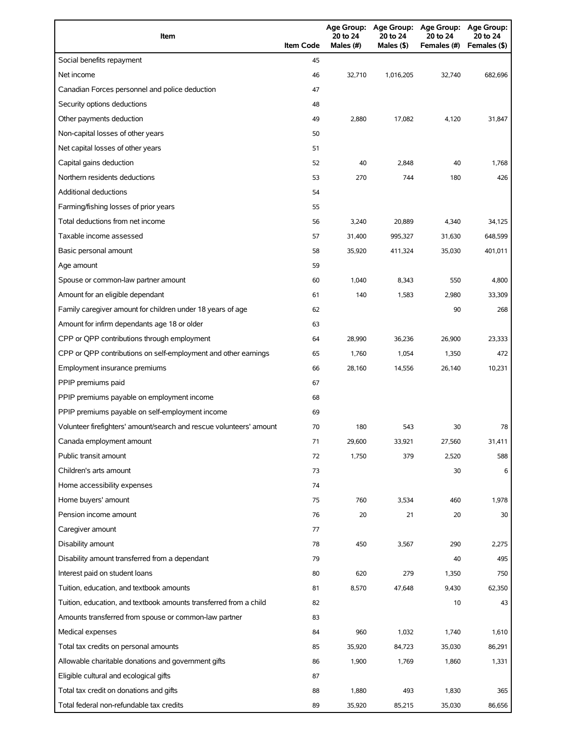| Item                                                                | <b>Item Code</b> | 20 to 24<br>Males (#) | 20 to 24<br>Males (\$) | Age Group: Age Group: Age Group: Age Group:<br>20 to 24<br>Females (#) | 20 to 24<br>Females (\$) |
|---------------------------------------------------------------------|------------------|-----------------------|------------------------|------------------------------------------------------------------------|--------------------------|
| Social benefits repayment                                           | 45               |                       |                        |                                                                        |                          |
| Net income                                                          | 46               | 32,710                | 1,016,205              | 32.740                                                                 | 682,696                  |
| Canadian Forces personnel and police deduction                      | 47               |                       |                        |                                                                        |                          |
| Security options deductions                                         | 48               |                       |                        |                                                                        |                          |
| Other payments deduction                                            | 49               | 2,880                 | 17,082                 | 4,120                                                                  | 31,847                   |
| Non-capital losses of other years                                   | 50               |                       |                        |                                                                        |                          |
| Net capital losses of other years                                   | 51               |                       |                        |                                                                        |                          |
| Capital gains deduction                                             | 52               | 40                    | 2,848                  | 40                                                                     | 1,768                    |
| Northern residents deductions                                       | 53               | 270                   | 744                    | 180                                                                    | 426                      |
| Additional deductions                                               | 54               |                       |                        |                                                                        |                          |
| Farming/fishing losses of prior years                               | 55               |                       |                        |                                                                        |                          |
| Total deductions from net income                                    | 56               | 3,240                 | 20,889                 | 4,340                                                                  | 34,125                   |
| Taxable income assessed                                             | 57               | 31,400                | 995,327                | 31,630                                                                 | 648,599                  |
| Basic personal amount                                               | 58               | 35,920                | 411,324                | 35,030                                                                 | 401,011                  |
| Age amount                                                          | 59               |                       |                        |                                                                        |                          |
| Spouse or common-law partner amount                                 | 60               | 1,040                 | 8,343                  | 550                                                                    | 4,800                    |
| Amount for an eligible dependant                                    | 61               | 140                   | 1,583                  | 2,980                                                                  | 33,309                   |
| Family caregiver amount for children under 18 years of age          | 62               |                       |                        | 90                                                                     | 268                      |
| Amount for infirm dependants age 18 or older                        | 63               |                       |                        |                                                                        |                          |
| CPP or QPP contributions through employment                         | 64               | 28,990                | 36,236                 | 26,900                                                                 | 23,333                   |
| CPP or QPP contributions on self-employment and other earnings      | 65               | 1,760                 | 1,054                  | 1,350                                                                  | 472                      |
| Employment insurance premiums                                       | 66               | 28,160                | 14,556                 | 26,140                                                                 | 10,231                   |
| PPIP premiums paid                                                  | 67               |                       |                        |                                                                        |                          |
| PPIP premiums payable on employment income                          | 68               |                       |                        |                                                                        |                          |
| PPIP premiums payable on self-employment income                     | 69               |                       |                        |                                                                        |                          |
| Volunteer firefighters' amount/search and rescue volunteers' amount | 70               | 180                   | 543                    | 30                                                                     | 78                       |
| Canada employment amount                                            | 71               | 29,600                | 33,921                 | 27,560                                                                 | 31,411                   |
| Public transit amount                                               | 72               | 1,750                 | 379                    | 2,520                                                                  | 588                      |
| Children's arts amount                                              | 73               |                       |                        | 30                                                                     | 6                        |
| Home accessibility expenses                                         | 74               |                       |                        |                                                                        |                          |
| Home buyers' amount                                                 | 75               | 760                   | 3,534                  | 460                                                                    | 1,978                    |
| Pension income amount                                               | 76               | 20                    | 21                     | 20                                                                     | 30                       |
| Caregiver amount                                                    | 77               |                       |                        |                                                                        |                          |
| Disability amount                                                   | 78               | 450                   | 3,567                  | 290                                                                    | 2,275                    |
| Disability amount transferred from a dependant                      | 79               |                       |                        | 40                                                                     | 495                      |
| Interest paid on student loans                                      | 80               | 620                   | 279                    | 1,350                                                                  | 750                      |
| Tuition, education, and textbook amounts                            | 81               | 8,570                 | 47,648                 | 9,430                                                                  | 62,350                   |
| Tuition, education, and textbook amounts transferred from a child   | 82               |                       |                        | 10                                                                     | 43                       |
| Amounts transferred from spouse or common-law partner               | 83               |                       |                        |                                                                        |                          |
| Medical expenses                                                    | 84               | 960                   | 1,032                  | 1,740                                                                  | 1,610                    |
| Total tax credits on personal amounts                               | 85               | 35,920                | 84,723                 | 35,030                                                                 | 86,291                   |
| Allowable charitable donations and government gifts                 | 86               | 1,900                 | 1,769                  | 1,860                                                                  | 1,331                    |
| Eligible cultural and ecological gifts                              | 87               |                       |                        |                                                                        |                          |
| Total tax credit on donations and gifts                             | 88               | 1,880                 | 493                    | 1,830                                                                  | 365                      |
| Total federal non-refundable tax credits                            | 89               | 35,920                | 85,215                 | 35,030                                                                 | 86,656                   |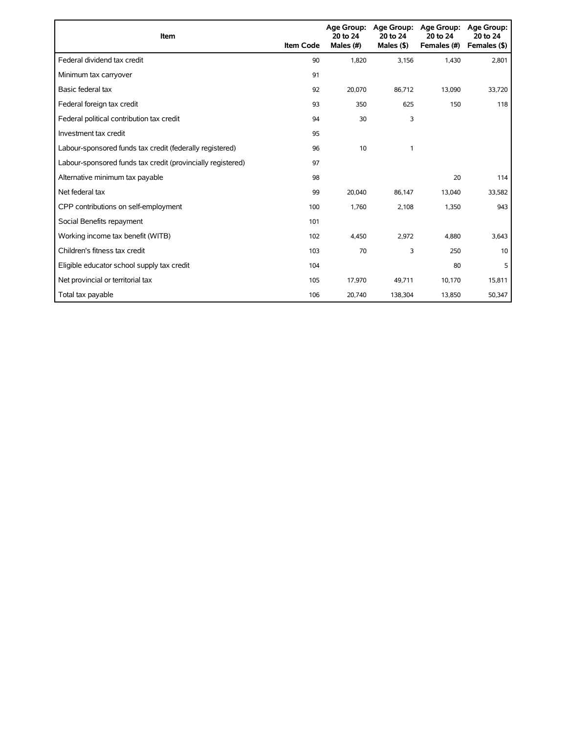| Item                                                        | <b>Item Code</b> | 20 to 24<br>Males (#) | Age Group: Age Group:<br>20 to 24<br>Males $($ \$ $)$ | Age Group:<br>20 to 24<br>Females (#) | Age Group:<br>20 to 24<br>Females (\$) |
|-------------------------------------------------------------|------------------|-----------------------|-------------------------------------------------------|---------------------------------------|----------------------------------------|
| Federal dividend tax credit                                 | 90               | 1,820                 | 3,156                                                 | 1,430                                 | 2,801                                  |
| Minimum tax carryover                                       | 91               |                       |                                                       |                                       |                                        |
| Basic federal tax                                           | 92               | 20,070                | 86,712                                                | 13,090                                | 33,720                                 |
| Federal foreign tax credit                                  | 93               | 350                   | 625                                                   | 150                                   | 118                                    |
| Federal political contribution tax credit                   | 94               | 30                    | 3                                                     |                                       |                                        |
| Investment tax credit                                       | 95               |                       |                                                       |                                       |                                        |
| Labour-sponsored funds tax credit (federally registered)    | 96               | 10                    | 1                                                     |                                       |                                        |
| Labour-sponsored funds tax credit (provincially registered) | 97               |                       |                                                       |                                       |                                        |
| Alternative minimum tax payable                             | 98               |                       |                                                       | 20                                    | 114                                    |
| Net federal tax                                             | 99               | 20,040                | 86,147                                                | 13,040                                | 33,582                                 |
| CPP contributions on self-employment                        | 100              | 1,760                 | 2,108                                                 | 1,350                                 | 943                                    |
| Social Benefits repayment                                   | 101              |                       |                                                       |                                       |                                        |
| Working income tax benefit (WITB)                           | 102              | 4,450                 | 2,972                                                 | 4,880                                 | 3,643                                  |
| Children's fitness tax credit                               | 103              | 70                    | 3                                                     | 250                                   | 10                                     |
| Eligible educator school supply tax credit                  | 104              |                       |                                                       | 80                                    | 5                                      |
| Net provincial or territorial tax                           | 105              | 17,970                | 49,711                                                | 10,170                                | 15,811                                 |
| Total tax payable                                           | 106              | 20,740                | 138,304                                               | 13,850                                | 50,347                                 |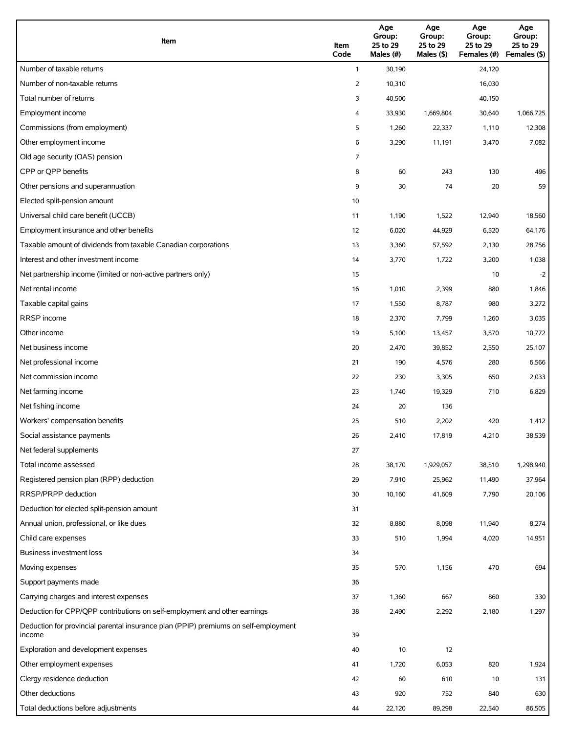| Item                                                                                          | Item<br>Code | Age<br>Group:<br>25 to 29<br>Males (#) | Age<br>Group:<br>25 to 29<br>Males (\$) | Age<br>Group:<br>25 to 29<br>Females (#) | Age<br>Group:<br>25 to 29<br>Females (\$) |
|-----------------------------------------------------------------------------------------------|--------------|----------------------------------------|-----------------------------------------|------------------------------------------|-------------------------------------------|
| Number of taxable returns                                                                     | $\mathbf{1}$ | 30,190                                 |                                         | 24,120                                   |                                           |
| Number of non-taxable returns                                                                 | 2            | 10,310                                 |                                         | 16,030                                   |                                           |
| Total number of returns                                                                       | 3            | 40,500                                 |                                         | 40,150                                   |                                           |
| Employment income                                                                             | 4            | 33,930                                 | 1,669,804                               | 30,640                                   | 1,066,725                                 |
| Commissions (from employment)                                                                 | 5            | 1,260                                  | 22,337                                  | 1,110                                    | 12,308                                    |
| Other employment income                                                                       | 6            | 3,290                                  | 11,191                                  | 3,470                                    | 7,082                                     |
| Old age security (OAS) pension                                                                | 7            |                                        |                                         |                                          |                                           |
| CPP or OPP benefits                                                                           | 8            | 60                                     | 243                                     | 130                                      | 496                                       |
| Other pensions and superannuation                                                             | 9            | 30                                     | 74                                      | 20                                       | 59                                        |
| Elected split-pension amount                                                                  | 10           |                                        |                                         |                                          |                                           |
| Universal child care benefit (UCCB)                                                           | 11           | 1,190                                  | 1,522                                   | 12,940                                   | 18,560                                    |
| Employment insurance and other benefits                                                       | 12           | 6,020                                  | 44,929                                  | 6,520                                    | 64,176                                    |
| Taxable amount of dividends from taxable Canadian corporations                                | 13           | 3,360                                  | 57,592                                  | 2,130                                    | 28,756                                    |
| Interest and other investment income                                                          | 14           | 3,770                                  | 1,722                                   | 3,200                                    | 1,038                                     |
| Net partnership income (limited or non-active partners only)                                  | 15           |                                        |                                         | 10                                       | $-2$                                      |
| Net rental income                                                                             | 16           | 1,010                                  | 2,399                                   | 880                                      | 1,846                                     |
| Taxable capital gains                                                                         | 17           | 1,550                                  | 8,787                                   | 980                                      | 3,272                                     |
| <b>RRSP</b> income                                                                            | 18           | 2,370                                  | 7,799                                   | 1,260                                    | 3,035                                     |
| Other income                                                                                  | 19           | 5,100                                  | 13,457                                  | 3,570                                    | 10,772                                    |
| Net business income                                                                           | 20           | 2,470                                  | 39,852                                  | 2,550                                    | 25,107                                    |
| Net professional income                                                                       | 21           | 190                                    | 4,576                                   | 280                                      | 6,566                                     |
| Net commission income                                                                         | 22           | 230                                    | 3,305                                   | 650                                      | 2,033                                     |
| Net farming income                                                                            | 23           | 1,740                                  | 19,329                                  | 710                                      | 6,829                                     |
| Net fishing income                                                                            | 24           | 20                                     | 136                                     |                                          |                                           |
| Workers' compensation benefits                                                                | 25           | 510                                    | 2,202                                   | 420                                      | 1,412                                     |
| Social assistance payments                                                                    | 26           | 2,410                                  | 17,819                                  | 4,210                                    | 38,539                                    |
| Net federal supplements                                                                       | 27           |                                        |                                         |                                          |                                           |
| Total income assessed                                                                         | 28           | 38,170                                 | 1,929,057                               | 38,510                                   | 1,298,940                                 |
| Registered pension plan (RPP) deduction                                                       | 29           | 7,910                                  | 25,962                                  | 11,490                                   | 37,964                                    |
| RRSP/PRPP deduction                                                                           | 30           | 10,160                                 | 41,609                                  | 7,790                                    | 20,106                                    |
| Deduction for elected split-pension amount                                                    | 31           |                                        |                                         |                                          |                                           |
| Annual union, professional, or like dues                                                      | 32           | 8,880                                  | 8,098                                   | 11,940                                   | 8,274                                     |
| Child care expenses                                                                           | 33           | 510                                    | 1,994                                   | 4,020                                    | 14,951                                    |
| Business investment loss                                                                      | 34           |                                        |                                         |                                          |                                           |
| Moving expenses                                                                               | 35           | 570                                    | 1,156                                   | 470                                      | 694                                       |
| Support payments made                                                                         | 36           |                                        |                                         |                                          |                                           |
| Carrying charges and interest expenses                                                        | 37           | 1,360                                  | 667                                     | 860                                      | 330                                       |
| Deduction for CPP/QPP contributions on self-employment and other earnings                     | 38           | 2,490                                  | 2,292                                   | 2,180                                    | 1,297                                     |
| Deduction for provincial parental insurance plan (PPIP) premiums on self-employment<br>income | 39           |                                        |                                         |                                          |                                           |
| Exploration and development expenses                                                          | 40           | 10                                     | 12                                      |                                          |                                           |
| Other employment expenses                                                                     | 41           | 1,720                                  | 6,053                                   | 820                                      | 1,924                                     |
| Clergy residence deduction                                                                    | 42           | 60                                     | 610                                     | 10                                       | 131                                       |
| Other deductions                                                                              | 43           | 920                                    | 752                                     | 840                                      | 630                                       |
| Total deductions before adjustments                                                           | 44           | 22,120                                 | 89,298                                  | 22,540                                   | 86,505                                    |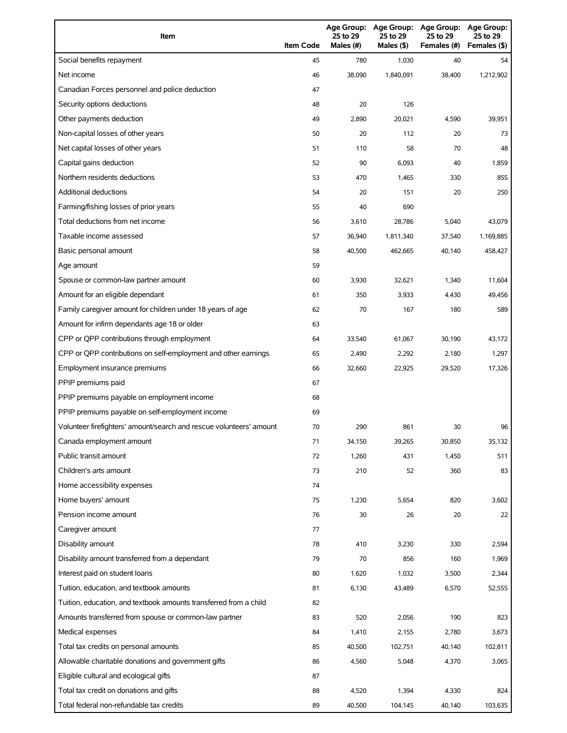| Item                                                                | <b>Item Code</b> | 25 to 29<br>Males (#) | Age Group: Age Group:<br>25 to 29<br>Males (\$) | <b>Age Group:</b><br>25 to 29<br>Females (#) | <b>Age Group:</b><br>25 to 29<br>Females (\$) |
|---------------------------------------------------------------------|------------------|-----------------------|-------------------------------------------------|----------------------------------------------|-----------------------------------------------|
| Social benefits repayment                                           | 45               | 780                   | 1,030                                           | 40                                           | 54                                            |
| Net income                                                          | 46               | 38.090                | 1,840,091                                       | 38,400                                       | 1,212,902                                     |
| Canadian Forces personnel and police deduction                      | 47               |                       |                                                 |                                              |                                               |
| Security options deductions                                         | 48               | 20                    | 126                                             |                                              |                                               |
| Other payments deduction                                            | 49               | 2,890                 | 20,021                                          | 4,590                                        | 39,951                                        |
| Non-capital losses of other years                                   | 50               | 20                    | 112                                             | 20                                           | 73                                            |
| Net capital losses of other years                                   | 51               | 110                   | 58                                              | 70                                           | 48                                            |
| Capital gains deduction                                             | 52               | 90                    | 6,093                                           | 40                                           | 1,859                                         |
| Northern residents deductions                                       | 53               | 470                   | 1,465                                           | 330                                          | 855                                           |
| Additional deductions                                               | 54               | 20                    | 151                                             | 20                                           | 250                                           |
| Farming/fishing losses of prior years                               | 55               | 40                    | 690                                             |                                              |                                               |
| Total deductions from net income                                    | 56               | 3,610                 | 28,786                                          | 5,040                                        | 43,079                                        |
| Taxable income assessed                                             | 57               | 36,940                | 1,811,340                                       | 37,540                                       | 1,169,885                                     |
| Basic personal amount                                               | 58               | 40,500                | 462,665                                         | 40,140                                       | 458,427                                       |
| Age amount                                                          | 59               |                       |                                                 |                                              |                                               |
| Spouse or common-law partner amount                                 | 60               | 3,930                 | 32,621                                          | 1,340                                        | 11,604                                        |
| Amount for an eligible dependant                                    | 61               | 350                   | 3,933                                           | 4,430                                        | 49,456                                        |
| Family caregiver amount for children under 18 years of age          | 62               | 70                    | 167                                             | 180                                          | 589                                           |
| Amount for infirm dependants age 18 or older                        | 63               |                       |                                                 |                                              |                                               |
| CPP or QPP contributions through employment                         | 64               | 33,540                | 61,067                                          | 30,190                                       | 43,172                                        |
| CPP or QPP contributions on self-employment and other earnings      | 65               | 2,490                 | 2,292                                           | 2,180                                        | 1,297                                         |
| Employment insurance premiums                                       | 66               | 32,660                | 22,925                                          | 29,520                                       | 17,326                                        |
| PPIP premiums paid                                                  | 67               |                       |                                                 |                                              |                                               |
| PPIP premiums payable on employment income                          | 68               |                       |                                                 |                                              |                                               |
| PPIP premiums payable on self-employment income                     | 69               |                       |                                                 |                                              |                                               |
| Volunteer firefighters' amount/search and rescue volunteers' amount | 70               | 290                   | 861                                             | 30                                           | 96                                            |
| Canada employment amount                                            | 71               | 34,150                | 39,265                                          | 30,850                                       | 35,132                                        |
| Public transit amount                                               | 72               | 1,260                 | 431                                             | 1,450                                        | 511                                           |
| Children's arts amount                                              | 73               | 210                   | 52                                              | 360                                          | 83                                            |
| Home accessibility expenses                                         | 74               |                       |                                                 |                                              |                                               |
| Home buyers' amount                                                 | 75               | 1,230                 | 5,654                                           | 820                                          | 3,602                                         |
| Pension income amount                                               | 76               | 30                    | 26                                              | 20                                           | 22                                            |
| Caregiver amount                                                    | 77               |                       |                                                 |                                              |                                               |
| Disability amount                                                   | 78               | 410                   | 3,230                                           | 330                                          | 2,594                                         |
| Disability amount transferred from a dependant                      | 79               | 70                    | 856                                             | 160                                          | 1,969                                         |
| Interest paid on student loans                                      | 80               | 1,620                 | 1,032                                           | 3,500                                        | 2,344                                         |
| Tuition, education, and textbook amounts                            | 81               | 6,130                 | 43,489                                          | 6,570                                        | 52,555                                        |
| Tuition, education, and textbook amounts transferred from a child   | 82               |                       |                                                 |                                              |                                               |
| Amounts transferred from spouse or common-law partner               | 83               | 520                   | 2,056                                           | 190                                          | 823                                           |
| Medical expenses                                                    | 84               | 1,410                 | 2,155                                           | 2,780                                        | 3,673                                         |
| Total tax credits on personal amounts                               | 85               | 40,500                | 102,751                                         | 40,140                                       | 102,811                                       |
| Allowable charitable donations and government gifts                 | 86               | 4,560                 | 5,048                                           | 4,370                                        | 3,065                                         |
| Eligible cultural and ecological gifts                              | 87               |                       |                                                 |                                              |                                               |
| Total tax credit on donations and gifts                             | 88               | 4,520                 | 1,394                                           | 4,330                                        | 824                                           |
| Total federal non-refundable tax credits                            | 89               | 40,500                | 104,145                                         | 40,140                                       | 103,635                                       |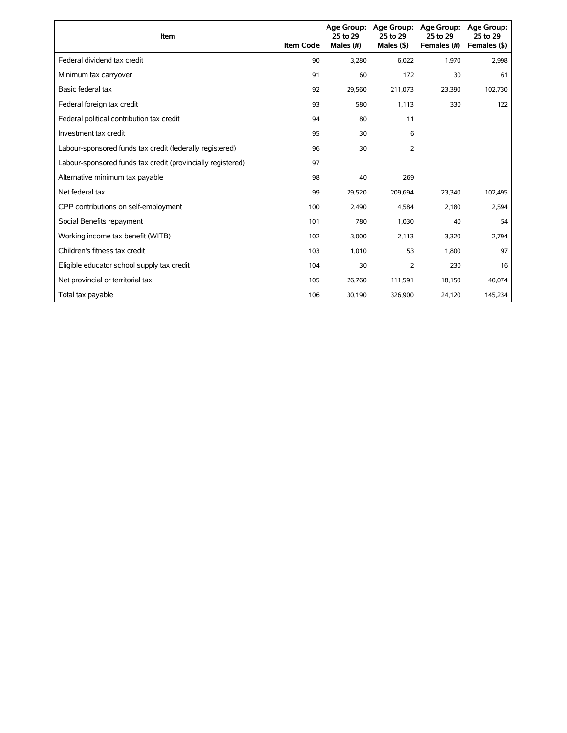| Item                                                        | <b>Item Code</b> | 25 to 29<br>Males (#) | Age Group: Age Group:<br>25 to 29<br>Males $(§)$ | Age Group:<br>25 to 29<br>Females (#) | Age Group:<br>25 to 29<br>Females (\$) |
|-------------------------------------------------------------|------------------|-----------------------|--------------------------------------------------|---------------------------------------|----------------------------------------|
| Federal dividend tax credit                                 | 90               | 3,280                 | 6,022                                            | 1,970                                 | 2,998                                  |
| Minimum tax carryover                                       | 91               | 60                    | 172                                              | 30                                    | 61                                     |
| Basic federal tax                                           | 92               | 29,560                | 211,073                                          | 23,390                                | 102,730                                |
| Federal foreign tax credit                                  | 93               | 580                   | 1,113                                            | 330                                   | 122                                    |
| Federal political contribution tax credit                   | 94               | 80                    | 11                                               |                                       |                                        |
| Investment tax credit                                       | 95               | 30                    | 6                                                |                                       |                                        |
| Labour-sponsored funds tax credit (federally registered)    | 96               | 30                    | 2                                                |                                       |                                        |
| Labour-sponsored funds tax credit (provincially registered) | 97               |                       |                                                  |                                       |                                        |
| Alternative minimum tax payable                             | 98               | 40                    | 269                                              |                                       |                                        |
| Net federal tax                                             | 99               | 29,520                | 209,694                                          | 23,340                                | 102,495                                |
| CPP contributions on self-employment                        | 100              | 2,490                 | 4,584                                            | 2,180                                 | 2,594                                  |
| Social Benefits repayment                                   | 101              | 780                   | 1,030                                            | 40                                    | 54                                     |
| Working income tax benefit (WITB)                           | 102              | 3,000                 | 2,113                                            | 3,320                                 | 2,794                                  |
| Children's fitness tax credit                               | 103              | 1,010                 | 53                                               | 1,800                                 | 97                                     |
| Eligible educator school supply tax credit                  | 104              | 30                    | 2                                                | 230                                   | 16                                     |
| Net provincial or territorial tax                           | 105              | 26,760                | 111,591                                          | 18,150                                | 40,074                                 |
| Total tax payable                                           | 106              | 30,190                | 326,900                                          | 24,120                                | 145,234                                |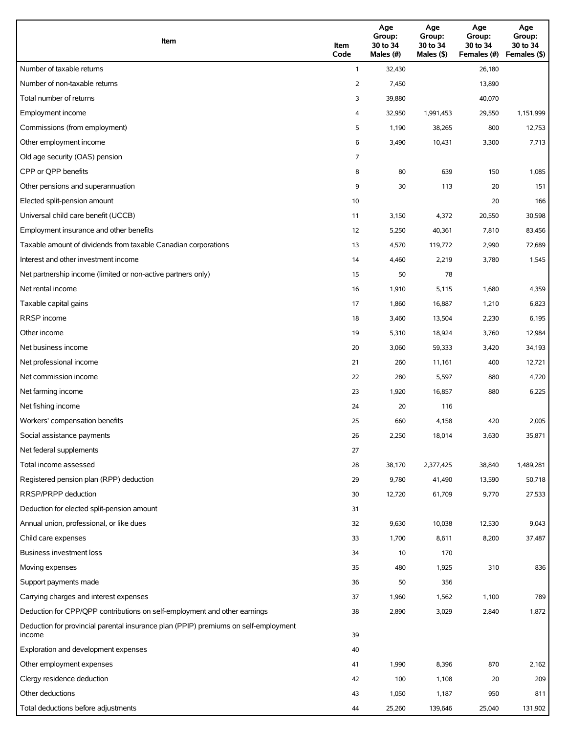| Item                                                                                          | Item<br>Code   | Age<br>Group:<br>30 to 34<br>Males (#) | Age<br>Group:<br>30 to 34<br>Males (\$) | Age<br>Group:<br>30 to 34<br>Females (#) | Age<br>Group:<br>30 to 34<br>Females (\$) |
|-----------------------------------------------------------------------------------------------|----------------|----------------------------------------|-----------------------------------------|------------------------------------------|-------------------------------------------|
| Number of taxable returns                                                                     | $\mathbf{1}$   | 32,430                                 |                                         | 26,180                                   |                                           |
| Number of non-taxable returns                                                                 | 2              | 7,450                                  |                                         | 13,890                                   |                                           |
| Total number of returns                                                                       | 3              | 39,880                                 |                                         | 40,070                                   |                                           |
| Employment income                                                                             | 4              | 32,950                                 | 1,991,453                               | 29,550                                   | 1,151,999                                 |
| Commissions (from employment)                                                                 | 5              | 1,190                                  | 38,265                                  | 800                                      | 12,753                                    |
| Other employment income                                                                       | 6              | 3,490                                  | 10,431                                  | 3,300                                    | 7,713                                     |
| Old age security (OAS) pension                                                                | $\overline{7}$ |                                        |                                         |                                          |                                           |
| CPP or OPP benefits                                                                           | 8              | 80                                     | 639                                     | 150                                      | 1,085                                     |
| Other pensions and superannuation                                                             | 9              | 30                                     | 113                                     | 20                                       | 151                                       |
| Elected split-pension amount                                                                  | 10             |                                        |                                         | 20                                       | 166                                       |
| Universal child care benefit (UCCB)                                                           | 11             | 3,150                                  | 4,372                                   | 20,550                                   | 30,598                                    |
| Employment insurance and other benefits                                                       | 12             | 5,250                                  | 40,361                                  | 7,810                                    | 83,456                                    |
| Taxable amount of dividends from taxable Canadian corporations                                | 13             | 4,570                                  | 119,772                                 | 2,990                                    | 72,689                                    |
| Interest and other investment income                                                          | 14             | 4,460                                  | 2,219                                   | 3,780                                    | 1,545                                     |
| Net partnership income (limited or non-active partners only)                                  | 15             | 50                                     | 78                                      |                                          |                                           |
| Net rental income                                                                             | 16             | 1,910                                  | 5,115                                   | 1,680                                    | 4,359                                     |
| Taxable capital gains                                                                         | 17             | 1,860                                  | 16,887                                  | 1,210                                    | 6,823                                     |
| <b>RRSP</b> income                                                                            | 18             | 3,460                                  | 13,504                                  | 2,230                                    | 6,195                                     |
| Other income                                                                                  | 19             | 5,310                                  | 18,924                                  | 3,760                                    | 12,984                                    |
| Net business income                                                                           | 20             | 3,060                                  | 59,333                                  | 3,420                                    | 34,193                                    |
| Net professional income                                                                       | 21             | 260                                    | 11,161                                  | 400                                      | 12,721                                    |
| Net commission income                                                                         | 22             | 280                                    | 5,597                                   | 880                                      | 4,720                                     |
| Net farming income                                                                            | 23             | 1,920                                  | 16,857                                  | 880                                      | 6,225                                     |
| Net fishing income                                                                            | 24             | 20                                     | 116                                     |                                          |                                           |
| Workers' compensation benefits                                                                | 25             | 660                                    | 4,158                                   | 420                                      | 2,005                                     |
| Social assistance payments                                                                    | 26             | 2,250                                  | 18,014                                  | 3,630                                    | 35,871                                    |
| Net federal supplements                                                                       | 27             |                                        |                                         |                                          |                                           |
| Total income assessed                                                                         | 28             | 38,170                                 | 2,377,425                               | 38,840                                   | 1,489,281                                 |
| Registered pension plan (RPP) deduction                                                       | 29             | 9,780                                  | 41,490                                  | 13,590                                   | 50,718                                    |
| RRSP/PRPP deduction                                                                           | 30             | 12,720                                 | 61,709                                  | 9,770                                    | 27,533                                    |
| Deduction for elected split-pension amount                                                    | 31             |                                        |                                         |                                          |                                           |
| Annual union, professional, or like dues                                                      | 32             | 9,630                                  | 10,038                                  | 12,530                                   | 9,043                                     |
| Child care expenses                                                                           | 33             | 1,700                                  | 8,611                                   | 8,200                                    | 37,487                                    |
| <b>Business investment loss</b>                                                               | 34             | 10                                     | 170                                     |                                          |                                           |
| Moving expenses                                                                               | 35             | 480                                    | 1,925                                   | 310                                      | 836                                       |
| Support payments made                                                                         | 36             | 50                                     | 356                                     |                                          |                                           |
| Carrying charges and interest expenses                                                        | 37             | 1,960                                  | 1,562                                   | 1,100                                    | 789                                       |
| Deduction for CPP/QPP contributions on self-employment and other earnings                     | 38             | 2,890                                  | 3,029                                   | 2,840                                    | 1,872                                     |
| Deduction for provincial parental insurance plan (PPIP) premiums on self-employment<br>income | 39             |                                        |                                         |                                          |                                           |
| Exploration and development expenses                                                          | 40             |                                        |                                         |                                          |                                           |
| Other employment expenses                                                                     | 41             | 1,990                                  | 8,396                                   | 870                                      | 2,162                                     |
| Clergy residence deduction                                                                    | 42             | 100                                    | 1,108                                   | 20                                       | 209                                       |
| Other deductions                                                                              | 43             | 1,050                                  | 1,187                                   | 950                                      | 811                                       |
| Total deductions before adjustments                                                           | 44             | 25,260                                 | 139,646                                 | 25,040                                   | 131,902                                   |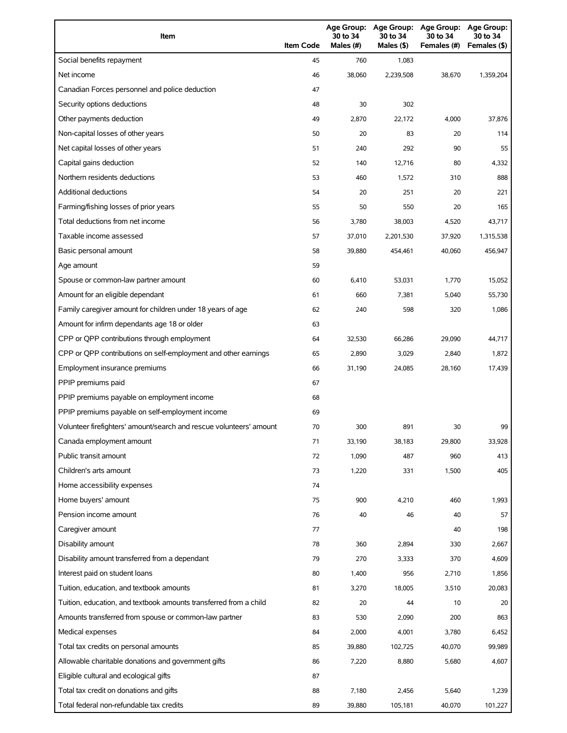| Item                                                                | <b>Item Code</b> | 30 to 34<br>Males $(H)$ | Age Group: Age Group:<br>30 to 34<br>Males (\$) | Age Group:<br>30 to 34<br>Females (#) | Age Group:<br>30 to 34<br>Females (\$) |
|---------------------------------------------------------------------|------------------|-------------------------|-------------------------------------------------|---------------------------------------|----------------------------------------|
| Social benefits repayment                                           | 45               | 760                     | 1,083                                           |                                       |                                        |
| Net income                                                          | 46               | 38.060                  | 2,239,508                                       | 38,670                                | 1,359,204                              |
| Canadian Forces personnel and police deduction                      | 47               |                         |                                                 |                                       |                                        |
| Security options deductions                                         | 48               | 30                      | 302                                             |                                       |                                        |
| Other payments deduction                                            | 49               | 2,870                   | 22,172                                          | 4,000                                 | 37,876                                 |
| Non-capital losses of other years                                   | 50               | 20                      | 83                                              | 20                                    | 114                                    |
| Net capital losses of other years                                   | 51               | 240                     | 292                                             | 90                                    | 55                                     |
| Capital gains deduction                                             | 52               | 140                     | 12,716                                          | 80                                    | 4,332                                  |
| Northern residents deductions                                       | 53               | 460                     | 1,572                                           | 310                                   | 888                                    |
| Additional deductions                                               | 54               | 20                      | 251                                             | 20                                    | 221                                    |
| Farming/fishing losses of prior years                               | 55               | 50                      | 550                                             | 20                                    | 165                                    |
| Total deductions from net income                                    | 56               | 3,780                   | 38,003                                          | 4,520                                 | 43,717                                 |
| Taxable income assessed                                             | 57               | 37,010                  | 2,201,530                                       | 37,920                                | 1,315,538                              |
| Basic personal amount                                               | 58               | 39,880                  | 454,461                                         | 40,060                                | 456,947                                |
| Age amount                                                          | 59               |                         |                                                 |                                       |                                        |
| Spouse or common-law partner amount                                 | 60               | 6,410                   | 53,031                                          | 1,770                                 | 15,052                                 |
| Amount for an eligible dependant                                    | 61               | 660                     | 7,381                                           | 5,040                                 | 55,730                                 |
| Family caregiver amount for children under 18 years of age          | 62               | 240                     | 598                                             | 320                                   | 1,086                                  |
| Amount for infirm dependants age 18 or older                        | 63               |                         |                                                 |                                       |                                        |
| CPP or QPP contributions through employment                         | 64               | 32,530                  | 66,286                                          | 29,090                                | 44,717                                 |
| CPP or QPP contributions on self-employment and other earnings      | 65               | 2,890                   | 3,029                                           | 2,840                                 | 1,872                                  |
| Employment insurance premiums                                       | 66               | 31,190                  | 24,085                                          | 28,160                                | 17,439                                 |
| PPIP premiums paid                                                  | 67               |                         |                                                 |                                       |                                        |
| PPIP premiums payable on employment income                          | 68               |                         |                                                 |                                       |                                        |
| PPIP premiums payable on self-employment income                     | 69               |                         |                                                 |                                       |                                        |
| Volunteer firefighters' amount/search and rescue volunteers' amount | 70               | 300                     | 891                                             | 30                                    | 99                                     |
| Canada employment amount                                            | 71               | 33,190                  | 38,183                                          | 29,800                                | 33,928                                 |
| Public transit amount                                               | 72               | 1,090                   | 487                                             | 960                                   | 413                                    |
| Children's arts amount                                              | 73               | 1,220                   | 331                                             | 1,500                                 | 405                                    |
| Home accessibility expenses                                         | 74               |                         |                                                 |                                       |                                        |
| Home buyers' amount                                                 | 75               | 900                     | 4,210                                           | 460                                   | 1,993                                  |
| Pension income amount                                               | 76               | 40                      | 46                                              | 40                                    | 57                                     |
| Caregiver amount                                                    | 77               |                         |                                                 | 40                                    | 198                                    |
| Disability amount                                                   | 78               | 360                     | 2,894                                           | 330                                   | 2,667                                  |
| Disability amount transferred from a dependant                      | 79               | 270                     | 3,333                                           | 370                                   | 4,609                                  |
| Interest paid on student loans                                      | 80               | 1,400                   | 956                                             | 2,710                                 | 1,856                                  |
| Tuition, education, and textbook amounts                            | 81               | 3,270                   | 18,005                                          | 3,510                                 | 20,083                                 |
| Tuition, education, and textbook amounts transferred from a child   | 82               | 20                      | 44                                              | 10                                    | 20                                     |
| Amounts transferred from spouse or common-law partner               | 83               | 530                     | 2,090                                           | 200                                   | 863                                    |
| Medical expenses                                                    | 84               | 2,000                   | 4,001                                           | 3,780                                 | 6,452                                  |
| Total tax credits on personal amounts                               | 85               | 39,880                  | 102,725                                         | 40,070                                | 99,989                                 |
| Allowable charitable donations and government gifts                 | 86               | 7,220                   | 8,880                                           | 5,680                                 | 4,607                                  |
| Eligible cultural and ecological gifts                              | 87               |                         |                                                 |                                       |                                        |
| Total tax credit on donations and gifts                             | 88               | 7,180                   | 2,456                                           | 5,640                                 | 1,239                                  |
| Total federal non-refundable tax credits                            | 89               | 39,880                  | 105,181                                         | 40,070                                | 101,227                                |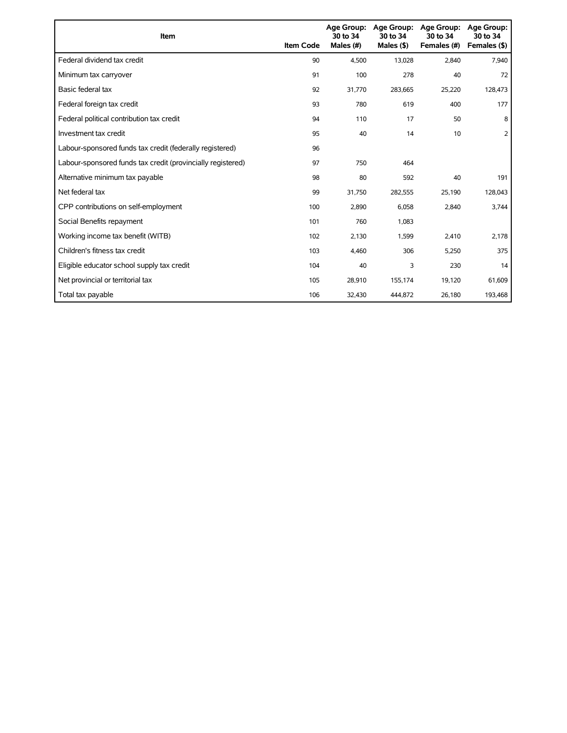| Item                                                        | <b>Item Code</b> | <b>Age Group:</b><br>30 to 34<br>Males (#) | <b>Age Group:</b><br>30 to 34<br>Males $($ \$) | <b>Age Group:</b><br>30 to 34<br>Females (#) | <b>Age Group:</b><br>30 to 34<br>Females (\$) |
|-------------------------------------------------------------|------------------|--------------------------------------------|------------------------------------------------|----------------------------------------------|-----------------------------------------------|
| Federal dividend tax credit                                 | 90               | 4,500                                      | 13,028                                         | 2,840                                        | 7,940                                         |
| Minimum tax carryover                                       | 91               | 100                                        | 278                                            | 40                                           | 72                                            |
| Basic federal tax                                           | 92               | 31,770                                     | 283,665                                        | 25,220                                       | 128,473                                       |
| Federal foreign tax credit                                  | 93               | 780                                        | 619                                            | 400                                          | 177                                           |
| Federal political contribution tax credit                   | 94               | 110                                        | 17                                             | 50                                           | 8                                             |
| Investment tax credit                                       | 95               | 40                                         | 14                                             | 10                                           | 2                                             |
| Labour-sponsored funds tax credit (federally registered)    | 96               |                                            |                                                |                                              |                                               |
| Labour-sponsored funds tax credit (provincially registered) | 97               | 750                                        | 464                                            |                                              |                                               |
| Alternative minimum tax payable                             | 98               | 80                                         | 592                                            | 40                                           | 191                                           |
| Net federal tax                                             | 99               | 31,750                                     | 282,555                                        | 25,190                                       | 128,043                                       |
| CPP contributions on self-employment                        | 100              | 2,890                                      | 6,058                                          | 2,840                                        | 3,744                                         |
| Social Benefits repayment                                   | 101              | 760                                        | 1,083                                          |                                              |                                               |
| Working income tax benefit (WITB)                           | 102              | 2,130                                      | 1,599                                          | 2,410                                        | 2,178                                         |
| Children's fitness tax credit                               | 103              | 4,460                                      | 306                                            | 5,250                                        | 375                                           |
| Eligible educator school supply tax credit                  | 104              | 40                                         | 3                                              | 230                                          | 14                                            |
| Net provincial or territorial tax                           | 105              | 28,910                                     | 155,174                                        | 19,120                                       | 61,609                                        |
| Total tax payable                                           | 106              | 32,430                                     | 444,872                                        | 26,180                                       | 193,468                                       |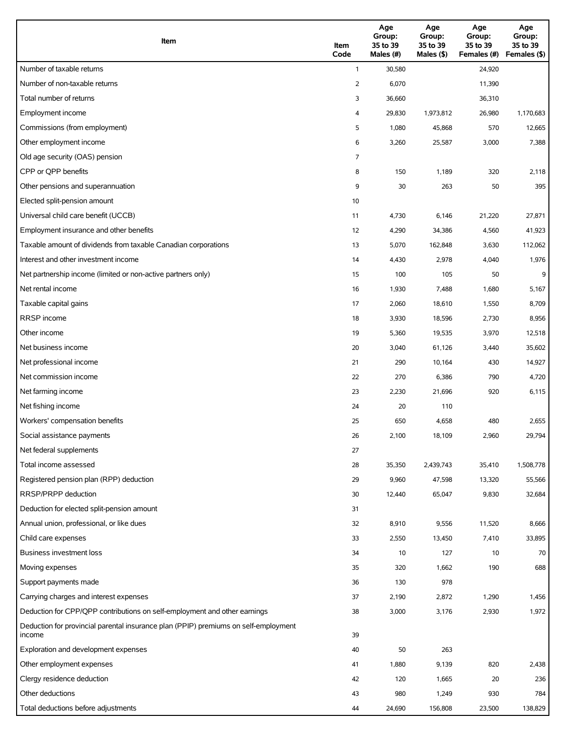| Item                                                                                          | Item<br>Code | Age<br>Group:<br>35 to 39<br>Males (#) | Age<br>Group:<br>35 to 39<br>Males (\$) | Age<br>Group:<br>35 to 39<br>Females (#) | Age<br>Group:<br>35 to 39<br>Females (\$) |
|-----------------------------------------------------------------------------------------------|--------------|----------------------------------------|-----------------------------------------|------------------------------------------|-------------------------------------------|
| Number of taxable returns                                                                     | $\mathbf{1}$ | 30,580                                 |                                         | 24,920                                   |                                           |
| Number of non-taxable returns                                                                 | 2            | 6,070                                  |                                         | 11,390                                   |                                           |
| Total number of returns                                                                       | 3            | 36,660                                 |                                         | 36,310                                   |                                           |
| Employment income                                                                             | 4            | 29,830                                 | 1,973,812                               | 26,980                                   | 1,170,683                                 |
| Commissions (from employment)                                                                 | 5            | 1,080                                  | 45,868                                  | 570                                      | 12,665                                    |
| Other employment income                                                                       | 6            | 3,260                                  | 25,587                                  | 3,000                                    | 7,388                                     |
| Old age security (OAS) pension                                                                | 7            |                                        |                                         |                                          |                                           |
| CPP or OPP benefits                                                                           | 8            | 150                                    | 1,189                                   | 320                                      | 2,118                                     |
| Other pensions and superannuation                                                             | 9            | 30                                     | 263                                     | 50                                       | 395                                       |
| Elected split-pension amount                                                                  | 10           |                                        |                                         |                                          |                                           |
| Universal child care benefit (UCCB)                                                           | 11           | 4,730                                  | 6,146                                   | 21,220                                   | 27,871                                    |
| Employment insurance and other benefits                                                       | 12           | 4,290                                  | 34,386                                  | 4,560                                    | 41,923                                    |
| Taxable amount of dividends from taxable Canadian corporations                                | 13           | 5,070                                  | 162,848                                 | 3,630                                    | 112,062                                   |
| Interest and other investment income                                                          | 14           | 4,430                                  | 2,978                                   | 4,040                                    | 1,976                                     |
| Net partnership income (limited or non-active partners only)                                  | 15           | 100                                    | 105                                     | 50                                       | 9                                         |
| Net rental income                                                                             | 16           | 1,930                                  | 7,488                                   | 1,680                                    | 5,167                                     |
| Taxable capital gains                                                                         | 17           | 2,060                                  | 18,610                                  | 1,550                                    | 8,709                                     |
| <b>RRSP</b> income                                                                            | 18           | 3,930                                  | 18,596                                  | 2,730                                    | 8,956                                     |
| Other income                                                                                  | 19           | 5,360                                  | 19,535                                  | 3,970                                    | 12,518                                    |
| Net business income                                                                           | 20           | 3,040                                  | 61,126                                  | 3,440                                    | 35,602                                    |
| Net professional income                                                                       | 21           | 290                                    | 10,164                                  | 430                                      | 14,927                                    |
| Net commission income                                                                         | 22           | 270                                    | 6,386                                   | 790                                      | 4,720                                     |
| Net farming income                                                                            | 23           | 2,230                                  | 21,696                                  | 920                                      | 6,115                                     |
| Net fishing income                                                                            | 24           | 20                                     | 110                                     |                                          |                                           |
| Workers' compensation benefits                                                                | 25           | 650                                    | 4,658                                   | 480                                      | 2,655                                     |
| Social assistance payments                                                                    | 26           | 2,100                                  | 18,109                                  | 2,960                                    | 29,794                                    |
| Net federal supplements                                                                       | 27           |                                        |                                         |                                          |                                           |
| Total income assessed                                                                         | 28           | 35,350                                 | 2,439,743                               | 35,410                                   | 1,508,778                                 |
| Registered pension plan (RPP) deduction                                                       | 29           | 9,960                                  | 47,598                                  | 13,320                                   | 55,566                                    |
| RRSP/PRPP deduction                                                                           | 30           | 12,440                                 | 65,047                                  | 9,830                                    | 32,684                                    |
| Deduction for elected split-pension amount                                                    | 31           |                                        |                                         |                                          |                                           |
| Annual union, professional, or like dues                                                      | 32           | 8,910                                  | 9,556                                   | 11,520                                   | 8,666                                     |
| Child care expenses                                                                           | 33           | 2,550                                  | 13,450                                  | 7,410                                    | 33,895                                    |
| Business investment loss                                                                      | 34           | 10                                     | 127                                     | 10                                       | 70                                        |
| Moving expenses                                                                               | 35           | 320                                    | 1,662                                   | 190                                      | 688                                       |
| Support payments made                                                                         | 36           | 130                                    | 978                                     |                                          |                                           |
| Carrying charges and interest expenses                                                        | 37           | 2,190                                  | 2,872                                   | 1,290                                    | 1,456                                     |
| Deduction for CPP/QPP contributions on self-employment and other earnings                     | 38           | 3,000                                  | 3,176                                   | 2,930                                    | 1,972                                     |
| Deduction for provincial parental insurance plan (PPIP) premiums on self-employment<br>income | 39           |                                        |                                         |                                          |                                           |
| Exploration and development expenses                                                          | 40           | 50                                     | 263                                     |                                          |                                           |
| Other employment expenses                                                                     | 41           | 1,880                                  | 9,139                                   | 820                                      | 2,438                                     |
| Clergy residence deduction                                                                    | 42           | 120                                    | 1,665                                   | 20                                       | 236                                       |
| Other deductions                                                                              | 43           | 980                                    | 1,249                                   | 930                                      | 784                                       |
| Total deductions before adjustments                                                           | 44           | 24,690                                 | 156,808                                 | 23,500                                   | 138,829                                   |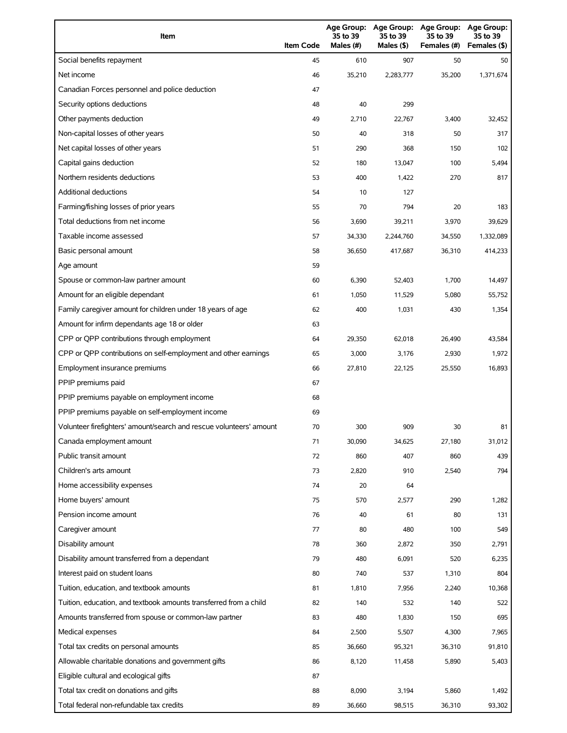| Item                                                                | <b>Item Code</b> | 35 to 39<br>Males (#) | 35 to 39<br>Males (\$) | Age Group: Age Group: Age Group:<br>35 to 39<br>Females (#) | <b>Age Group:</b><br>35 to 39<br>Females (\$) |
|---------------------------------------------------------------------|------------------|-----------------------|------------------------|-------------------------------------------------------------|-----------------------------------------------|
| Social benefits repayment                                           | 45               | 610                   | 907                    | 50                                                          | 50                                            |
| Net income                                                          | 46               | 35,210                | 2,283,777              | 35,200                                                      | 1,371,674                                     |
| Canadian Forces personnel and police deduction                      | 47               |                       |                        |                                                             |                                               |
| Security options deductions                                         | 48               | 40                    | 299                    |                                                             |                                               |
| Other payments deduction                                            | 49               | 2,710                 | 22,767                 | 3,400                                                       | 32,452                                        |
| Non-capital losses of other years                                   | 50               | 40                    | 318                    | 50                                                          | 317                                           |
| Net capital losses of other years                                   | 51               | 290                   | 368                    | 150                                                         | 102                                           |
| Capital gains deduction                                             | 52               | 180                   | 13,047                 | 100                                                         | 5,494                                         |
| Northern residents deductions                                       | 53               | 400                   | 1,422                  | 270                                                         | 817                                           |
| Additional deductions                                               | 54               | 10                    | 127                    |                                                             |                                               |
| Farming/fishing losses of prior years                               | 55               | 70                    | 794                    | 20                                                          | 183                                           |
| Total deductions from net income                                    | 56               | 3,690                 | 39,211                 | 3,970                                                       | 39,629                                        |
| Taxable income assessed                                             | 57               | 34,330                | 2,244,760              | 34,550                                                      | 1,332,089                                     |
| Basic personal amount                                               | 58               | 36.650                | 417,687                | 36,310                                                      | 414,233                                       |
| Age amount                                                          | 59               |                       |                        |                                                             |                                               |
| Spouse or common-law partner amount                                 | 60               | 6,390                 | 52,403                 | 1,700                                                       | 14,497                                        |
| Amount for an eligible dependant                                    | 61               | 1,050                 | 11,529                 | 5,080                                                       | 55,752                                        |
| Family caregiver amount for children under 18 years of age          | 62               | 400                   | 1,031                  | 430                                                         | 1,354                                         |
| Amount for infirm dependants age 18 or older                        | 63               |                       |                        |                                                             |                                               |
| CPP or QPP contributions through employment                         | 64               | 29,350                | 62,018                 | 26,490                                                      | 43,584                                        |
| CPP or QPP contributions on self-employment and other earnings      | 65               | 3,000                 | 3,176                  | 2,930                                                       | 1,972                                         |
| Employment insurance premiums                                       | 66               | 27,810                | 22,125                 | 25,550                                                      | 16,893                                        |
| PPIP premiums paid                                                  | 67               |                       |                        |                                                             |                                               |
| PPIP premiums payable on employment income                          | 68               |                       |                        |                                                             |                                               |
| PPIP premiums payable on self-employment income                     | 69               |                       |                        |                                                             |                                               |
| Volunteer firefighters' amount/search and rescue volunteers' amount | 70               | 300                   | 909                    | 30                                                          | 81                                            |
| Canada employment amount                                            | 71               | 30,090                | 34,625                 | 27,180                                                      | 31,012                                        |
| Public transit amount                                               | 72               | 860                   | 407                    | 860                                                         | 439                                           |
| Children's arts amount                                              | 73               | 2,820                 | 910                    | 2,540                                                       | 794                                           |
| Home accessibility expenses                                         | 74               | 20                    | 64                     |                                                             |                                               |
| Home buyers' amount                                                 | 75               | 570                   | 2,577                  | 290                                                         | 1,282                                         |
| Pension income amount                                               | 76               | 40                    | 61                     | 80                                                          | 131                                           |
| Caregiver amount                                                    | 77               | 80                    | 480                    | 100                                                         | 549                                           |
| Disability amount                                                   | 78               | 360                   | 2,872                  | 350                                                         | 2,791                                         |
| Disability amount transferred from a dependant                      | 79               | 480                   | 6,091                  | 520                                                         | 6,235                                         |
| Interest paid on student loans                                      | 80               | 740                   | 537                    | 1,310                                                       | 804                                           |
| Tuition, education, and textbook amounts                            | 81               | 1,810                 | 7,956                  | 2,240                                                       | 10,368                                        |
| Tuition, education, and textbook amounts transferred from a child   | 82               | 140                   | 532                    | 140                                                         | 522                                           |
| Amounts transferred from spouse or common-law partner               | 83               | 480                   | 1,830                  | 150                                                         | 695                                           |
| Medical expenses                                                    | 84               | 2,500                 | 5,507                  | 4,300                                                       | 7,965                                         |
| Total tax credits on personal amounts                               | 85               | 36,660                | 95,321                 | 36,310                                                      | 91,810                                        |
| Allowable charitable donations and government gifts                 | 86               | 8,120                 | 11,458                 | 5,890                                                       | 5,403                                         |
| Eligible cultural and ecological gifts                              | 87               |                       |                        |                                                             |                                               |
| Total tax credit on donations and gifts                             | 88               | 8,090                 | 3,194                  | 5,860                                                       | 1,492                                         |
| Total federal non-refundable tax credits                            | 89               | 36,660                | 98,515                 | 36,310                                                      | 93,302                                        |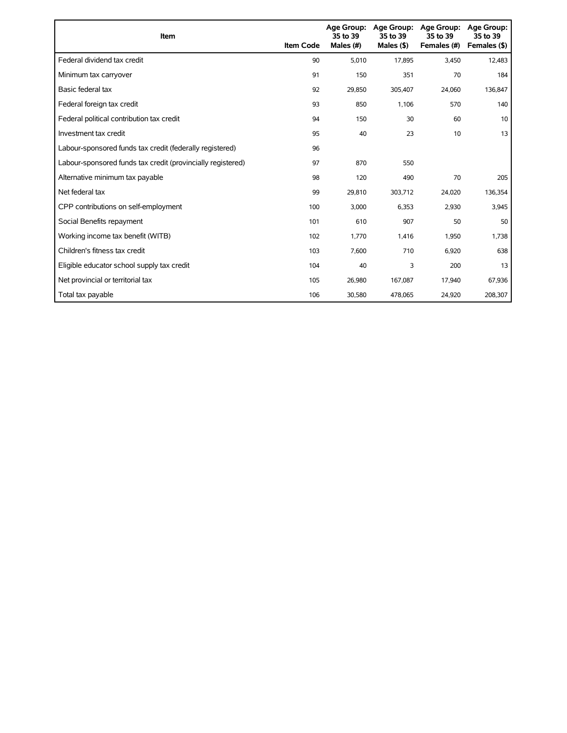| Item                                                        | <b>Item Code</b> | Age Group:<br>35 to 39<br>Males (#) | <b>Age Group:</b><br>35 to 39<br>Males $($ \$) | <b>Age Group:</b><br>35 to 39<br>Females (#) | <b>Age Group:</b><br>35 to 39<br>Females (\$) |
|-------------------------------------------------------------|------------------|-------------------------------------|------------------------------------------------|----------------------------------------------|-----------------------------------------------|
| Federal dividend tax credit                                 | 90               | 5,010                               | 17,895                                         | 3,450                                        | 12,483                                        |
| Minimum tax carryover                                       | 91               | 150                                 | 351                                            | 70                                           | 184                                           |
| Basic federal tax                                           | 92               | 29.850                              | 305,407                                        | 24,060                                       | 136,847                                       |
| Federal foreign tax credit                                  | 93               | 850                                 | 1,106                                          | 570                                          | 140                                           |
| Federal political contribution tax credit                   | 94               | 150                                 | 30                                             | 60                                           | 10                                            |
| Investment tax credit                                       | 95               | 40                                  | 23                                             | 10                                           | 13                                            |
| Labour-sponsored funds tax credit (federally registered)    | 96               |                                     |                                                |                                              |                                               |
| Labour-sponsored funds tax credit (provincially registered) | 97               | 870                                 | 550                                            |                                              |                                               |
| Alternative minimum tax payable                             | 98               | 120                                 | 490                                            | 70                                           | 205                                           |
| Net federal tax                                             | 99               | 29,810                              | 303,712                                        | 24,020                                       | 136,354                                       |
| CPP contributions on self-employment                        | 100              | 3,000                               | 6,353                                          | 2,930                                        | 3,945                                         |
| Social Benefits repayment                                   | 101              | 610                                 | 907                                            | 50                                           | 50                                            |
| Working income tax benefit (WITB)                           | 102              | 1,770                               | 1,416                                          | 1,950                                        | 1,738                                         |
| Children's fitness tax credit                               | 103              | 7,600                               | 710                                            | 6,920                                        | 638                                           |
| Eligible educator school supply tax credit                  | 104              | 40                                  | 3                                              | 200                                          | 13                                            |
| Net provincial or territorial tax                           | 105              | 26,980                              | 167,087                                        | 17,940                                       | 67,936                                        |
| Total tax payable                                           | 106              | 30,580                              | 478,065                                        | 24,920                                       | 208,307                                       |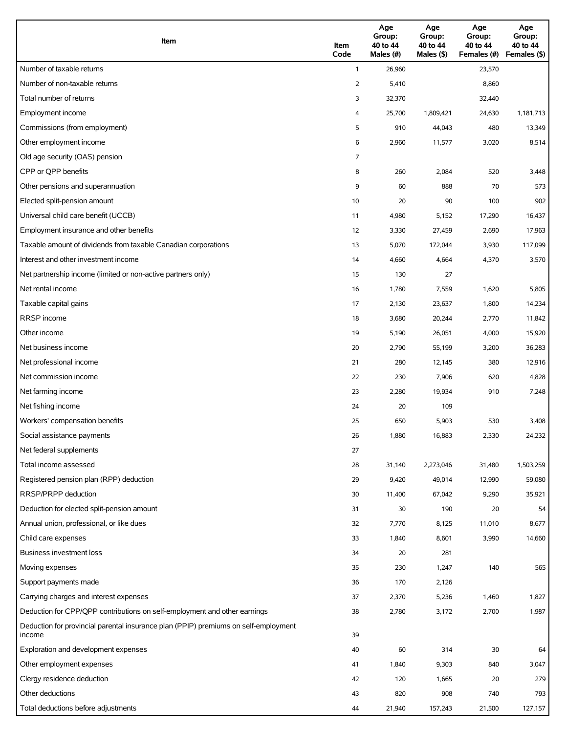| Item                                                                                          | Item<br>Code | Age<br>Group:<br>40 to 44<br>Males (#) | Age<br>Group:<br>40 to 44<br>Males (\$) | Age<br>Group:<br>40 to 44<br>Females (#) | Age<br>Group:<br>40 to 44<br>Females (\$) |
|-----------------------------------------------------------------------------------------------|--------------|----------------------------------------|-----------------------------------------|------------------------------------------|-------------------------------------------|
| Number of taxable returns                                                                     | $\mathbf{1}$ | 26,960                                 |                                         | 23,570                                   |                                           |
| Number of non-taxable returns                                                                 | 2            | 5,410                                  |                                         | 8,860                                    |                                           |
| Total number of returns                                                                       | 3            | 32,370                                 |                                         | 32,440                                   |                                           |
| Employment income                                                                             | 4            | 25,700                                 | 1,809,421                               | 24,630                                   | 1,181,713                                 |
| Commissions (from employment)                                                                 | 5            | 910                                    | 44,043                                  | 480                                      | 13,349                                    |
| Other employment income                                                                       | 6            | 2,960                                  | 11,577                                  | 3,020                                    | 8,514                                     |
| Old age security (OAS) pension                                                                | 7            |                                        |                                         |                                          |                                           |
| CPP or OPP benefits                                                                           | 8            | 260                                    | 2,084                                   | 520                                      | 3,448                                     |
| Other pensions and superannuation                                                             | 9            | 60                                     | 888                                     | 70                                       | 573                                       |
| Elected split-pension amount                                                                  | 10           | 20                                     | 90                                      | 100                                      | 902                                       |
| Universal child care benefit (UCCB)                                                           | 11           | 4,980                                  | 5,152                                   | 17,290                                   | 16,437                                    |
| Employment insurance and other benefits                                                       | 12           | 3,330                                  | 27,459                                  | 2,690                                    | 17,963                                    |
| Taxable amount of dividends from taxable Canadian corporations                                | 13           | 5,070                                  | 172,044                                 | 3,930                                    | 117,099                                   |
| Interest and other investment income                                                          | 14           | 4,660                                  | 4,664                                   | 4,370                                    | 3,570                                     |
| Net partnership income (limited or non-active partners only)                                  | 15           | 130                                    | 27                                      |                                          |                                           |
| Net rental income                                                                             | 16           | 1,780                                  | 7,559                                   | 1,620                                    | 5,805                                     |
| Taxable capital gains                                                                         | 17           | 2,130                                  | 23,637                                  | 1,800                                    | 14,234                                    |
| <b>RRSP</b> income                                                                            | 18           | 3,680                                  | 20,244                                  | 2,770                                    | 11,842                                    |
| Other income                                                                                  | 19           | 5,190                                  | 26,051                                  | 4,000                                    | 15,920                                    |
| Net business income                                                                           | 20           | 2,790                                  | 55,199                                  | 3,200                                    | 36,283                                    |
| Net professional income                                                                       | 21           | 280                                    | 12,145                                  | 380                                      | 12,916                                    |
| Net commission income                                                                         | 22           | 230                                    | 7,906                                   | 620                                      | 4,828                                     |
| Net farming income                                                                            | 23           | 2,280                                  | 19,934                                  | 910                                      | 7,248                                     |
| Net fishing income                                                                            | 24           | 20                                     | 109                                     |                                          |                                           |
| Workers' compensation benefits                                                                | 25           | 650                                    | 5,903                                   | 530                                      | 3,408                                     |
| Social assistance payments                                                                    | 26           | 1,880                                  | 16,883                                  | 2,330                                    | 24,232                                    |
| Net federal supplements                                                                       | 27           |                                        |                                         |                                          |                                           |
| Total income assessed                                                                         | 28           | 31,140                                 | 2,273,046                               | 31,480                                   | 1,503,259                                 |
| Registered pension plan (RPP) deduction                                                       | 29           | 9,420                                  | 49,014                                  | 12,990                                   | 59,080                                    |
| RRSP/PRPP deduction                                                                           | 30           | 11,400                                 | 67,042                                  | 9,290                                    | 35,921                                    |
| Deduction for elected split-pension amount                                                    | 31           | 30                                     | 190                                     | 20                                       | 54                                        |
| Annual union, professional, or like dues                                                      | 32           | 7,770                                  | 8,125                                   | 11,010                                   | 8,677                                     |
| Child care expenses                                                                           | 33           | 1,840                                  | 8,601                                   | 3,990                                    | 14,660                                    |
| Business investment loss                                                                      | 34           | 20                                     | 281                                     |                                          |                                           |
| Moving expenses                                                                               | 35           | 230                                    | 1,247                                   | 140                                      | 565                                       |
| Support payments made                                                                         | 36           | 170                                    | 2,126                                   |                                          |                                           |
| Carrying charges and interest expenses                                                        | 37           | 2,370                                  | 5,236                                   | 1,460                                    | 1,827                                     |
| Deduction for CPP/QPP contributions on self-employment and other earnings                     | 38           | 2,780                                  | 3,172                                   | 2,700                                    | 1,987                                     |
| Deduction for provincial parental insurance plan (PPIP) premiums on self-employment<br>income | 39           |                                        |                                         |                                          |                                           |
| Exploration and development expenses                                                          | 40           | 60                                     | 314                                     | 30                                       | 64                                        |
| Other employment expenses                                                                     | 41           | 1,840                                  | 9,303                                   | 840                                      | 3,047                                     |
| Clergy residence deduction                                                                    | 42           | 120                                    | 1,665                                   | 20                                       | 279                                       |
| Other deductions                                                                              | 43           | 820                                    | 908                                     | 740                                      | 793                                       |
| Total deductions before adjustments                                                           | 44           | 21,940                                 | 157,243                                 | 21,500                                   | 127,157                                   |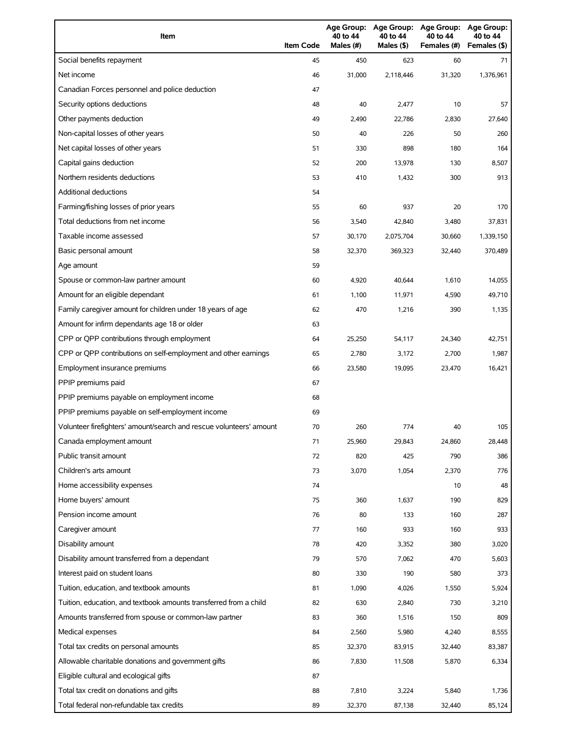| Item                                                                | <b>Item Code</b> | 40 to 44<br>Males (#) | 40 to 44<br>Males (\$) | Age Group: Age Group: Age Group:<br>40 to 44<br>Females (#) | Age Group:<br>40 to 44<br>Females (\$) |
|---------------------------------------------------------------------|------------------|-----------------------|------------------------|-------------------------------------------------------------|----------------------------------------|
| Social benefits repayment                                           | 45               | 450                   | 623                    | 60                                                          | 71                                     |
| Net income                                                          | 46               | 31,000                | 2,118,446              | 31,320                                                      | 1,376,961                              |
| Canadian Forces personnel and police deduction                      | 47               |                       |                        |                                                             |                                        |
| Security options deductions                                         | 48               | 40                    | 2,477                  | 10                                                          | 57                                     |
| Other payments deduction                                            | 49               | 2,490                 | 22,786                 | 2,830                                                       | 27,640                                 |
| Non-capital losses of other years                                   | 50               | 40                    | 226                    | 50                                                          | 260                                    |
| Net capital losses of other years                                   | 51               | 330                   | 898                    | 180                                                         | 164                                    |
| Capital gains deduction                                             | 52               | 200                   | 13,978                 | 130                                                         | 8,507                                  |
| Northern residents deductions                                       | 53               | 410                   | 1,432                  | 300                                                         | 913                                    |
| Additional deductions                                               | 54               |                       |                        |                                                             |                                        |
| Farming/fishing losses of prior years                               | 55               | 60                    | 937                    | 20                                                          | 170                                    |
| Total deductions from net income                                    | 56               | 3,540                 | 42,840                 | 3,480                                                       | 37,831                                 |
| Taxable income assessed                                             | 57               | 30,170                | 2,075,704              | 30,660                                                      | 1,339,150                              |
| Basic personal amount                                               | 58               | 32,370                | 369,323                | 32,440                                                      | 370,489                                |
| Age amount                                                          | 59               |                       |                        |                                                             |                                        |
| Spouse or common-law partner amount                                 | 60               | 4,920                 | 40.644                 | 1,610                                                       | 14,055                                 |
| Amount for an eligible dependant                                    | 61               | 1,100                 | 11,971                 | 4,590                                                       | 49,710                                 |
| Family caregiver amount for children under 18 years of age          | 62               | 470                   | 1,216                  | 390                                                         | 1,135                                  |
| Amount for infirm dependants age 18 or older                        | 63               |                       |                        |                                                             |                                        |
| CPP or QPP contributions through employment                         | 64               | 25,250                | 54,117                 | 24,340                                                      | 42,751                                 |
| CPP or QPP contributions on self-employment and other earnings      | 65               | 2,780                 | 3,172                  | 2,700                                                       | 1,987                                  |
| Employment insurance premiums                                       | 66               | 23,580                | 19,095                 | 23,470                                                      | 16,421                                 |
| PPIP premiums paid                                                  | 67               |                       |                        |                                                             |                                        |
| PPIP premiums payable on employment income                          | 68               |                       |                        |                                                             |                                        |
| PPIP premiums payable on self-employment income                     | 69               |                       |                        |                                                             |                                        |
| Volunteer firefighters' amount/search and rescue volunteers' amount | 70               | 260                   | 774                    | 40                                                          | 105                                    |
| Canada employment amount                                            | 71               | 25,960                | 29,843                 | 24,860                                                      | 28,448                                 |
| Public transit amount                                               | 72               | 820                   | 425                    | 790                                                         | 386                                    |
| Children's arts amount                                              | 73               | 3,070                 | 1,054                  | 2,370                                                       | 776                                    |
| Home accessibility expenses                                         | 74               |                       |                        | 10                                                          | 48                                     |
| Home buyers' amount                                                 | 75               | 360                   | 1,637                  | 190                                                         | 829                                    |
| Pension income amount                                               | 76               | 80                    | 133                    | 160                                                         | 287                                    |
| Caregiver amount                                                    | 77               | 160                   | 933                    | 160                                                         | 933                                    |
| Disability amount                                                   | 78               | 420                   | 3,352                  | 380                                                         | 3,020                                  |
| Disability amount transferred from a dependant                      | 79               | 570                   | 7,062                  | 470                                                         | 5,603                                  |
| Interest paid on student loans                                      | 80               | 330                   | 190                    | 580                                                         | 373                                    |
| Tuition, education, and textbook amounts                            | 81               | 1,090                 | 4,026                  | 1,550                                                       | 5,924                                  |
| Tuition, education, and textbook amounts transferred from a child   | 82               | 630                   | 2,840                  | 730                                                         | 3,210                                  |
| Amounts transferred from spouse or common-law partner               | 83               | 360                   | 1,516                  | 150                                                         | 809                                    |
| Medical expenses                                                    | 84               | 2,560                 | 5,980                  | 4,240                                                       | 8,555                                  |
| Total tax credits on personal amounts                               | 85               | 32,370                | 83,915                 | 32,440                                                      | 83,387                                 |
| Allowable charitable donations and government gifts                 | 86               | 7,830                 | 11,508                 | 5,870                                                       | 6,334                                  |
| Eligible cultural and ecological gifts                              | 87               |                       |                        |                                                             |                                        |
| Total tax credit on donations and gifts                             | 88               | 7,810                 | 3,224                  | 5,840                                                       | 1,736                                  |
| Total federal non-refundable tax credits                            | 89               | 32,370                | 87,138                 | 32,440                                                      | 85,124                                 |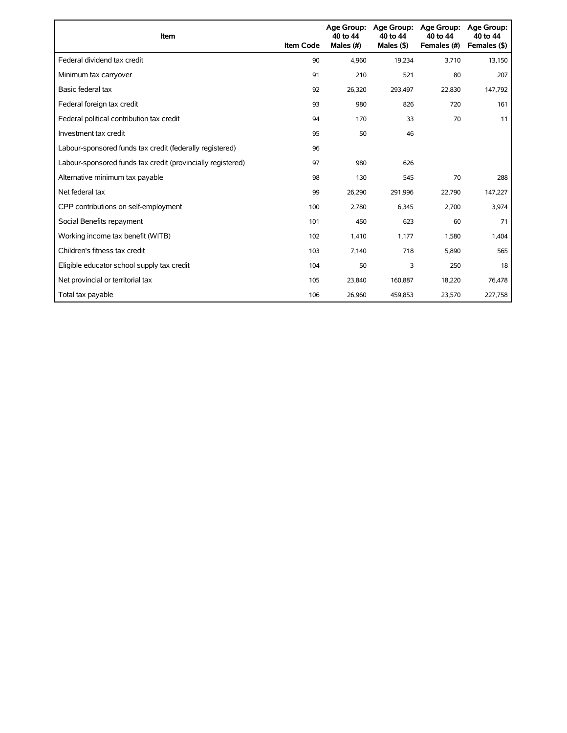| Item                                                        | <b>Item Code</b> | <b>Age Group:</b><br>40 to 44<br>Males (#) | <b>Age Group:</b><br>40 to 44<br>Males $($ \$) | <b>Age Group:</b><br>40 to 44<br>Females (#) | <b>Age Group:</b><br>40 to 44<br>Females (\$) |
|-------------------------------------------------------------|------------------|--------------------------------------------|------------------------------------------------|----------------------------------------------|-----------------------------------------------|
| Federal dividend tax credit                                 | 90               | 4,960                                      | 19,234                                         | 3,710                                        | 13,150                                        |
| Minimum tax carryover                                       | 91               | 210                                        | 521                                            | 80                                           | 207                                           |
| Basic federal tax                                           | 92               | 26,320                                     | 293,497                                        | 22,830                                       | 147,792                                       |
| Federal foreign tax credit                                  | 93               | 980                                        | 826                                            | 720                                          | 161                                           |
| Federal political contribution tax credit                   | 94               | 170                                        | 33                                             | 70                                           | 11                                            |
| Investment tax credit                                       | 95               | 50                                         | 46                                             |                                              |                                               |
| Labour-sponsored funds tax credit (federally registered)    | 96               |                                            |                                                |                                              |                                               |
| Labour-sponsored funds tax credit (provincially registered) | 97               | 980                                        | 626                                            |                                              |                                               |
| Alternative minimum tax payable                             | 98               | 130                                        | 545                                            | 70                                           | 288                                           |
| Net federal tax                                             | 99               | 26,290                                     | 291,996                                        | 22,790                                       | 147,227                                       |
| CPP contributions on self-employment                        | 100              | 2,780                                      | 6,345                                          | 2,700                                        | 3,974                                         |
| Social Benefits repayment                                   | 101              | 450                                        | 623                                            | 60                                           | 71                                            |
| Working income tax benefit (WITB)                           | 102              | 1,410                                      | 1,177                                          | 1,580                                        | 1,404                                         |
| Children's fitness tax credit                               | 103              | 7,140                                      | 718                                            | 5,890                                        | 565                                           |
| Eligible educator school supply tax credit                  | 104              | 50                                         | 3                                              | 250                                          | 18                                            |
| Net provincial or territorial tax                           | 105              | 23,840                                     | 160,887                                        | 18,220                                       | 76,478                                        |
| Total tax payable                                           | 106              | 26,960                                     | 459,853                                        | 23,570                                       | 227,758                                       |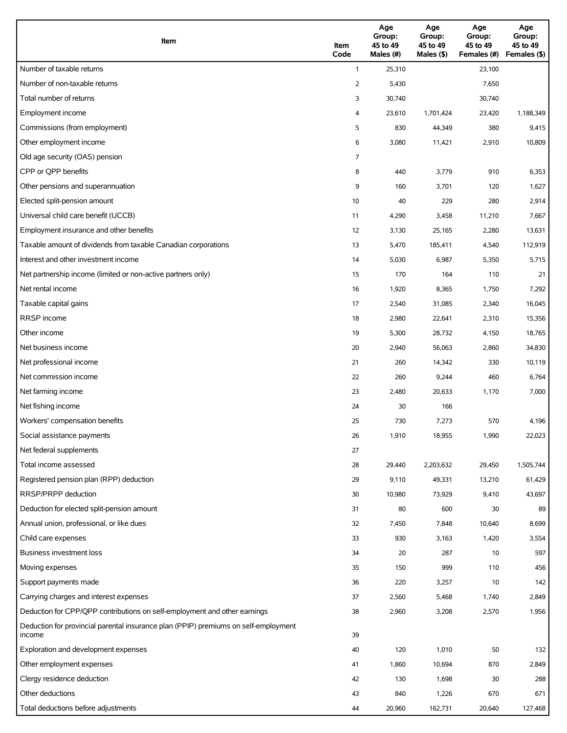| Item                                                                                          | Item<br>Code | Age<br>Group:<br>45 to 49<br>Males (#) | Age<br>Group:<br>45 to 49<br>Males (\$) | Age<br>Group:<br>45 to 49<br>Females (#) | Age<br>Group:<br>45 to 49<br>Females (\$) |
|-----------------------------------------------------------------------------------------------|--------------|----------------------------------------|-----------------------------------------|------------------------------------------|-------------------------------------------|
| Number of taxable returns                                                                     | $\mathbf{1}$ | 25,310                                 |                                         | 23,100                                   |                                           |
| Number of non-taxable returns                                                                 | 2            | 5,430                                  |                                         | 7,650                                    |                                           |
| Total number of returns                                                                       | 3            | 30,740                                 |                                         | 30,740                                   |                                           |
| Employment income                                                                             | 4            | 23,610                                 | 1,701,424                               | 23,420                                   | 1,188,349                                 |
| Commissions (from employment)                                                                 | 5            | 830                                    | 44,349                                  | 380                                      | 9,415                                     |
| Other employment income                                                                       | 6            | 3,080                                  | 11,421                                  | 2,910                                    | 10,809                                    |
| Old age security (OAS) pension                                                                | 7            |                                        |                                         |                                          |                                           |
| CPP or OPP benefits                                                                           | 8            | 440                                    | 3,779                                   | 910                                      | 6,353                                     |
| Other pensions and superannuation                                                             | 9            | 160                                    | 3,701                                   | 120                                      | 1,627                                     |
| Elected split-pension amount                                                                  | 10           | 40                                     | 229                                     | 280                                      | 2,914                                     |
| Universal child care benefit (UCCB)                                                           | 11           | 4,290                                  | 3,458                                   | 11,210                                   | 7,667                                     |
| Employment insurance and other benefits                                                       | 12           | 3,130                                  | 25,165                                  | 2,280                                    | 13,631                                    |
| Taxable amount of dividends from taxable Canadian corporations                                | 13           | 5,470                                  | 185,411                                 | 4,540                                    | 112,919                                   |
| Interest and other investment income                                                          | 14           | 5,030                                  | 6,987                                   | 5,350                                    | 5,715                                     |
| Net partnership income (limited or non-active partners only)                                  | 15           | 170                                    | 164                                     | 110                                      | 21                                        |
| Net rental income                                                                             | 16           | 1,920                                  | 8,365                                   | 1,750                                    | 7,292                                     |
| Taxable capital gains                                                                         | 17           | 2,540                                  | 31,085                                  | 2,340                                    | 16,045                                    |
| <b>RRSP</b> income                                                                            | 18           | 2,980                                  | 22,641                                  | 2,310                                    | 15,356                                    |
| Other income                                                                                  | 19           | 5,300                                  | 28,732                                  | 4,150                                    | 18,765                                    |
| Net business income                                                                           | 20           | 2,940                                  | 56,063                                  | 2,860                                    | 34,830                                    |
| Net professional income                                                                       | 21           | 260                                    | 14,342                                  | 330                                      | 10,119                                    |
| Net commission income                                                                         | 22           | 260                                    | 9,244                                   | 460                                      | 6,764                                     |
| Net farming income                                                                            | 23           | 2,480                                  | 20,633                                  | 1,170                                    | 7,000                                     |
| Net fishing income                                                                            | 24           | 30                                     | 166                                     |                                          |                                           |
| Workers' compensation benefits                                                                | 25           | 730                                    | 7,273                                   | 570                                      | 4,196                                     |
| Social assistance payments                                                                    | 26           | 1,910                                  | 18,955                                  | 1,990                                    | 22,023                                    |
| Net federal supplements                                                                       | 27           |                                        |                                         |                                          |                                           |
| Total income assessed                                                                         | 28           | 29,440                                 | 2,203,632                               | 29,450                                   | 1,505,744                                 |
| Registered pension plan (RPP) deduction                                                       | 29           | 9,110                                  | 49,331                                  | 13,210                                   | 61,429                                    |
| RRSP/PRPP deduction                                                                           | 30           | 10,980                                 | 73,929                                  | 9,410                                    | 43,697                                    |
| Deduction for elected split-pension amount                                                    | 31           | 80                                     | 600                                     | 30                                       | 89                                        |
| Annual union, professional, or like dues                                                      | 32           | 7,450                                  | 7,848                                   | 10,640                                   | 8,699                                     |
| Child care expenses                                                                           | 33           | 930                                    | 3,163                                   | 1,420                                    | 3,554                                     |
| Business investment loss                                                                      | 34           | 20                                     | 287                                     | 10                                       | 597                                       |
| Moving expenses                                                                               | 35           | 150                                    | 999                                     | 110                                      | 456                                       |
| Support payments made                                                                         | 36           | 220                                    | 3,257                                   | 10                                       | 142                                       |
| Carrying charges and interest expenses                                                        | 37           | 2,560                                  | 5,468                                   | 1,740                                    | 2,849                                     |
| Deduction for CPP/QPP contributions on self-employment and other earnings                     | 38           | 2,960                                  | 3,208                                   | 2,570                                    | 1,956                                     |
| Deduction for provincial parental insurance plan (PPIP) premiums on self-employment<br>income | 39           |                                        |                                         |                                          |                                           |
| Exploration and development expenses                                                          | 40           | 120                                    | 1,010                                   | 50                                       | 132                                       |
| Other employment expenses                                                                     | 41           | 1,860                                  | 10,694                                  | 870                                      | 2,849                                     |
| Clergy residence deduction                                                                    | 42           | 130                                    | 1,698                                   | 30                                       | 288                                       |
| Other deductions                                                                              | 43           | 840                                    | 1,226                                   | 670                                      | 671                                       |
| Total deductions before adjustments                                                           | 44           | 20,960                                 | 162,731                                 | 20,640                                   | 127,468                                   |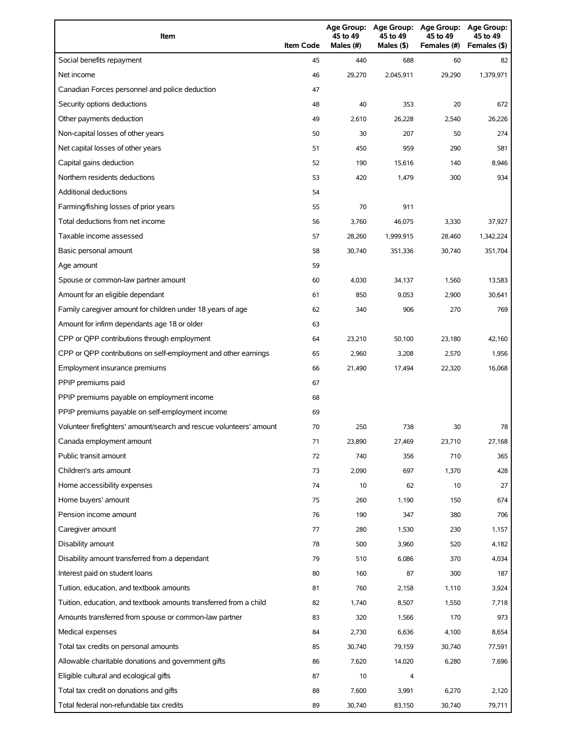| Item                                                                | <b>Item Code</b> | 45 to 49<br>Males (#) | 45 to 49<br>Males (\$) | Age Group: Age Group: Age Group:<br>45 to 49<br>Females (#) | Age Group:<br>45 to 49<br>Females (\$) |
|---------------------------------------------------------------------|------------------|-----------------------|------------------------|-------------------------------------------------------------|----------------------------------------|
| Social benefits repayment                                           | 45               | 440                   | 688                    | 60                                                          | 82                                     |
| Net income                                                          | 46               | 29,270                | 2,045,911              | 29,290                                                      | 1,379,971                              |
| Canadian Forces personnel and police deduction                      | 47               |                       |                        |                                                             |                                        |
| Security options deductions                                         | 48               | 40                    | 353                    | 20                                                          | 672                                    |
| Other payments deduction                                            | 49               | 2,610                 | 26,228                 | 2,540                                                       | 26,226                                 |
| Non-capital losses of other years                                   | 50               | 30                    | 207                    | 50                                                          | 274                                    |
| Net capital losses of other years                                   | 51               | 450                   | 959                    | 290                                                         | 581                                    |
| Capital gains deduction                                             | 52               | 190                   | 15,616                 | 140                                                         | 8,946                                  |
| Northern residents deductions                                       | 53               | 420                   | 1,479                  | 300                                                         | 934                                    |
| Additional deductions                                               | 54               |                       |                        |                                                             |                                        |
| Farming/fishing losses of prior years                               | 55               | 70                    | 911                    |                                                             |                                        |
| Total deductions from net income                                    | 56               | 3,760                 | 46,075                 | 3,330                                                       | 37,927                                 |
| Taxable income assessed                                             | 57               | 28,260                | 1,999,915              | 28,460                                                      | 1,342,224                              |
| Basic personal amount                                               | 58               | 30.740                | 351,336                | 30,740                                                      | 351,704                                |
| Age amount                                                          | 59               |                       |                        |                                                             |                                        |
| Spouse or common-law partner amount                                 | 60               | 4,030                 | 34,137                 | 1,560                                                       | 13,583                                 |
| Amount for an eligible dependant                                    | 61               | 850                   | 9,053                  | 2,900                                                       | 30,641                                 |
| Family caregiver amount for children under 18 years of age          | 62               | 340                   | 906                    | 270                                                         | 769                                    |
| Amount for infirm dependants age 18 or older                        | 63               |                       |                        |                                                             |                                        |
| CPP or QPP contributions through employment                         | 64               | 23,210                | 50,100                 | 23,180                                                      | 42,160                                 |
| CPP or QPP contributions on self-employment and other earnings      | 65               | 2,960                 | 3,208                  | 2,570                                                       | 1,956                                  |
| Employment insurance premiums                                       | 66               | 21,490                | 17,494                 | 22,320                                                      | 16,068                                 |
| PPIP premiums paid                                                  | 67               |                       |                        |                                                             |                                        |
| PPIP premiums payable on employment income                          | 68               |                       |                        |                                                             |                                        |
| PPIP premiums payable on self-employment income                     | 69               |                       |                        |                                                             |                                        |
| Volunteer firefighters' amount/search and rescue volunteers' amount | 70               | 250                   | 738                    | 30                                                          | 78                                     |
| Canada employment amount                                            | 71               | 23,890                | 27,469                 | 23,710                                                      | 27,168                                 |
| Public transit amount                                               | 72               | 740                   | 356                    | 710                                                         | 365                                    |
| Children's arts amount                                              | 73               | 2,090                 | 697                    | 1,370                                                       | 428                                    |
| Home accessibility expenses                                         | 74               | 10                    | 62                     | 10                                                          | 27                                     |
| Home buyers' amount                                                 | 75               | 260                   | 1,190                  | 150                                                         | 674                                    |
| Pension income amount                                               | 76               | 190                   | 347                    | 380                                                         | 706                                    |
| Caregiver amount                                                    | 77               | 280                   | 1,530                  | 230                                                         | 1,157                                  |
| Disability amount                                                   | 78               | 500                   | 3,960                  | 520                                                         | 4,182                                  |
| Disability amount transferred from a dependant                      | 79               | 510                   | 6,086                  | 370                                                         | 4,034                                  |
| Interest paid on student loans                                      | 80               | 160                   | 87                     | 300                                                         | 187                                    |
| Tuition, education, and textbook amounts                            | 81               | 760                   | 2,158                  | 1,110                                                       | 3,924                                  |
| Tuition, education, and textbook amounts transferred from a child   | 82               | 1,740                 | 8,507                  | 1,550                                                       | 7,718                                  |
| Amounts transferred from spouse or common-law partner               | 83               | 320                   | 1,566                  | 170                                                         | 973                                    |
| Medical expenses                                                    | 84               | 2,730                 | 6,636                  | 4,100                                                       | 8,654                                  |
| Total tax credits on personal amounts                               | 85               | 30,740                | 79,159                 | 30,740                                                      | 77,591                                 |
| Allowable charitable donations and government gifts                 | 86               | 7,620                 | 14,020                 | 6,280                                                       | 7,696                                  |
| Eligible cultural and ecological gifts                              | 87               | 10                    | 4                      |                                                             |                                        |
| Total tax credit on donations and gifts                             | 88               | 7,600                 | 3,991                  | 6,270                                                       | 2,120                                  |
| Total federal non-refundable tax credits                            | 89               | 30,740                | 83,150                 | 30,740                                                      | 79,711                                 |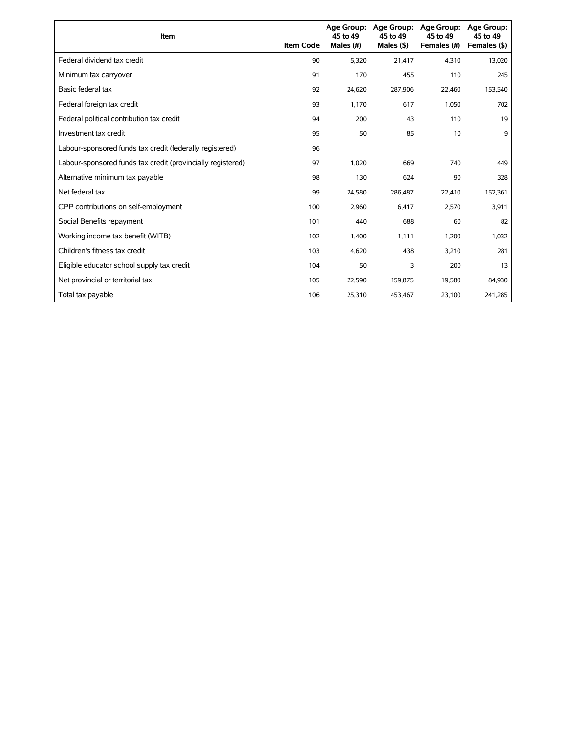| <b>Item</b>                                                 | <b>Item Code</b> | 45 to 49<br>Males (#) | Age Group: Age Group:<br>45 to 49<br>Males $($ \$) | <b>Age Group:</b><br>45 to 49<br>Females (#) | <b>Age Group:</b><br>45 to 49<br>Females (\$) |
|-------------------------------------------------------------|------------------|-----------------------|----------------------------------------------------|----------------------------------------------|-----------------------------------------------|
| Federal dividend tax credit                                 | 90               | 5,320                 | 21,417                                             | 4,310                                        | 13,020                                        |
| Minimum tax carryover                                       | 91               | 170                   | 455                                                | 110                                          | 245                                           |
| Basic federal tax                                           | 92               | 24,620                | 287,906                                            | 22,460                                       | 153,540                                       |
| Federal foreign tax credit                                  | 93               | 1,170                 | 617                                                | 1,050                                        | 702                                           |
| Federal political contribution tax credit                   | 94               | 200                   | 43                                                 | 110                                          | 19                                            |
| Investment tax credit                                       | 95               | 50                    | 85                                                 | 10                                           | 9                                             |
| Labour-sponsored funds tax credit (federally registered)    | 96               |                       |                                                    |                                              |                                               |
| Labour-sponsored funds tax credit (provincially registered) | 97               | 1,020                 | 669                                                | 740                                          | 449                                           |
| Alternative minimum tax payable                             | 98               | 130                   | 624                                                | 90                                           | 328                                           |
| Net federal tax                                             | 99               | 24,580                | 286,487                                            | 22,410                                       | 152,361                                       |
| CPP contributions on self-employment                        | 100              | 2,960                 | 6,417                                              | 2,570                                        | 3,911                                         |
| Social Benefits repayment                                   | 101              | 440                   | 688                                                | 60                                           | 82                                            |
| Working income tax benefit (WITB)                           | 102              | 1,400                 | 1,111                                              | 1,200                                        | 1,032                                         |
| Children's fitness tax credit                               | 103              | 4,620                 | 438                                                | 3,210                                        | 281                                           |
| Eligible educator school supply tax credit                  | 104              | 50                    | 3                                                  | 200                                          | 13                                            |
| Net provincial or territorial tax                           | 105              | 22,590                | 159,875                                            | 19,580                                       | 84,930                                        |
| Total tax payable                                           | 106              | 25,310                | 453,467                                            | 23,100                                       | 241,285                                       |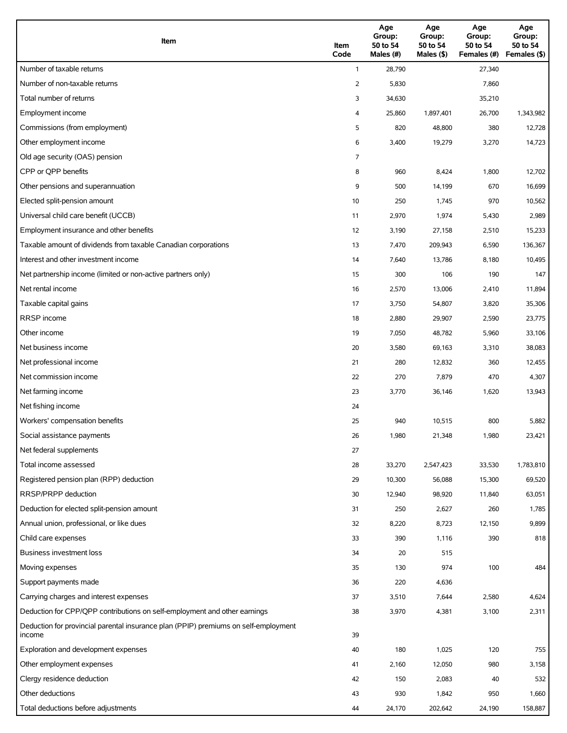| Item                                                                                          | Item<br>Code   | Age<br>Group:<br>50 to 54<br>Males (#) | Age<br>Group:<br>50 to 54<br>Males (\$) | Age<br>Group:<br>50 to 54<br>Females (#) | Age<br>Group:<br>50 to 54<br>Females (\$) |
|-----------------------------------------------------------------------------------------------|----------------|----------------------------------------|-----------------------------------------|------------------------------------------|-------------------------------------------|
| Number of taxable returns                                                                     | $\mathbf{1}$   | 28,790                                 |                                         | 27,340                                   |                                           |
| Number of non-taxable returns                                                                 | $\overline{2}$ | 5,830                                  |                                         | 7,860                                    |                                           |
| Total number of returns                                                                       | 3              | 34,630                                 |                                         | 35,210                                   |                                           |
| Employment income                                                                             | 4              | 25,860                                 | 1,897,401                               | 26,700                                   | 1,343,982                                 |
| Commissions (from employment)                                                                 | 5              | 820                                    | 48,800                                  | 380                                      | 12,728                                    |
| Other employment income                                                                       | 6              | 3,400                                  | 19,279                                  | 3,270                                    | 14,723                                    |
| Old age security (OAS) pension                                                                | 7              |                                        |                                         |                                          |                                           |
| CPP or QPP benefits                                                                           | 8              | 960                                    | 8,424                                   | 1,800                                    | 12,702                                    |
| Other pensions and superannuation                                                             | 9              | 500                                    | 14,199                                  | 670                                      | 16,699                                    |
| Elected split-pension amount                                                                  | 10             | 250                                    | 1,745                                   | 970                                      | 10,562                                    |
| Universal child care benefit (UCCB)                                                           | 11             | 2,970                                  | 1,974                                   | 5,430                                    | 2,989                                     |
| Employment insurance and other benefits                                                       | 12             | 3,190                                  | 27,158                                  | 2,510                                    | 15,233                                    |
| Taxable amount of dividends from taxable Canadian corporations                                | 13             | 7,470                                  | 209,943                                 | 6,590                                    | 136,367                                   |
| Interest and other investment income                                                          | 14             | 7,640                                  | 13,786                                  | 8,180                                    | 10,495                                    |
| Net partnership income (limited or non-active partners only)                                  | 15             | 300                                    | 106                                     | 190                                      | 147                                       |
| Net rental income                                                                             | 16             | 2,570                                  | 13,006                                  | 2,410                                    | 11,894                                    |
| Taxable capital gains                                                                         | 17             | 3,750                                  | 54,807                                  | 3,820                                    | 35,306                                    |
| <b>RRSP</b> income                                                                            | 18             | 2,880                                  | 29,907                                  | 2,590                                    | 23,775                                    |
| Other income                                                                                  | 19             | 7,050                                  | 48,782                                  | 5,960                                    | 33,106                                    |
| Net business income                                                                           | 20             | 3,580                                  | 69,163                                  | 3,310                                    | 38,083                                    |
| Net professional income                                                                       | 21             | 280                                    | 12,832                                  | 360                                      | 12,455                                    |
| Net commission income                                                                         | 22             | 270                                    | 7,879                                   | 470                                      | 4,307                                     |
| Net farming income                                                                            | 23             | 3,770                                  | 36,146                                  | 1,620                                    | 13,943                                    |
| Net fishing income                                                                            | 24             |                                        |                                         |                                          |                                           |
| Workers' compensation benefits                                                                | 25             | 940                                    | 10,515                                  | 800                                      | 5,882                                     |
| Social assistance payments                                                                    | 26             | 1,980                                  | 21,348                                  | 1,980                                    | 23,421                                    |
| Net federal supplements                                                                       | 27             |                                        |                                         |                                          |                                           |
| Total income assessed                                                                         | 28             | 33,270                                 | 2,547,423                               | 33,530                                   | 1,783,810                                 |
| Registered pension plan (RPP) deduction                                                       | 29             | 10,300                                 | 56,088                                  | 15,300                                   | 69,520                                    |
| RRSP/PRPP deduction                                                                           | 30             | 12,940                                 | 98,920                                  | 11,840                                   | 63,051                                    |
| Deduction for elected split-pension amount                                                    | 31             | 250                                    | 2,627                                   | 260                                      | 1,785                                     |
| Annual union, professional, or like dues                                                      | 32             | 8,220                                  | 8,723                                   | 12,150                                   | 9,899                                     |
| Child care expenses                                                                           | 33             | 390                                    | 1,116                                   | 390                                      | 818                                       |
| Business investment loss                                                                      | 34             | 20                                     | 515                                     |                                          |                                           |
| Moving expenses                                                                               | 35             | 130                                    | 974                                     | 100                                      | 484                                       |
| Support payments made                                                                         | 36             | 220                                    | 4,636                                   |                                          |                                           |
| Carrying charges and interest expenses                                                        | 37             | 3,510                                  | 7,644                                   | 2,580                                    | 4,624                                     |
| Deduction for CPP/QPP contributions on self-employment and other earnings                     | 38             | 3,970                                  | 4,381                                   | 3,100                                    | 2,311                                     |
| Deduction for provincial parental insurance plan (PPIP) premiums on self-employment<br>income | 39             |                                        |                                         |                                          |                                           |
| Exploration and development expenses                                                          | 40             | 180                                    | 1,025                                   | 120                                      | 755                                       |
| Other employment expenses                                                                     | 41             | 2,160                                  | 12,050                                  | 980                                      | 3,158                                     |
| Clergy residence deduction                                                                    | 42             | 150                                    | 2,083                                   | 40                                       | 532                                       |
| Other deductions                                                                              | 43             | 930                                    | 1,842                                   | 950                                      | 1,660                                     |
| Total deductions before adjustments                                                           | 44             | 24,170                                 | 202,642                                 | 24,190                                   | 158,887                                   |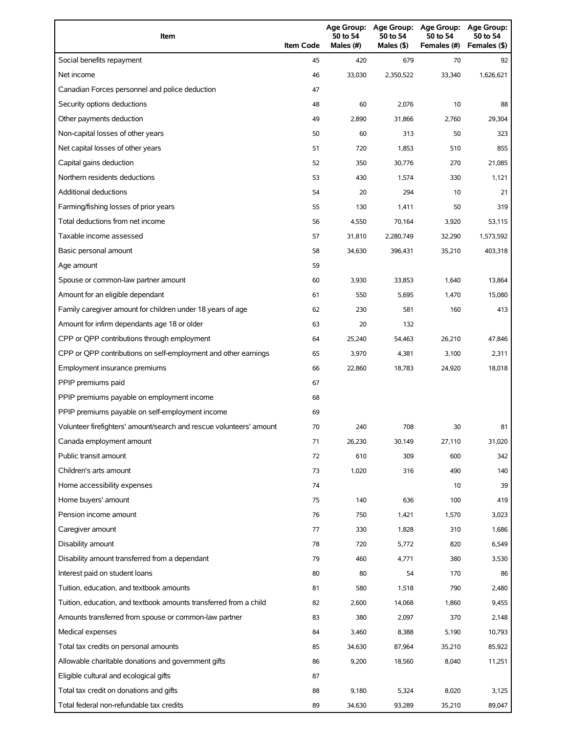| Item                                                                | <b>Item Code</b> | 50 to 54<br>Males (#) | 50 to 54<br>Males $(§)$ | Age Group: Age Group: Age Group:<br>50 to 54<br>Females (#) | Age Group:<br>50 to 54<br>Females (\$) |
|---------------------------------------------------------------------|------------------|-----------------------|-------------------------|-------------------------------------------------------------|----------------------------------------|
| Social benefits repayment                                           | 45               | 420                   | 679                     | 70                                                          | 92                                     |
| Net income                                                          | 46               | 33,030                | 2,350,522               | 33,340                                                      | 1,626,621                              |
| Canadian Forces personnel and police deduction                      | 47               |                       |                         |                                                             |                                        |
| Security options deductions                                         | 48               | 60                    | 2,076                   | 10                                                          | 88                                     |
| Other payments deduction                                            | 49               | 2,890                 | 31,866                  | 2,760                                                       | 29,304                                 |
| Non-capital losses of other years                                   | 50               | 60                    | 313                     | 50                                                          | 323                                    |
| Net capital losses of other years                                   | 51               | 720                   | 1,853                   | 510                                                         | 855                                    |
| Capital gains deduction                                             | 52               | 350                   | 30,776                  | 270                                                         | 21,085                                 |
| Northern residents deductions                                       | 53               | 430                   | 1,574                   | 330                                                         | 1,121                                  |
| Additional deductions                                               | 54               | 20                    | 294                     | 10                                                          | 21                                     |
| Farming/fishing losses of prior years                               | 55               | 130                   | 1,411                   | 50                                                          | 319                                    |
| Total deductions from net income                                    | 56               | 4,550                 | 70,164                  | 3,920                                                       | 53,115                                 |
| Taxable income assessed                                             | 57               | 31,810                | 2,280,749               | 32,290                                                      | 1,573,592                              |
| Basic personal amount                                               | 58               | 34,630                | 396.431                 | 35,210                                                      | 403,318                                |
| Age amount                                                          | 59               |                       |                         |                                                             |                                        |
| Spouse or common-law partner amount                                 | 60               | 3,930                 | 33,853                  | 1,640                                                       | 13,864                                 |
| Amount for an eligible dependant                                    | 61               | 550                   | 5,695                   | 1,470                                                       | 15,080                                 |
| Family caregiver amount for children under 18 years of age          | 62               | 230                   | 581                     | 160                                                         | 413                                    |
| Amount for infirm dependants age 18 or older                        | 63               | 20                    | 132                     |                                                             |                                        |
| CPP or QPP contributions through employment                         | 64               | 25,240                | 54,463                  | 26,210                                                      | 47,846                                 |
| CPP or QPP contributions on self-employment and other earnings      | 65               | 3,970                 | 4,381                   | 3,100                                                       | 2,311                                  |
| Employment insurance premiums                                       | 66               | 22,860                | 18,783                  | 24,920                                                      | 18,018                                 |
| PPIP premiums paid                                                  | 67               |                       |                         |                                                             |                                        |
| PPIP premiums payable on employment income                          | 68               |                       |                         |                                                             |                                        |
| PPIP premiums payable on self-employment income                     | 69               |                       |                         |                                                             |                                        |
| Volunteer firefighters' amount/search and rescue volunteers' amount | 70               | 240                   | 708                     | 30                                                          | 81                                     |
| Canada employment amount                                            | 71               | 26,230                | 30,149                  | 27,110                                                      | 31,020                                 |
| Public transit amount                                               | 72               | 610                   | 309                     | 600                                                         | 342                                    |
| Children's arts amount                                              | 73               | 1,020                 | 316                     | 490                                                         | 140                                    |
| Home accessibility expenses                                         | 74               |                       |                         | 10                                                          | 39                                     |
| Home buyers' amount                                                 | 75               | 140                   | 636                     | 100                                                         | 419                                    |
| Pension income amount                                               | 76               | 750                   | 1,421                   | 1,570                                                       | 3,023                                  |
| Caregiver amount                                                    | 77               | 330                   | 1,828                   | 310                                                         | 1,686                                  |
| Disability amount                                                   | 78               | 720                   | 5,772                   | 820                                                         | 6,549                                  |
| Disability amount transferred from a dependant                      | 79               | 460                   | 4,771                   | 380                                                         | 3,530                                  |
| Interest paid on student loans                                      | 80               | 80                    | 54                      | 170                                                         | 86                                     |
| Tuition, education, and textbook amounts                            | 81               | 580                   | 1,518                   | 790                                                         | 2,480                                  |
| Tuition, education, and textbook amounts transferred from a child   | 82               | 2,600                 | 14,068                  | 1,860                                                       | 9,455                                  |
| Amounts transferred from spouse or common-law partner               | 83               | 380                   | 2,097                   | 370                                                         | 2,148                                  |
| Medical expenses                                                    | 84               | 3,460                 | 8,388                   | 5,190                                                       | 10,793                                 |
| Total tax credits on personal amounts                               | 85               | 34,630                | 87,964                  | 35,210                                                      | 85,922                                 |
| Allowable charitable donations and government gifts                 | 86               | 9,200                 | 18,560                  | 8,040                                                       | 11,251                                 |
| Eligible cultural and ecological gifts                              | 87               |                       |                         |                                                             |                                        |
| Total tax credit on donations and gifts                             | 88               | 9,180                 | 5,324                   | 8,020                                                       | 3,125                                  |
| Total federal non-refundable tax credits                            | 89               | 34,630                | 93,289                  | 35,210                                                      | 89,047                                 |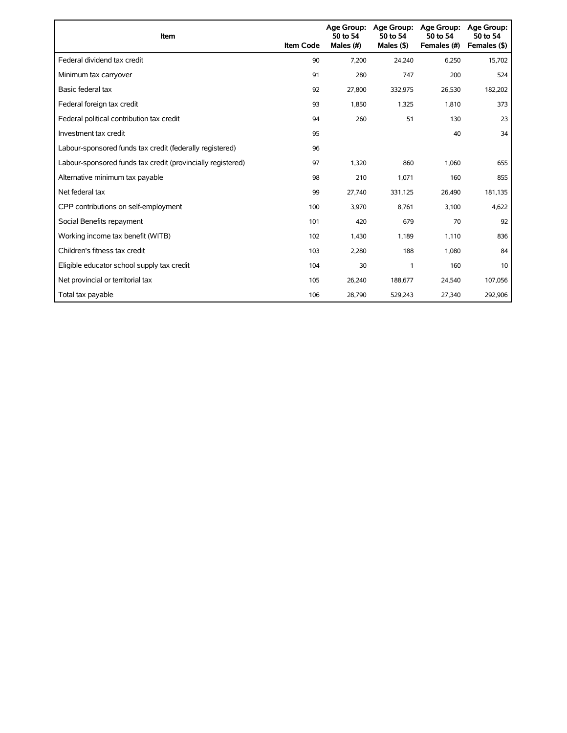| Item                                                        | <b>Item Code</b> | <b>Age Group:</b><br>50 to 54<br>Males (#) | <b>Age Group:</b><br>50 to 54<br>Males $($ \$) | Age Group:<br>50 to 54<br>Females (#) | <b>Age Group:</b><br>50 to 54<br>Females (\$) |
|-------------------------------------------------------------|------------------|--------------------------------------------|------------------------------------------------|---------------------------------------|-----------------------------------------------|
| Federal dividend tax credit                                 | 90               | 7,200                                      | 24,240                                         | 6,250                                 | 15,702                                        |
| Minimum tax carryover                                       | 91               | 280                                        | 747                                            | 200                                   | 524                                           |
| Basic federal tax                                           | 92               | 27,800                                     | 332,975                                        | 26,530                                | 182,202                                       |
| Federal foreign tax credit                                  | 93               | 1,850                                      | 1,325                                          | 1,810                                 | 373                                           |
| Federal political contribution tax credit                   | 94               | 260                                        | 51                                             | 130                                   | 23                                            |
| Investment tax credit                                       | 95               |                                            |                                                | 40                                    | 34                                            |
| Labour-sponsored funds tax credit (federally registered)    | 96               |                                            |                                                |                                       |                                               |
| Labour-sponsored funds tax credit (provincially registered) | 97               | 1,320                                      | 860                                            | 1,060                                 | 655                                           |
| Alternative minimum tax payable                             | 98               | 210                                        | 1,071                                          | 160                                   | 855                                           |
| Net federal tax                                             | 99               | 27,740                                     | 331,125                                        | 26,490                                | 181,135                                       |
| CPP contributions on self-employment                        | 100              | 3,970                                      | 8,761                                          | 3,100                                 | 4,622                                         |
| Social Benefits repayment                                   | 101              | 420                                        | 679                                            | 70                                    | 92                                            |
| Working income tax benefit (WITB)                           | 102              | 1,430                                      | 1,189                                          | 1,110                                 | 836                                           |
| Children's fitness tax credit                               | 103              | 2,280                                      | 188                                            | 1,080                                 | 84                                            |
| Eligible educator school supply tax credit                  | 104              | 30                                         | 1                                              | 160                                   | 10                                            |
| Net provincial or territorial tax                           | 105              | 26,240                                     | 188,677                                        | 24,540                                | 107,056                                       |
| Total tax payable                                           | 106              | 28,790                                     | 529,243                                        | 27,340                                | 292,906                                       |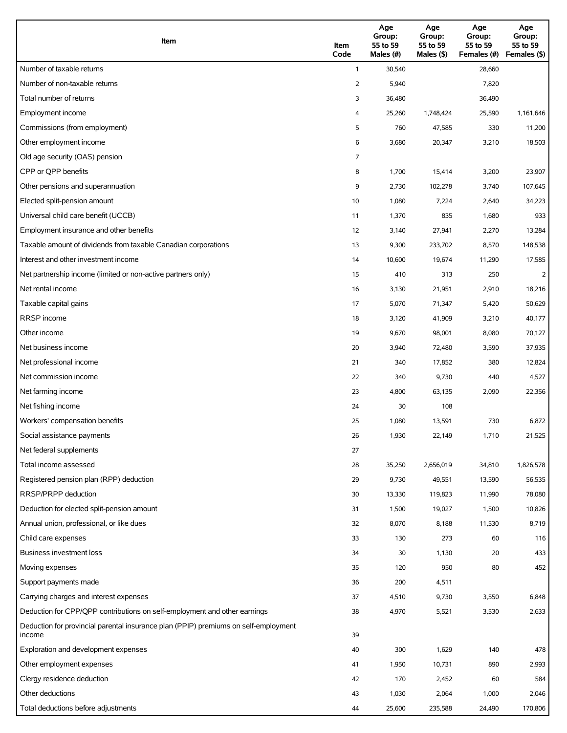| Item                                                                                          | Item<br>Code | Age<br>Group:<br>55 to 59<br>Males (#) | Age<br>Group:<br>55 to 59<br>Males $($ \$) | Age<br>Group:<br>55 to 59<br>Females (#) | Age<br>Group:<br>55 to 59<br>Females (\$) |
|-----------------------------------------------------------------------------------------------|--------------|----------------------------------------|--------------------------------------------|------------------------------------------|-------------------------------------------|
| Number of taxable returns                                                                     | $\mathbf{1}$ | 30,540                                 |                                            | 28,660                                   |                                           |
| Number of non-taxable returns                                                                 | 2            | 5,940                                  |                                            | 7,820                                    |                                           |
| Total number of returns                                                                       | 3            | 36,480                                 |                                            | 36,490                                   |                                           |
| Employment income                                                                             | 4            | 25,260                                 | 1,748,424                                  | 25,590                                   | 1,161,646                                 |
| Commissions (from employment)                                                                 | 5            | 760                                    | 47,585                                     | 330                                      | 11,200                                    |
| Other employment income                                                                       | 6            | 3,680                                  | 20,347                                     | 3,210                                    | 18,503                                    |
| Old age security (OAS) pension                                                                | 7            |                                        |                                            |                                          |                                           |
| CPP or OPP benefits                                                                           | 8            | 1,700                                  | 15,414                                     | 3,200                                    | 23,907                                    |
| Other pensions and superannuation                                                             | 9            | 2,730                                  | 102,278                                    | 3,740                                    | 107,645                                   |
| Elected split-pension amount                                                                  | 10           | 1,080                                  | 7,224                                      | 2,640                                    | 34,223                                    |
| Universal child care benefit (UCCB)                                                           | 11           | 1,370                                  | 835                                        | 1,680                                    | 933                                       |
| Employment insurance and other benefits                                                       | 12           | 3,140                                  | 27,941                                     | 2,270                                    | 13,284                                    |
| Taxable amount of dividends from taxable Canadian corporations                                | 13           | 9,300                                  | 233,702                                    | 8,570                                    | 148,538                                   |
| Interest and other investment income                                                          | 14           | 10,600                                 | 19,674                                     | 11,290                                   | 17,585                                    |
| Net partnership income (limited or non-active partners only)                                  | 15           | 410                                    | 313                                        | 250                                      | $\overline{2}$                            |
| Net rental income                                                                             | 16           | 3,130                                  | 21,951                                     | 2,910                                    | 18,216                                    |
| Taxable capital gains                                                                         | 17           | 5,070                                  | 71,347                                     | 5,420                                    | 50,629                                    |
| <b>RRSP</b> income                                                                            | 18           | 3,120                                  | 41,909                                     | 3,210                                    | 40,177                                    |
| Other income                                                                                  | 19           | 9,670                                  | 98,001                                     | 8,080                                    | 70,127                                    |
| Net business income                                                                           | 20           | 3,940                                  | 72,480                                     | 3,590                                    | 37,935                                    |
| Net professional income                                                                       | 21           | 340                                    | 17,852                                     | 380                                      | 12,824                                    |
| Net commission income                                                                         | 22           | 340                                    | 9,730                                      | 440                                      | 4,527                                     |
| Net farming income                                                                            | 23           | 4,800                                  | 63,135                                     | 2,090                                    | 22,356                                    |
| Net fishing income                                                                            | 24           | 30                                     | 108                                        |                                          |                                           |
| Workers' compensation benefits                                                                | 25           | 1,080                                  | 13,591                                     | 730                                      | 6,872                                     |
| Social assistance payments                                                                    | 26           | 1,930                                  | 22,149                                     | 1,710                                    | 21,525                                    |
| Net federal supplements                                                                       | 27           |                                        |                                            |                                          |                                           |
| Total income assessed                                                                         | 28           | 35,250                                 | 2,656,019                                  | 34,810                                   | 1,826,578                                 |
| Registered pension plan (RPP) deduction                                                       | 29           | 9,730                                  | 49,551                                     | 13,590                                   | 56,535                                    |
| RRSP/PRPP deduction                                                                           | 30           | 13,330                                 | 119,823                                    | 11,990                                   | 78,080                                    |
| Deduction for elected split-pension amount                                                    | 31           | 1,500                                  | 19,027                                     | 1,500                                    | 10,826                                    |
| Annual union, professional, or like dues                                                      | 32           | 8,070                                  | 8,188                                      | 11,530                                   | 8,719                                     |
| Child care expenses                                                                           | 33           | 130                                    | 273                                        | 60                                       | 116                                       |
| <b>Business investment loss</b>                                                               | 34           | 30                                     | 1,130                                      | 20                                       | 433                                       |
| Moving expenses                                                                               | 35           | 120                                    | 950                                        | 80                                       | 452                                       |
| Support payments made                                                                         | 36           | 200                                    | 4,511                                      |                                          |                                           |
| Carrying charges and interest expenses                                                        | 37           | 4,510                                  | 9,730                                      | 3,550                                    | 6,848                                     |
| Deduction for CPP/QPP contributions on self-employment and other earnings                     | 38           | 4,970                                  | 5,521                                      | 3,530                                    | 2,633                                     |
| Deduction for provincial parental insurance plan (PPIP) premiums on self-employment<br>income | 39           |                                        |                                            |                                          |                                           |
| Exploration and development expenses                                                          | 40           | 300                                    | 1,629                                      | 140                                      | 478                                       |
| Other employment expenses                                                                     | 41           | 1,950                                  | 10,731                                     | 890                                      | 2,993                                     |
| Clergy residence deduction                                                                    | 42           | 170                                    | 2,452                                      | 60                                       | 584                                       |
| Other deductions                                                                              | 43           | 1,030                                  | 2,064                                      | 1,000                                    | 2,046                                     |
| Total deductions before adjustments                                                           | 44           | 25,600                                 | 235,588                                    | 24,490                                   | 170,806                                   |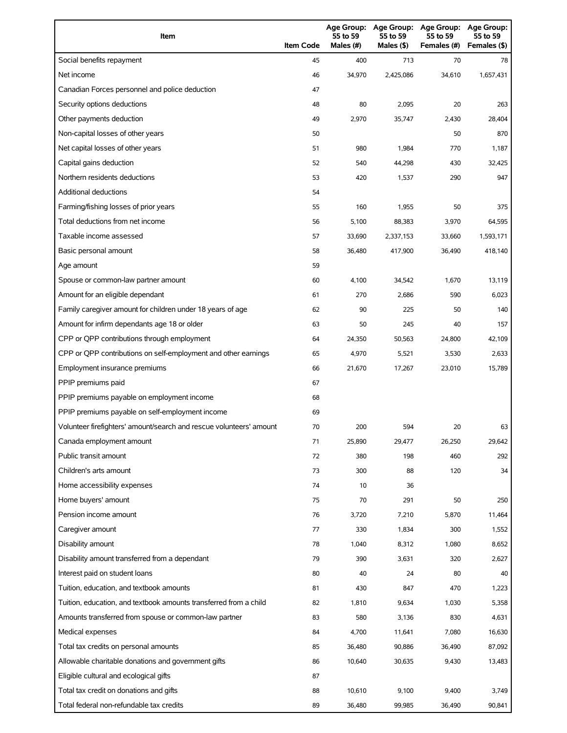| Item                                                                | <b>Item Code</b> | 55 to 59<br>Males (#) | 55 to 59<br>Males $(§)$ | Age Group: Age Group: Age Group:<br>55 to 59<br>Females (#) | <b>Age Group:</b><br>55 to 59<br>Females (\$) |
|---------------------------------------------------------------------|------------------|-----------------------|-------------------------|-------------------------------------------------------------|-----------------------------------------------|
| Social benefits repayment                                           | 45               | 400                   | 713                     | 70                                                          | 78                                            |
| Net income                                                          | 46               | 34,970                | 2,425,086               | 34,610                                                      | 1,657,431                                     |
| Canadian Forces personnel and police deduction                      | 47               |                       |                         |                                                             |                                               |
| Security options deductions                                         | 48               | 80                    | 2,095                   | 20                                                          | 263                                           |
| Other payments deduction                                            | 49               | 2,970                 | 35,747                  | 2,430                                                       | 28,404                                        |
| Non-capital losses of other years                                   | 50               |                       |                         | 50                                                          | 870                                           |
| Net capital losses of other years                                   | 51               | 980                   | 1,984                   | 770                                                         | 1,187                                         |
| Capital gains deduction                                             | 52               | 540                   | 44,298                  | 430                                                         | 32,425                                        |
| Northern residents deductions                                       | 53               | 420                   | 1,537                   | 290                                                         | 947                                           |
| Additional deductions                                               | 54               |                       |                         |                                                             |                                               |
| Farming/fishing losses of prior years                               | 55               | 160                   | 1,955                   | 50                                                          | 375                                           |
| Total deductions from net income                                    | 56               | 5,100                 | 88,383                  | 3,970                                                       | 64,595                                        |
| Taxable income assessed                                             | 57               | 33,690                | 2,337,153               | 33,660                                                      | 1,593,171                                     |
| Basic personal amount                                               | 58               | 36.480                | 417,900                 | 36,490                                                      | 418,140                                       |
| Age amount                                                          | 59               |                       |                         |                                                             |                                               |
| Spouse or common-law partner amount                                 | 60               | 4,100                 | 34,542                  | 1,670                                                       | 13,119                                        |
| Amount for an eligible dependant                                    | 61               | 270                   | 2,686                   | 590                                                         | 6,023                                         |
| Family caregiver amount for children under 18 years of age          | 62               | 90                    | 225                     | 50                                                          | 140                                           |
| Amount for infirm dependants age 18 or older                        | 63               | 50                    | 245                     | 40                                                          | 157                                           |
| CPP or QPP contributions through employment                         | 64               | 24,350                | 50,563                  | 24,800                                                      | 42,109                                        |
| CPP or QPP contributions on self-employment and other earnings      | 65               | 4,970                 | 5,521                   | 3,530                                                       | 2,633                                         |
| Employment insurance premiums                                       | 66               | 21,670                | 17,267                  | 23,010                                                      | 15,789                                        |
| PPIP premiums paid                                                  | 67               |                       |                         |                                                             |                                               |
| PPIP premiums payable on employment income                          | 68               |                       |                         |                                                             |                                               |
| PPIP premiums payable on self-employment income                     | 69               |                       |                         |                                                             |                                               |
| Volunteer firefighters' amount/search and rescue volunteers' amount | 70               | 200                   | 594                     | 20                                                          | 63                                            |
| Canada employment amount                                            | 71               | 25,890                | 29,477                  | 26,250                                                      | 29,642                                        |
| Public transit amount                                               | 72               | 380                   | 198                     | 460                                                         | 292                                           |
| Children's arts amount                                              | 73               | 300                   | 88                      | 120                                                         | 34                                            |
| Home accessibility expenses                                         | 74               | 10                    | 36                      |                                                             |                                               |
| Home buyers' amount                                                 | 75               | 70                    | 291                     | 50                                                          | 250                                           |
| Pension income amount                                               | 76               | 3,720                 | 7,210                   | 5,870                                                       | 11,464                                        |
| Caregiver amount                                                    | 77               | 330                   | 1,834                   | 300                                                         | 1,552                                         |
| Disability amount                                                   | 78               | 1,040                 | 8,312                   | 1,080                                                       | 8,652                                         |
| Disability amount transferred from a dependant                      | 79               | 390                   | 3,631                   | 320                                                         | 2,627                                         |
| Interest paid on student loans                                      | 80               | 40                    | 24                      | 80                                                          | 40                                            |
| Tuition, education, and textbook amounts                            | 81               | 430                   | 847                     | 470                                                         | 1,223                                         |
| Tuition, education, and textbook amounts transferred from a child   | 82               | 1,810                 | 9,634                   | 1,030                                                       | 5,358                                         |
| Amounts transferred from spouse or common-law partner               | 83               | 580                   | 3,136                   | 830                                                         | 4,631                                         |
| Medical expenses                                                    | 84               | 4,700                 | 11,641                  | 7,080                                                       | 16,630                                        |
| Total tax credits on personal amounts                               | 85               | 36,480                | 90,886                  | 36,490                                                      | 87,092                                        |
| Allowable charitable donations and government gifts                 | 86               | 10,640                | 30,635                  | 9,430                                                       | 13,483                                        |
| Eligible cultural and ecological gifts                              | 87               |                       |                         |                                                             |                                               |
| Total tax credit on donations and gifts                             | 88               | 10,610                | 9,100                   | 9,400                                                       | 3,749                                         |
| Total federal non-refundable tax credits                            | 89               | 36,480                | 99,985                  | 36,490                                                      | 90,841                                        |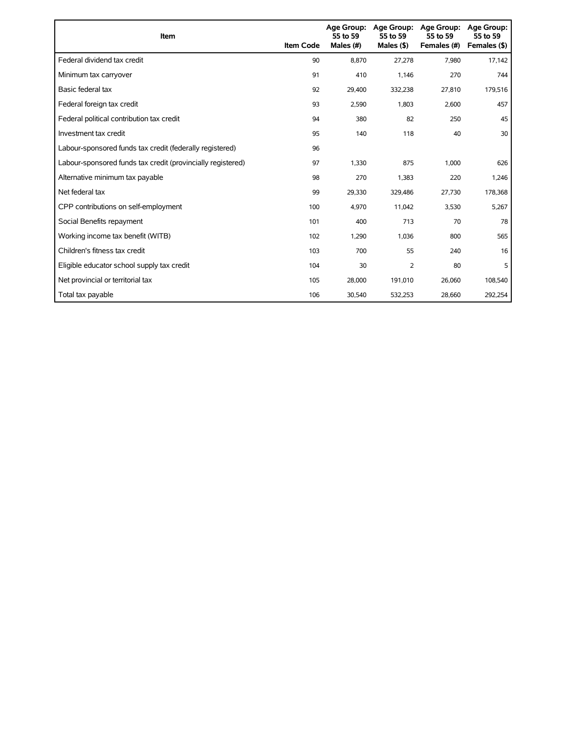| Item                                                        | <b>Item Code</b> | 55 to 59<br>Males (#) | Age Group: Age Group:<br>55 to 59<br>Males $($ \$) | <b>Age Group:</b><br>55 to 59<br>Females (#) | <b>Age Group:</b><br>55 to 59<br>Females (\$) |
|-------------------------------------------------------------|------------------|-----------------------|----------------------------------------------------|----------------------------------------------|-----------------------------------------------|
| Federal dividend tax credit                                 | 90               | 8.870                 | 27,278                                             | 7,980                                        | 17,142                                        |
| Minimum tax carryover                                       | 91               | 410                   | 1,146                                              | 270                                          | 744                                           |
| Basic federal tax                                           | 92               | 29,400                | 332,238                                            | 27,810                                       | 179,516                                       |
| Federal foreign tax credit                                  | 93               | 2,590                 | 1,803                                              | 2,600                                        | 457                                           |
| Federal political contribution tax credit                   | 94               | 380                   | 82                                                 | 250                                          | 45                                            |
| Investment tax credit                                       | 95               | 140                   | 118                                                | 40                                           | 30                                            |
| Labour-sponsored funds tax credit (federally registered)    | 96               |                       |                                                    |                                              |                                               |
| Labour-sponsored funds tax credit (provincially registered) | 97               | 1,330                 | 875                                                | 1,000                                        | 626                                           |
| Alternative minimum tax payable                             | 98               | 270                   | 1,383                                              | 220                                          | 1,246                                         |
| Net federal tax                                             | 99               | 29,330                | 329,486                                            | 27,730                                       | 178,368                                       |
| CPP contributions on self-employment                        | 100              | 4,970                 | 11,042                                             | 3,530                                        | 5,267                                         |
| Social Benefits repayment                                   | 101              | 400                   | 713                                                | 70                                           | 78                                            |
| Working income tax benefit (WITB)                           | 102              | 1,290                 | 1,036                                              | 800                                          | 565                                           |
| Children's fitness tax credit                               | 103              | 700                   | 55                                                 | 240                                          | 16                                            |
| Eligible educator school supply tax credit                  | 104              | 30                    | 2                                                  | 80                                           | 5                                             |
| Net provincial or territorial tax                           | 105              | 28,000                | 191,010                                            | 26,060                                       | 108,540                                       |
| Total tax payable                                           | 106              | 30,540                | 532,253                                            | 28,660                                       | 292,254                                       |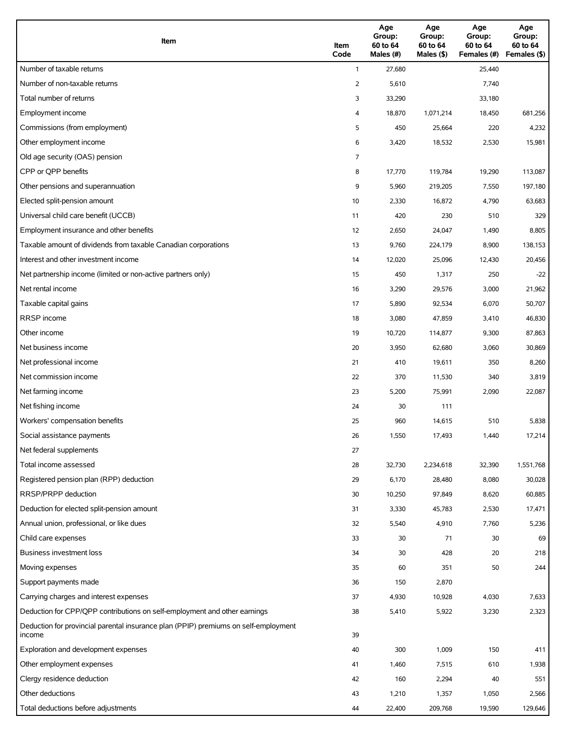| Item                                                                                          | Item<br>Code | Age<br>Group:<br>60 to 64<br>Males (#) | Age<br>Group:<br>60 to 64<br>Males (\$) | Age<br>Group:<br>60 to 64<br>Females (#) | Age<br>Group:<br>60 to 64<br>Females (\$) |
|-----------------------------------------------------------------------------------------------|--------------|----------------------------------------|-----------------------------------------|------------------------------------------|-------------------------------------------|
| Number of taxable returns                                                                     | $\mathbf{1}$ | 27,680                                 |                                         | 25,440                                   |                                           |
| Number of non-taxable returns                                                                 | 2            | 5,610                                  |                                         | 7,740                                    |                                           |
| Total number of returns                                                                       | 3            | 33,290                                 |                                         | 33,180                                   |                                           |
| Employment income                                                                             | 4            | 18,870                                 | 1,071,214                               | 18,450                                   | 681,256                                   |
| Commissions (from employment)                                                                 | 5            | 450                                    | 25,664                                  | 220                                      | 4,232                                     |
| Other employment income                                                                       | 6            | 3,420                                  | 18,532                                  | 2,530                                    | 15,981                                    |
| Old age security (OAS) pension                                                                | 7            |                                        |                                         |                                          |                                           |
| CPP or OPP benefits                                                                           | 8            | 17,770                                 | 119,784                                 | 19,290                                   | 113,087                                   |
| Other pensions and superannuation                                                             | 9            | 5,960                                  | 219,205                                 | 7,550                                    | 197,180                                   |
| Elected split-pension amount                                                                  | 10           | 2,330                                  | 16,872                                  | 4,790                                    | 63,683                                    |
| Universal child care benefit (UCCB)                                                           | 11           | 420                                    | 230                                     | 510                                      | 329                                       |
| Employment insurance and other benefits                                                       | 12           | 2,650                                  | 24,047                                  | 1,490                                    | 8,805                                     |
| Taxable amount of dividends from taxable Canadian corporations                                | 13           | 9,760                                  | 224,179                                 | 8,900                                    | 138,153                                   |
| Interest and other investment income                                                          | 14           | 12,020                                 | 25,096                                  | 12,430                                   | 20,456                                    |
| Net partnership income (limited or non-active partners only)                                  | 15           | 450                                    | 1,317                                   | 250                                      | $-22$                                     |
| Net rental income                                                                             | 16           | 3,290                                  | 29,576                                  | 3,000                                    | 21,962                                    |
| Taxable capital gains                                                                         | 17           | 5,890                                  | 92,534                                  | 6,070                                    | 50,707                                    |
| <b>RRSP</b> income                                                                            | 18           | 3,080                                  | 47,859                                  | 3,410                                    | 46,830                                    |
| Other income                                                                                  | 19           | 10,720                                 | 114,877                                 | 9,300                                    | 87,863                                    |
| Net business income                                                                           | 20           | 3,950                                  | 62,680                                  | 3,060                                    | 30,869                                    |
| Net professional income                                                                       | 21           | 410                                    | 19,611                                  | 350                                      | 8,260                                     |
| Net commission income                                                                         | 22           | 370                                    | 11,530                                  | 340                                      | 3,819                                     |
| Net farming income                                                                            | 23           | 5,200                                  | 75,991                                  | 2,090                                    | 22,087                                    |
| Net fishing income                                                                            | 24           | 30                                     | 111                                     |                                          |                                           |
| Workers' compensation benefits                                                                | 25           | 960                                    | 14,615                                  | 510                                      | 5,838                                     |
| Social assistance payments                                                                    | 26           | 1,550                                  | 17,493                                  | 1,440                                    | 17,214                                    |
| Net federal supplements                                                                       | 27           |                                        |                                         |                                          |                                           |
| Total income assessed                                                                         | 28           | 32,730                                 | 2,234,618                               | 32,390                                   | 1,551,768                                 |
| Registered pension plan (RPP) deduction                                                       | 29           | 6,170                                  | 28,480                                  | 8,080                                    | 30,028                                    |
| RRSP/PRPP deduction                                                                           | 30           | 10,250                                 | 97,849                                  | 8,620                                    | 60,885                                    |
| Deduction for elected split-pension amount                                                    | 31           | 3,330                                  | 45,783                                  | 2,530                                    | 17,471                                    |
| Annual union, professional, or like dues                                                      | 32           | 5,540                                  | 4,910                                   | 7,760                                    | 5,236                                     |
| Child care expenses                                                                           | 33           | 30                                     | 71                                      | 30                                       | 69                                        |
| Business investment loss                                                                      | 34           | 30                                     | 428                                     | 20                                       | 218                                       |
| Moving expenses                                                                               | 35           | 60                                     | 351                                     | 50                                       | 244                                       |
| Support payments made                                                                         | 36           | 150                                    | 2,870                                   |                                          |                                           |
| Carrying charges and interest expenses                                                        | 37           | 4,930                                  | 10,928                                  | 4,030                                    | 7,633                                     |
| Deduction for CPP/QPP contributions on self-employment and other earnings                     | 38           | 5,410                                  | 5,922                                   | 3,230                                    | 2,323                                     |
| Deduction for provincial parental insurance plan (PPIP) premiums on self-employment<br>income | 39           |                                        |                                         |                                          |                                           |
| Exploration and development expenses                                                          | 40           | 300                                    | 1,009                                   | 150                                      | 411                                       |
| Other employment expenses                                                                     | 41           | 1,460                                  | 7,515                                   | 610                                      | 1,938                                     |
| Clergy residence deduction                                                                    | 42           | 160                                    | 2,294                                   | 40                                       | 551                                       |
| Other deductions                                                                              | 43           | 1,210                                  | 1,357                                   | 1,050                                    | 2,566                                     |
| Total deductions before adjustments                                                           | 44           | 22,400                                 | 209,768                                 | 19,590                                   | 129,646                                   |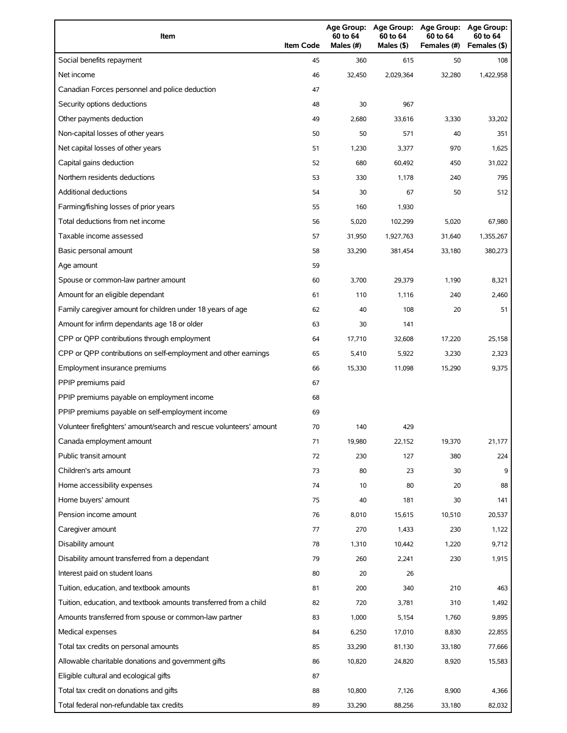| Item                                                                | <b>Item Code</b> | 60 to 64<br>Males $(H)$ | Age Group: Age Group:<br>60 to 64<br>Males $(§)$ | Age Group:<br>60 to 64<br>Females (#) | <b>Age Group:</b><br>60 to 64<br>Females (\$) |
|---------------------------------------------------------------------|------------------|-------------------------|--------------------------------------------------|---------------------------------------|-----------------------------------------------|
| Social benefits repayment                                           | 45               | 360                     | 615                                              | 50                                    | 108                                           |
| Net income                                                          | 46               | 32,450                  | 2,029,364                                        | 32,280                                | 1,422,958                                     |
| Canadian Forces personnel and police deduction                      | 47               |                         |                                                  |                                       |                                               |
| Security options deductions                                         | 48               | 30                      | 967                                              |                                       |                                               |
| Other payments deduction                                            | 49               | 2,680                   | 33,616                                           | 3,330                                 | 33,202                                        |
| Non-capital losses of other years                                   | 50               | 50                      | 571                                              | 40                                    | 351                                           |
| Net capital losses of other years                                   | 51               | 1,230                   | 3,377                                            | 970                                   | 1,625                                         |
| Capital gains deduction                                             | 52               | 680                     | 60,492                                           | 450                                   | 31,022                                        |
| Northern residents deductions                                       | 53               | 330                     | 1,178                                            | 240                                   | 795                                           |
| Additional deductions                                               | 54               | 30                      | 67                                               | 50                                    | 512                                           |
| Farming/fishing losses of prior years                               | 55               | 160                     | 1,930                                            |                                       |                                               |
| Total deductions from net income                                    | 56               | 5,020                   | 102,299                                          | 5,020                                 | 67,980                                        |
| Taxable income assessed                                             | 57               | 31,950                  | 1,927,763                                        | 31,640                                | 1,355,267                                     |
| Basic personal amount                                               | 58               | 33,290                  | 381,454                                          | 33,180                                | 380,273                                       |
| Age amount                                                          | 59               |                         |                                                  |                                       |                                               |
| Spouse or common-law partner amount                                 | 60               | 3,700                   | 29,379                                           | 1,190                                 | 8,321                                         |
| Amount for an eligible dependant                                    | 61               | 110                     | 1,116                                            | 240                                   | 2,460                                         |
| Family caregiver amount for children under 18 years of age          | 62               | 40                      | 108                                              | 20                                    | 51                                            |
| Amount for infirm dependants age 18 or older                        | 63               | 30                      | 141                                              |                                       |                                               |
| CPP or QPP contributions through employment                         | 64               | 17,710                  | 32,608                                           | 17,220                                | 25,158                                        |
| CPP or QPP contributions on self-employment and other earnings      | 65               | 5,410                   | 5,922                                            | 3,230                                 | 2,323                                         |
| Employment insurance premiums                                       | 66               | 15,330                  | 11,098                                           | 15,290                                | 9,375                                         |
| PPIP premiums paid                                                  | 67               |                         |                                                  |                                       |                                               |
| PPIP premiums payable on employment income                          | 68               |                         |                                                  |                                       |                                               |
| PPIP premiums payable on self-employment income                     | 69               |                         |                                                  |                                       |                                               |
| Volunteer firefighters' amount/search and rescue volunteers' amount | 70               | 140                     | 429                                              |                                       |                                               |
| Canada employment amount                                            | 71               | 19,980                  | 22,152                                           | 19,370                                | 21,177                                        |
| Public transit amount                                               | 72               | 230                     | 127                                              | 380                                   | 224                                           |
| Children's arts amount                                              | 73               | 80                      | 23                                               | 30                                    | 9                                             |
| Home accessibility expenses                                         | 74               | 10                      | 80                                               | 20                                    | 88                                            |
| Home buyers' amount                                                 | 75               | 40                      | 181                                              | 30                                    | 141                                           |
| Pension income amount                                               | 76               | 8,010                   | 15,615                                           | 10,510                                | 20,537                                        |
| Caregiver amount                                                    | 77               | 270                     | 1,433                                            | 230                                   | 1,122                                         |
| Disability amount                                                   | 78               | 1,310                   | 10,442                                           | 1,220                                 | 9,712                                         |
| Disability amount transferred from a dependant                      | 79               | 260                     | 2,241                                            | 230                                   | 1,915                                         |
| Interest paid on student loans                                      | 80               | 20                      | 26                                               |                                       |                                               |
| Tuition, education, and textbook amounts                            | 81               | 200                     | 340                                              | 210                                   | 463                                           |
| Tuition, education, and textbook amounts transferred from a child   | 82               | 720                     | 3,781                                            | 310                                   | 1,492                                         |
| Amounts transferred from spouse or common-law partner               | 83               | 1,000                   | 5,154                                            | 1,760                                 | 9,895                                         |
| Medical expenses                                                    | 84               | 6,250                   | 17,010                                           | 8,830                                 | 22,855                                        |
| Total tax credits on personal amounts                               | 85               | 33,290                  | 81,130                                           | 33,180                                | 77,666                                        |
| Allowable charitable donations and government gifts                 | 86               | 10,820                  | 24,820                                           | 8,920                                 | 15,583                                        |
| Eligible cultural and ecological gifts                              | 87               |                         |                                                  |                                       |                                               |
| Total tax credit on donations and gifts                             | 88               | 10,800                  | 7,126                                            | 8,900                                 | 4,366                                         |
| Total federal non-refundable tax credits                            | 89               | 33,290                  | 88,256                                           | 33,180                                | 82,032                                        |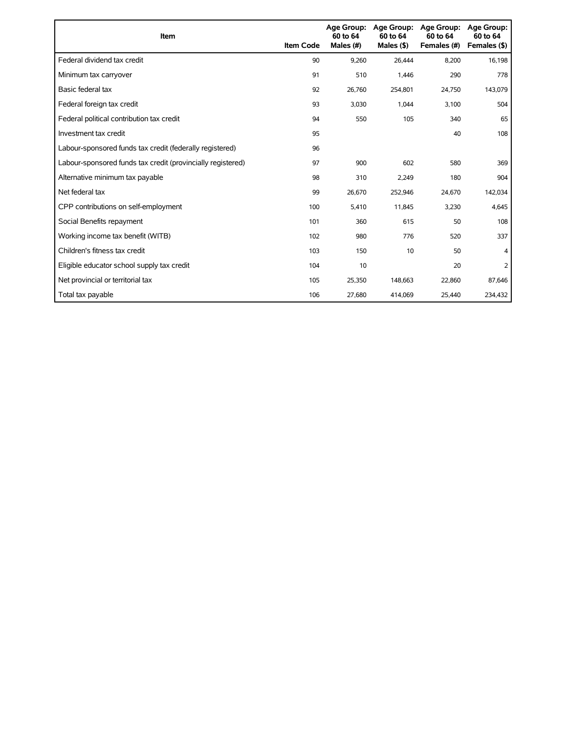| Item                                                        | <b>Item Code</b> | <b>Age Group:</b><br>60 to 64<br>Males (#) | <b>Age Group:</b><br>60 to 64<br>Males $($ \$) | <b>Age Group:</b><br>60 to 64<br>Females (#) | <b>Age Group:</b><br>60 to 64<br>Females (\$) |
|-------------------------------------------------------------|------------------|--------------------------------------------|------------------------------------------------|----------------------------------------------|-----------------------------------------------|
| Federal dividend tax credit                                 | 90               | 9,260                                      | 26,444                                         | 8,200                                        | 16,198                                        |
| Minimum tax carryover                                       | 91               | 510                                        | 1,446                                          | 290                                          | 778                                           |
| Basic federal tax                                           | 92               | 26,760                                     | 254,801                                        | 24,750                                       | 143,079                                       |
| Federal foreign tax credit                                  | 93               | 3,030                                      | 1,044                                          | 3,100                                        | 504                                           |
| Federal political contribution tax credit                   | 94               | 550                                        | 105                                            | 340                                          | 65                                            |
| Investment tax credit                                       | 95               |                                            |                                                | 40                                           | 108                                           |
| Labour-sponsored funds tax credit (federally registered)    | 96               |                                            |                                                |                                              |                                               |
| Labour-sponsored funds tax credit (provincially registered) | 97               | 900                                        | 602                                            | 580                                          | 369                                           |
| Alternative minimum tax payable                             | 98               | 310                                        | 2,249                                          | 180                                          | 904                                           |
| Net federal tax                                             | 99               | 26,670                                     | 252,946                                        | 24,670                                       | 142,034                                       |
| CPP contributions on self-employment                        | 100              | 5,410                                      | 11,845                                         | 3,230                                        | 4,645                                         |
| Social Benefits repayment                                   | 101              | 360                                        | 615                                            | 50                                           | 108                                           |
| Working income tax benefit (WITB)                           | 102              | 980                                        | 776                                            | 520                                          | 337                                           |
| Children's fitness tax credit                               | 103              | 150                                        | 10                                             | 50                                           | 4                                             |
| Eligible educator school supply tax credit                  | 104              | 10                                         |                                                | 20                                           | 2                                             |
| Net provincial or territorial tax                           | 105              | 25,350                                     | 148,663                                        | 22,860                                       | 87,646                                        |
| Total tax payable                                           | 106              | 27,680                                     | 414,069                                        | 25,440                                       | 234,432                                       |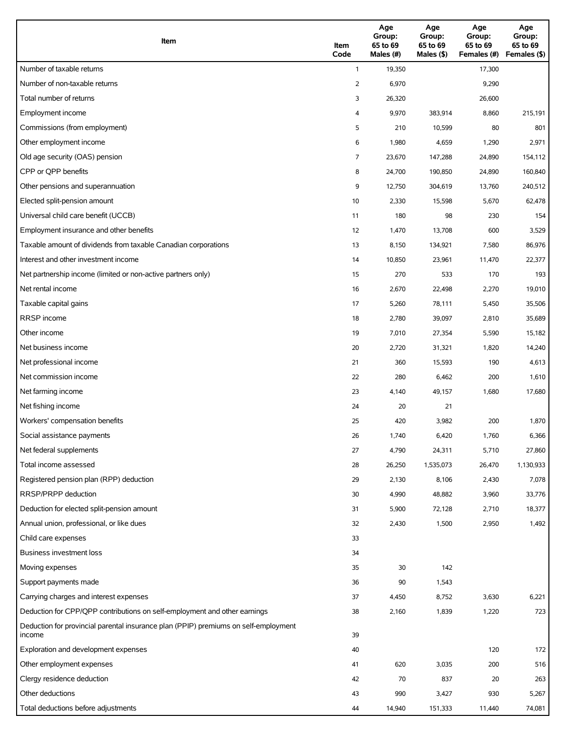| Item                                                                                          | Item<br>Code | Age<br>Group:<br>65 to 69<br>Males (#) | Age<br>Group:<br>65 to 69<br>Males $(\$)$ | Age<br>Group:<br>65 to 69<br>Females (#) | Age<br>Group:<br>65 to 69<br>Females (\$) |
|-----------------------------------------------------------------------------------------------|--------------|----------------------------------------|-------------------------------------------|------------------------------------------|-------------------------------------------|
| Number of taxable returns                                                                     | $\mathbf{1}$ | 19,350                                 |                                           | 17,300                                   |                                           |
| Number of non-taxable returns                                                                 | 2            | 6,970                                  |                                           | 9,290                                    |                                           |
| Total number of returns                                                                       | 3            | 26,320                                 |                                           | 26,600                                   |                                           |
| Employment income                                                                             | 4            | 9,970                                  | 383,914                                   | 8,860                                    | 215,191                                   |
| Commissions (from employment)                                                                 | 5            | 210                                    | 10,599                                    | 80                                       | 801                                       |
| Other employment income                                                                       | 6            | 1,980                                  | 4,659                                     | 1,290                                    | 2,971                                     |
| Old age security (OAS) pension                                                                | 7            | 23,670                                 | 147,288                                   | 24,890                                   | 154,112                                   |
| CPP or QPP benefits                                                                           | 8            | 24,700                                 | 190,850                                   | 24,890                                   | 160,840                                   |
| Other pensions and superannuation                                                             | 9            | 12,750                                 | 304,619                                   | 13,760                                   | 240,512                                   |
| Elected split-pension amount                                                                  | 10           | 2,330                                  | 15,598                                    | 5,670                                    | 62,478                                    |
| Universal child care benefit (UCCB)                                                           | 11           | 180                                    | 98                                        | 230                                      | 154                                       |
| Employment insurance and other benefits                                                       | 12           | 1,470                                  | 13,708                                    | 600                                      | 3,529                                     |
| Taxable amount of dividends from taxable Canadian corporations                                | 13           | 8,150                                  | 134,921                                   | 7,580                                    | 86,976                                    |
| Interest and other investment income                                                          | 14           | 10,850                                 | 23,961                                    | 11,470                                   | 22,377                                    |
| Net partnership income (limited or non-active partners only)                                  | 15           | 270                                    | 533                                       | 170                                      | 193                                       |
| Net rental income                                                                             | 16           | 2,670                                  | 22,498                                    | 2,270                                    | 19,010                                    |
| Taxable capital gains                                                                         | 17           | 5,260                                  | 78,111                                    | 5,450                                    | 35,506                                    |
| <b>RRSP</b> income                                                                            | 18           | 2,780                                  | 39,097                                    | 2,810                                    | 35,689                                    |
| Other income                                                                                  | 19           | 7,010                                  | 27,354                                    | 5,590                                    | 15,182                                    |
| Net business income                                                                           | 20           | 2,720                                  | 31,321                                    | 1,820                                    | 14,240                                    |
| Net professional income                                                                       | 21           | 360                                    | 15,593                                    | 190                                      | 4,613                                     |
| Net commission income                                                                         | 22           | 280                                    | 6,462                                     | 200                                      | 1,610                                     |
| Net farming income                                                                            | 23           | 4,140                                  | 49,157                                    | 1,680                                    | 17,680                                    |
| Net fishing income                                                                            | 24           | 20                                     | 21                                        |                                          |                                           |
| Workers' compensation benefits                                                                | 25           | 420                                    | 3,982                                     | 200                                      | 1,870                                     |
| Social assistance payments                                                                    | 26           | 1,740                                  | 6,420                                     | 1,760                                    | 6,366                                     |
| Net federal supplements                                                                       | 27           | 4,790                                  | 24,311                                    | 5,710                                    | 27,860                                    |
| Total income assessed                                                                         | 28           | 26,250                                 | 1,535,073                                 | 26,470                                   | 1,130,933                                 |
| Registered pension plan (RPP) deduction                                                       | 29           | 2,130                                  | 8,106                                     | 2,430                                    | 7,078                                     |
| RRSP/PRPP deduction                                                                           | 30           | 4,990                                  | 48,882                                    | 3,960                                    | 33,776                                    |
| Deduction for elected split-pension amount                                                    | 31           | 5,900                                  | 72,128                                    | 2,710                                    | 18,377                                    |
| Annual union, professional, or like dues                                                      | 32           | 2,430                                  | 1,500                                     | 2,950                                    | 1,492                                     |
| Child care expenses                                                                           | 33           |                                        |                                           |                                          |                                           |
| Business investment loss                                                                      | 34           |                                        |                                           |                                          |                                           |
| Moving expenses                                                                               | 35           | 30                                     | 142                                       |                                          |                                           |
| Support payments made                                                                         | 36           | 90                                     | 1,543                                     |                                          |                                           |
| Carrying charges and interest expenses                                                        | 37           | 4,450                                  | 8,752                                     | 3,630                                    | 6,221                                     |
| Deduction for CPP/QPP contributions on self-employment and other earnings                     | 38           | 2,160                                  | 1,839                                     | 1,220                                    | 723                                       |
| Deduction for provincial parental insurance plan (PPIP) premiums on self-employment<br>income | 39           |                                        |                                           |                                          |                                           |
| Exploration and development expenses                                                          | 40           |                                        |                                           | 120                                      | 172                                       |
| Other employment expenses                                                                     | 41           | 620                                    | 3,035                                     | 200                                      | 516                                       |
| Clergy residence deduction                                                                    | 42           | 70                                     | 837                                       | 20                                       | 263                                       |
| Other deductions                                                                              | 43           | 990                                    | 3,427                                     | 930                                      | 5,267                                     |
| Total deductions before adjustments                                                           | 44           | 14,940                                 | 151,333                                   | 11,440                                   | 74,081                                    |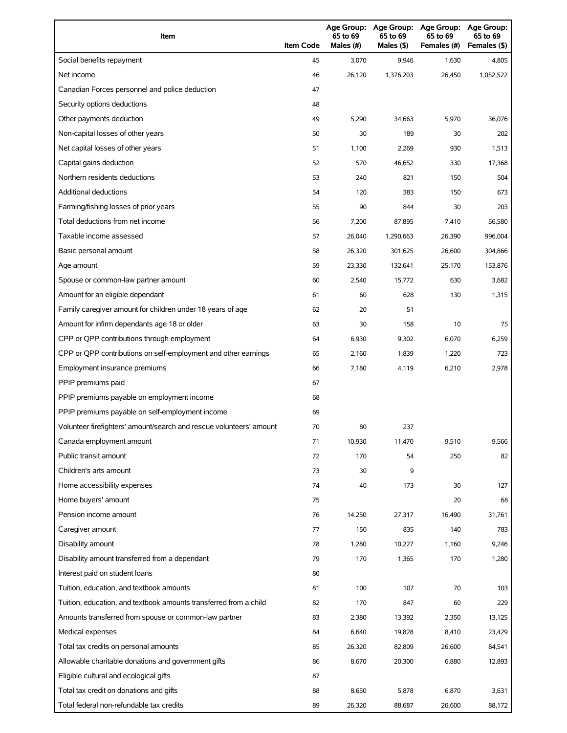| Item                                                                | <b>Item Code</b> | 65 to 69<br>Males (#) | Age Group: Age Group:<br>65 to 69<br>Males (\$) | <b>Age Group:</b><br>65 to 69<br>Females (#) | <b>Age Group:</b><br>65 to 69<br>Females (\$) |
|---------------------------------------------------------------------|------------------|-----------------------|-------------------------------------------------|----------------------------------------------|-----------------------------------------------|
| Social benefits repayment                                           | 45               | 3,070                 | 9,946                                           | 1,630                                        | 4,805                                         |
| Net income                                                          | 46               | 26,120                | 1,376,203                                       | 26,450                                       | 1,052,522                                     |
| Canadian Forces personnel and police deduction                      | 47               |                       |                                                 |                                              |                                               |
| Security options deductions                                         | 48               |                       |                                                 |                                              |                                               |
| Other payments deduction                                            | 49               | 5,290                 | 34,663                                          | 5,970                                        | 36,076                                        |
| Non-capital losses of other years                                   | 50               | 30                    | 189                                             | 30                                           | 202                                           |
| Net capital losses of other years                                   | 51               | 1,100                 | 2,269                                           | 930                                          | 1,513                                         |
| Capital gains deduction                                             | 52               | 570                   | 46,652                                          | 330                                          | 17,368                                        |
| Northern residents deductions                                       | 53               | 240                   | 821                                             | 150                                          | 504                                           |
| Additional deductions                                               | 54               | 120                   | 383                                             | 150                                          | 673                                           |
| Farming/fishing losses of prior years                               | 55               | 90                    | 844                                             | 30                                           | 203                                           |
| Total deductions from net income                                    | 56               | 7,200                 | 87,895                                          | 7,410                                        | 56,580                                        |
| Taxable income assessed                                             | 57               | 26,040                | 1,290,663                                       | 26,390                                       | 996,004                                       |
| Basic personal amount                                               | 58               | 26,320                | 301,625                                         | 26,600                                       | 304,866                                       |
| Age amount                                                          | 59               | 23,330                | 132,641                                         | 25,170                                       | 153,876                                       |
| Spouse or common-law partner amount                                 | 60               | 2,540                 | 15,772                                          | 630                                          | 3,682                                         |
| Amount for an eligible dependant                                    | 61               | 60                    | 628                                             | 130                                          | 1,315                                         |
| Family caregiver amount for children under 18 years of age          | 62               | 20                    | 51                                              |                                              |                                               |
| Amount for infirm dependants age 18 or older                        | 63               | 30                    | 158                                             | 10                                           | 75                                            |
| CPP or QPP contributions through employment                         | 64               | 6,930                 | 9,302                                           | 6,070                                        | 6,259                                         |
| CPP or QPP contributions on self-employment and other earnings      | 65               | 2,160                 | 1,839                                           | 1,220                                        | 723                                           |
| Employment insurance premiums                                       | 66               | 7,180                 | 4,119                                           | 6,210                                        | 2,978                                         |
| PPIP premiums paid                                                  | 67               |                       |                                                 |                                              |                                               |
| PPIP premiums payable on employment income                          | 68               |                       |                                                 |                                              |                                               |
| PPIP premiums payable on self-employment income                     | 69               |                       |                                                 |                                              |                                               |
| Volunteer firefighters' amount/search and rescue volunteers' amount | 70               | 80                    | 237                                             |                                              |                                               |
| Canada employment amount                                            | 71               | 10,930                | 11,470                                          | 9,510                                        | 9,566                                         |
| Public transit amount                                               | 72               | 170                   | 54                                              | 250                                          | 82                                            |
| Children's arts amount                                              | 73               | 30                    | 9                                               |                                              |                                               |
| Home accessibility expenses                                         | 74               | 40                    | 173                                             | 30                                           | 127                                           |
| Home buyers' amount                                                 | 75               |                       |                                                 | 20                                           | 68                                            |
| Pension income amount                                               | 76               | 14,250                | 27,317                                          | 16,490                                       | 31,761                                        |
| Caregiver amount                                                    | 77               | 150                   | 835                                             | 140                                          | 783                                           |
| Disability amount                                                   | 78               | 1,280                 | 10,227                                          | 1,160                                        | 9,246                                         |
| Disability amount transferred from a dependant                      | 79               | 170                   | 1,365                                           | 170                                          | 1,280                                         |
| Interest paid on student loans                                      | 80               |                       |                                                 |                                              |                                               |
| Tuition, education, and textbook amounts                            | 81               | 100                   | 107                                             | 70                                           | 103                                           |
| Tuition, education, and textbook amounts transferred from a child   | 82               | 170                   | 847                                             | 60                                           | 229                                           |
| Amounts transferred from spouse or common-law partner               | 83               | 2,380                 | 13,392                                          | 2,350                                        | 13,125                                        |
| Medical expenses                                                    | 84               | 6,640                 | 19,828                                          | 8,410                                        | 23,429                                        |
| Total tax credits on personal amounts                               | 85               | 26,320                | 82,809                                          | 26,600                                       | 84,541                                        |
| Allowable charitable donations and government gifts                 | 86               | 8,670                 | 20,300                                          | 6,880                                        | 12,893                                        |
| Eligible cultural and ecological gifts                              | 87               |                       |                                                 |                                              |                                               |
| Total tax credit on donations and gifts                             | 88               | 8,650                 | 5,878                                           | 6,870                                        | 3,631                                         |
| Total federal non-refundable tax credits                            | 89               | 26,320                | 88,687                                          | 26,600                                       | 88,172                                        |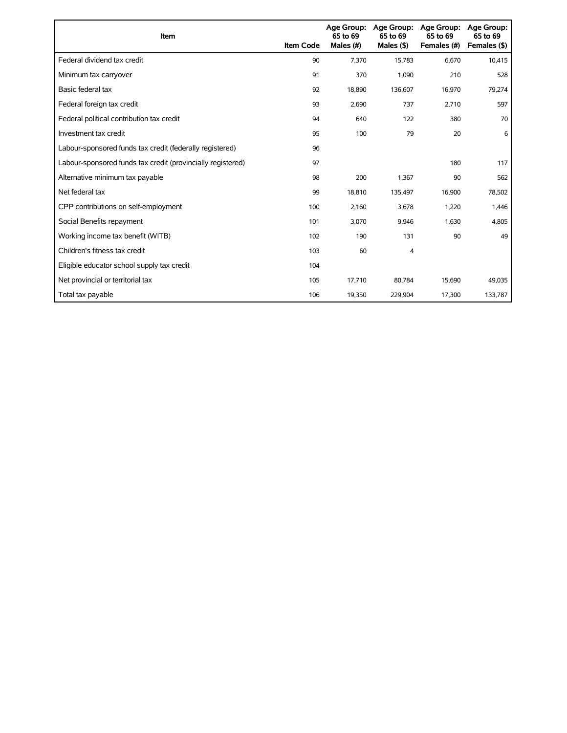| Item                                                        | <b>Item Code</b> | 65 to 69<br>Males (#) | Age Group: Age Group:<br>65 to 69<br>Males $(§)$ | Age Group:<br>65 to 69<br>Females (#) | Age Group:<br>65 to 69<br>Females (\$) |
|-------------------------------------------------------------|------------------|-----------------------|--------------------------------------------------|---------------------------------------|----------------------------------------|
| Federal dividend tax credit                                 | 90               | 7,370                 | 15,783                                           | 6,670                                 | 10,415                                 |
| Minimum tax carryover                                       | 91               | 370                   | 1,090                                            | 210                                   | 528                                    |
| Basic federal tax                                           | 92               | 18,890                | 136,607                                          | 16,970                                | 79,274                                 |
| Federal foreign tax credit                                  | 93               | 2,690                 | 737                                              | 2,710                                 | 597                                    |
| Federal political contribution tax credit                   | 94               | 640                   | 122                                              | 380                                   | 70                                     |
| Investment tax credit                                       | 95               | 100                   | 79                                               | 20                                    | 6                                      |
| Labour-sponsored funds tax credit (federally registered)    | 96               |                       |                                                  |                                       |                                        |
| Labour-sponsored funds tax credit (provincially registered) | 97               |                       |                                                  | 180                                   | 117                                    |
| Alternative minimum tax payable                             | 98               | 200                   | 1,367                                            | 90                                    | 562                                    |
| Net federal tax                                             | 99               | 18,810                | 135,497                                          | 16,900                                | 78,502                                 |
| CPP contributions on self-employment                        | 100              | 2,160                 | 3,678                                            | 1,220                                 | 1,446                                  |
| Social Benefits repayment                                   | 101              | 3,070                 | 9,946                                            | 1,630                                 | 4,805                                  |
| Working income tax benefit (WITB)                           | 102              | 190                   | 131                                              | 90                                    | 49                                     |
| Children's fitness tax credit                               | 103              | 60                    | 4                                                |                                       |                                        |
| Eligible educator school supply tax credit                  | 104              |                       |                                                  |                                       |                                        |
| Net provincial or territorial tax                           | 105              | 17,710                | 80,784                                           | 15,690                                | 49,035                                 |
| Total tax payable                                           | 106              | 19,350                | 229,904                                          | 17,300                                | 133,787                                |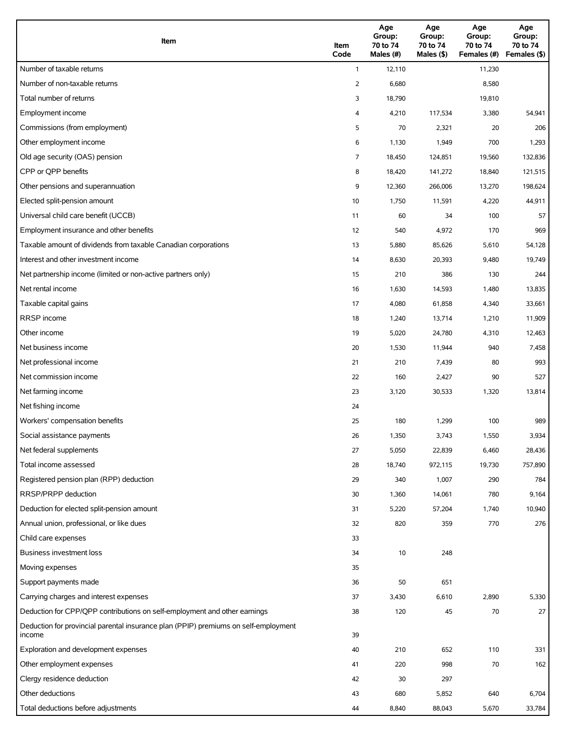| Item                                                                                          | Item<br>Code   | Age<br>Group:<br>70 to 74<br>Males (#) | Age<br>Group:<br>70 to 74<br>Males (\$) | Age<br>Group:<br>70 to 74<br>Females (#) | Age<br>Group:<br>70 to 74<br>Females (\$) |
|-----------------------------------------------------------------------------------------------|----------------|----------------------------------------|-----------------------------------------|------------------------------------------|-------------------------------------------|
| Number of taxable returns                                                                     | $\mathbf{1}$   | 12,110                                 |                                         | 11,230                                   |                                           |
| Number of non-taxable returns                                                                 | $\overline{2}$ | 6,680                                  |                                         | 8,580                                    |                                           |
| Total number of returns                                                                       | 3              | 18,790                                 |                                         | 19,810                                   |                                           |
| Employment income                                                                             | 4              | 4,210                                  | 117,534                                 | 3,380                                    | 54,941                                    |
| Commissions (from employment)                                                                 | 5              | 70                                     | 2,321                                   | 20                                       | 206                                       |
| Other employment income                                                                       | 6              | 1,130                                  | 1,949                                   | 700                                      | 1,293                                     |
| Old age security (OAS) pension                                                                | 7              | 18,450                                 | 124,851                                 | 19,560                                   | 132,836                                   |
| CPP or QPP benefits                                                                           | 8              | 18,420                                 | 141,272                                 | 18,840                                   | 121,515                                   |
| Other pensions and superannuation                                                             | 9              | 12,360                                 | 266,006                                 | 13,270                                   | 198,624                                   |
| Elected split-pension amount                                                                  | 10             | 1,750                                  | 11,591                                  | 4,220                                    | 44,911                                    |
| Universal child care benefit (UCCB)                                                           | 11             | 60                                     | 34                                      | 100                                      | 57                                        |
| Employment insurance and other benefits                                                       | 12             | 540                                    | 4,972                                   | 170                                      | 969                                       |
| Taxable amount of dividends from taxable Canadian corporations                                | 13             | 5,880                                  | 85,626                                  | 5,610                                    | 54,128                                    |
| Interest and other investment income                                                          | 14             | 8,630                                  | 20,393                                  | 9,480                                    | 19,749                                    |
| Net partnership income (limited or non-active partners only)                                  | 15             | 210                                    | 386                                     | 130                                      | 244                                       |
| Net rental income                                                                             | 16             | 1,630                                  | 14,593                                  | 1,480                                    | 13,835                                    |
| Taxable capital gains                                                                         | 17             | 4,080                                  | 61,858                                  | 4,340                                    | 33,661                                    |
| <b>RRSP</b> income                                                                            | 18             | 1,240                                  | 13,714                                  | 1,210                                    | 11,909                                    |
| Other income                                                                                  | 19             | 5,020                                  | 24,780                                  | 4,310                                    | 12,463                                    |
| Net business income                                                                           | 20             | 1,530                                  | 11,944                                  | 940                                      | 7,458                                     |
| Net professional income                                                                       | 21             | 210                                    | 7,439                                   | 80                                       | 993                                       |
| Net commission income                                                                         | 22             | 160                                    | 2,427                                   | 90                                       | 527                                       |
| Net farming income                                                                            | 23             | 3,120                                  | 30,533                                  | 1,320                                    | 13,814                                    |
| Net fishing income                                                                            | 24             |                                        |                                         |                                          |                                           |
| Workers' compensation benefits                                                                | 25             | 180                                    | 1,299                                   | 100                                      | 989                                       |
| Social assistance payments                                                                    | 26             | 1,350                                  | 3,743                                   | 1,550                                    | 3,934                                     |
| Net federal supplements                                                                       | 27             | 5,050                                  | 22,839                                  | 6,460                                    | 28,436                                    |
| Total income assessed                                                                         | 28             | 18,740                                 | 972,115                                 | 19,730                                   | 757,890                                   |
| Registered pension plan (RPP) deduction                                                       | 29             | 340                                    | 1,007                                   | 290                                      | 784                                       |
| RRSP/PRPP deduction                                                                           | 30             | 1,360                                  | 14,061                                  | 780                                      | 9,164                                     |
| Deduction for elected split-pension amount                                                    | 31             | 5,220                                  | 57,204                                  | 1,740                                    | 10,940                                    |
| Annual union, professional, or like dues                                                      | 32             | 820                                    | 359                                     | 770                                      | 276                                       |
| Child care expenses                                                                           | 33             |                                        |                                         |                                          |                                           |
| Business investment loss                                                                      | 34             | 10                                     | 248                                     |                                          |                                           |
| Moving expenses                                                                               | 35             |                                        |                                         |                                          |                                           |
| Support payments made                                                                         | 36             | 50                                     | 651                                     |                                          |                                           |
| Carrying charges and interest expenses                                                        | 37             | 3,430                                  | 6,610                                   | 2,890                                    | 5,330                                     |
| Deduction for CPP/QPP contributions on self-employment and other earnings                     | 38             | 120                                    | 45                                      | 70                                       | 27                                        |
| Deduction for provincial parental insurance plan (PPIP) premiums on self-employment<br>income | 39             |                                        |                                         |                                          |                                           |
| Exploration and development expenses                                                          | 40             | 210                                    | 652                                     | 110                                      | 331                                       |
| Other employment expenses                                                                     | 41             | 220                                    | 998                                     | 70                                       | 162                                       |
| Clergy residence deduction                                                                    | 42             | 30                                     | 297                                     |                                          |                                           |
| Other deductions                                                                              | 43             | 680                                    | 5,852                                   | 640                                      | 6,704                                     |
| Total deductions before adjustments                                                           | 44             | 8,840                                  | 88,043                                  | 5,670                                    | 33,784                                    |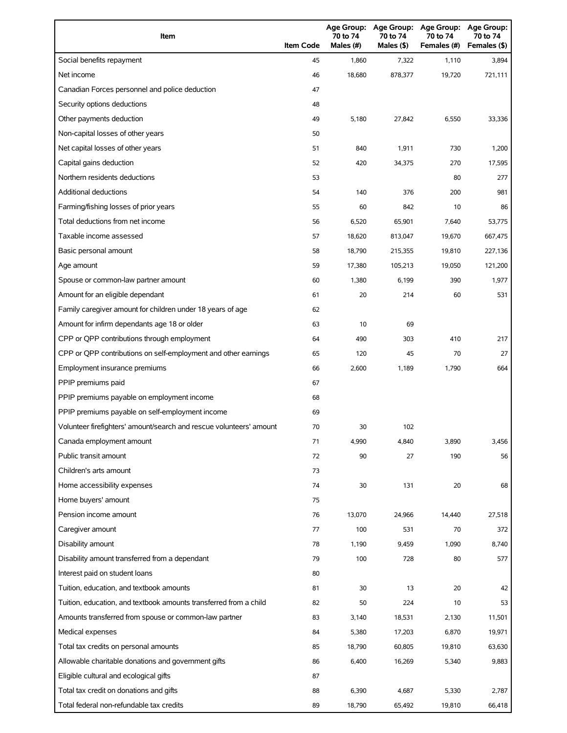| Item                                                                | <b>Item Code</b> | Age Group:<br>70 to 74<br>Males (#) | <b>Age Group:</b><br>70 to 74<br>Males (\$) | <b>Age Group:</b><br>70 to 74<br>Females (#) | <b>Age Group:</b><br>70 to 74<br>Females (\$) |
|---------------------------------------------------------------------|------------------|-------------------------------------|---------------------------------------------|----------------------------------------------|-----------------------------------------------|
| Social benefits repayment                                           | 45               | 1,860                               | 7,322                                       | 1,110                                        | 3,894                                         |
| Net income                                                          | 46               | 18,680                              | 878,377                                     | 19,720                                       | 721,111                                       |
| Canadian Forces personnel and police deduction                      | 47               |                                     |                                             |                                              |                                               |
| Security options deductions                                         | 48               |                                     |                                             |                                              |                                               |
| Other payments deduction                                            | 49               | 5,180                               | 27,842                                      | 6,550                                        | 33,336                                        |
| Non-capital losses of other years                                   | 50               |                                     |                                             |                                              |                                               |
| Net capital losses of other years                                   | 51               | 840                                 | 1,911                                       | 730                                          | 1,200                                         |
| Capital gains deduction                                             | 52               | 420                                 | 34,375                                      | 270                                          | 17,595                                        |
| Northern residents deductions                                       | 53               |                                     |                                             | 80                                           | 277                                           |
| Additional deductions                                               | 54               | 140                                 | 376                                         | 200                                          | 981                                           |
| Farming/fishing losses of prior years                               | 55               | 60                                  | 842                                         | 10                                           | 86                                            |
| Total deductions from net income                                    | 56               | 6,520                               | 65,901                                      | 7,640                                        | 53,775                                        |
| Taxable income assessed                                             | 57               | 18,620                              | 813,047                                     | 19,670                                       | 667,475                                       |
| Basic personal amount                                               | 58               | 18,790                              | 215,355                                     | 19,810                                       | 227,136                                       |
| Age amount                                                          | 59               | 17,380                              | 105,213                                     | 19,050                                       | 121,200                                       |
| Spouse or common-law partner amount                                 | 60               | 1,380                               | 6,199                                       | 390                                          | 1,977                                         |
| Amount for an eligible dependant                                    | 61               | 20                                  | 214                                         | 60                                           | 531                                           |
| Family caregiver amount for children under 18 years of age          | 62               |                                     |                                             |                                              |                                               |
| Amount for infirm dependants age 18 or older                        | 63               | 10                                  | 69                                          |                                              |                                               |
| CPP or QPP contributions through employment                         | 64               | 490                                 | 303                                         | 410                                          | 217                                           |
| CPP or QPP contributions on self-employment and other earnings      | 65               | 120                                 | 45                                          | 70                                           | 27                                            |
| Employment insurance premiums                                       | 66               | 2,600                               | 1,189                                       | 1,790                                        | 664                                           |
| PPIP premiums paid                                                  | 67               |                                     |                                             |                                              |                                               |
| PPIP premiums payable on employment income                          | 68               |                                     |                                             |                                              |                                               |
| PPIP premiums payable on self-employment income                     | 69               |                                     |                                             |                                              |                                               |
| Volunteer firefighters' amount/search and rescue volunteers' amount | 70               | 30                                  | 102                                         |                                              |                                               |
| Canada employment amount                                            | 71               | 4,990                               | 4,840                                       | 3,890                                        | 3,456                                         |
| Public transit amount                                               | 72               | 90                                  | 27                                          | 190                                          | 56                                            |
| Children's arts amount                                              | 73               |                                     |                                             |                                              |                                               |
| Home accessibility expenses                                         | 74               | 30                                  | 131                                         | 20                                           | 68                                            |
| Home buyers' amount                                                 | 75               |                                     |                                             |                                              |                                               |
| Pension income amount                                               | 76               | 13,070                              | 24,966                                      | 14,440                                       | 27,518                                        |
| Caregiver amount                                                    | 77               | 100                                 | 531                                         | 70                                           | 372                                           |
| Disability amount                                                   | 78               | 1,190                               | 9,459                                       | 1,090                                        | 8,740                                         |
| Disability amount transferred from a dependant                      | 79               | 100                                 | 728                                         | 80                                           | 577                                           |
| Interest paid on student loans                                      | 80               |                                     |                                             |                                              |                                               |
| Tuition, education, and textbook amounts                            | 81               | 30                                  | 13                                          | 20                                           | 42                                            |
| Tuition, education, and textbook amounts transferred from a child   | 82               | 50                                  | 224                                         | 10                                           | 53                                            |
| Amounts transferred from spouse or common-law partner               | 83               | 3,140                               | 18,531                                      | 2,130                                        | 11,501                                        |
| Medical expenses                                                    | 84               | 5,380                               | 17,203                                      | 6,870                                        | 19,971                                        |
| Total tax credits on personal amounts                               | 85               | 18,790                              | 60,805                                      | 19,810                                       | 63,630                                        |
| Allowable charitable donations and government gifts                 | 86               | 6,400                               | 16,269                                      | 5,340                                        | 9,883                                         |
| Eligible cultural and ecological gifts                              | 87               |                                     |                                             |                                              |                                               |
| Total tax credit on donations and gifts                             | 88               | 6,390                               | 4,687                                       | 5,330                                        | 2,787                                         |
| Total federal non-refundable tax credits                            | 89               | 18,790                              | 65,492                                      | 19,810                                       | 66,418                                        |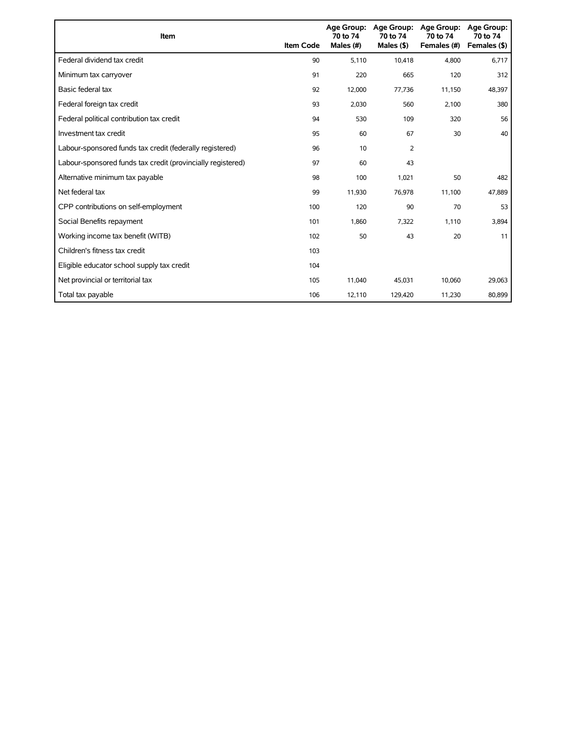| Item                                                        | <b>Item Code</b> | 70 to 74<br>Males (#) | Age Group: Age Group:<br>70 to 74<br>Males $($ \$) | <b>Age Group:</b><br>70 to 74<br>Females (#) | Age Group:<br>70 to 74<br>Females (\$) |
|-------------------------------------------------------------|------------------|-----------------------|----------------------------------------------------|----------------------------------------------|----------------------------------------|
| Federal dividend tax credit                                 | 90               | 5,110                 | 10,418                                             | 4,800                                        | 6,717                                  |
| Minimum tax carryover                                       | 91               | 220                   | 665                                                | 120                                          | 312                                    |
| Basic federal tax                                           | 92               | 12,000                | 77,736                                             | 11,150                                       | 48,397                                 |
| Federal foreign tax credit                                  | 93               | 2,030                 | 560                                                | 2,100                                        | 380                                    |
| Federal political contribution tax credit                   | 94               | 530                   | 109                                                | 320                                          | 56                                     |
| Investment tax credit                                       | 95               | 60                    | 67                                                 | 30                                           | 40                                     |
| Labour-sponsored funds tax credit (federally registered)    | 96               | 10                    | 2                                                  |                                              |                                        |
| Labour-sponsored funds tax credit (provincially registered) | 97               | 60                    | 43                                                 |                                              |                                        |
| Alternative minimum tax payable                             | 98               | 100                   | 1,021                                              | 50                                           | 482                                    |
| Net federal tax                                             | 99               | 11,930                | 76,978                                             | 11,100                                       | 47,889                                 |
| CPP contributions on self-employment                        | 100              | 120                   | 90                                                 | 70                                           | 53                                     |
| Social Benefits repayment                                   | 101              | 1,860                 | 7,322                                              | 1,110                                        | 3,894                                  |
| Working income tax benefit (WITB)                           | 102              | 50                    | 43                                                 | 20                                           | 11                                     |
| Children's fitness tax credit                               | 103              |                       |                                                    |                                              |                                        |
| Eligible educator school supply tax credit                  | 104              |                       |                                                    |                                              |                                        |
| Net provincial or territorial tax                           | 105              | 11,040                | 45,031                                             | 10,060                                       | 29,063                                 |
| Total tax payable                                           | 106              | 12,110                | 129,420                                            | 11,230                                       | 80,899                                 |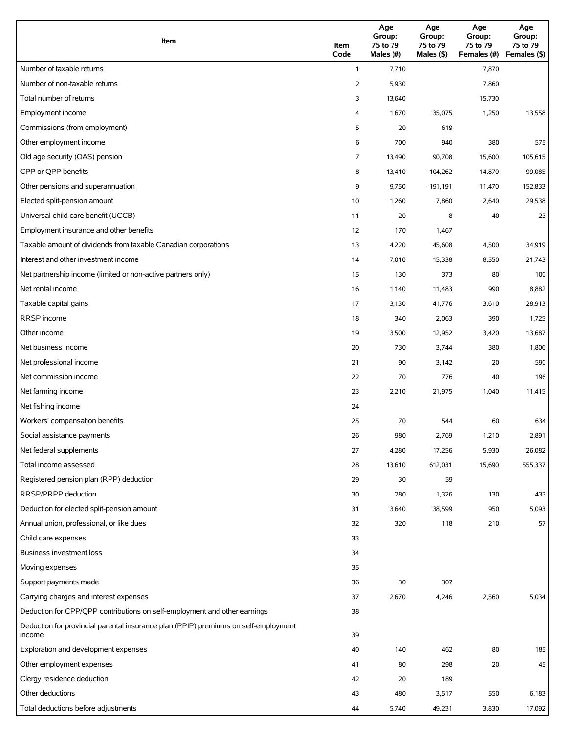| Item                                                                                          | Item<br>Code | Age<br>Group:<br>75 to 79<br>Males (#) | Age<br>Group:<br>75 to 79<br>Males (\$) | Age<br>Group:<br>75 to 79<br>Females (#) | Age<br>Group:<br>75 to 79<br>Females (\$) |
|-----------------------------------------------------------------------------------------------|--------------|----------------------------------------|-----------------------------------------|------------------------------------------|-------------------------------------------|
| Number of taxable returns                                                                     | $\mathbf{1}$ | 7,710                                  |                                         | 7,870                                    |                                           |
| Number of non-taxable returns                                                                 | 2            | 5,930                                  |                                         | 7,860                                    |                                           |
| Total number of returns                                                                       | 3            | 13,640                                 |                                         | 15,730                                   |                                           |
| Employment income                                                                             | 4            | 1,670                                  | 35,075                                  | 1,250                                    | 13,558                                    |
| Commissions (from employment)                                                                 | 5            | 20                                     | 619                                     |                                          |                                           |
| Other employment income                                                                       | 6            | 700                                    | 940                                     | 380                                      | 575                                       |
| Old age security (OAS) pension                                                                | 7            | 13,490                                 | 90,708                                  | 15,600                                   | 105,615                                   |
| CPP or QPP benefits                                                                           | 8            | 13,410                                 | 104,262                                 | 14,870                                   | 99,085                                    |
| Other pensions and superannuation                                                             | 9            | 9,750                                  | 191,191                                 | 11,470                                   | 152,833                                   |
| Elected split-pension amount                                                                  | 10           | 1,260                                  | 7,860                                   | 2,640                                    | 29,538                                    |
| Universal child care benefit (UCCB)                                                           | 11           | 20                                     | 8                                       | 40                                       | 23                                        |
| Employment insurance and other benefits                                                       | 12           | 170                                    | 1,467                                   |                                          |                                           |
| Taxable amount of dividends from taxable Canadian corporations                                | 13           | 4,220                                  | 45,608                                  | 4,500                                    | 34,919                                    |
| Interest and other investment income                                                          | 14           | 7,010                                  | 15,338                                  | 8,550                                    | 21,743                                    |
| Net partnership income (limited or non-active partners only)                                  | 15           | 130                                    | 373                                     | 80                                       | 100                                       |
| Net rental income                                                                             | 16           | 1,140                                  | 11,483                                  | 990                                      | 8,882                                     |
| Taxable capital gains                                                                         | 17           | 3,130                                  | 41,776                                  | 3,610                                    | 28,913                                    |
| <b>RRSP</b> income                                                                            | 18           | 340                                    | 2,063                                   | 390                                      | 1,725                                     |
| Other income                                                                                  | 19           | 3,500                                  | 12,952                                  | 3,420                                    | 13,687                                    |
| Net business income                                                                           | 20           | 730                                    | 3,744                                   | 380                                      | 1,806                                     |
| Net professional income                                                                       | 21           | 90                                     | 3,142                                   | 20                                       | 590                                       |
| Net commission income                                                                         | 22           | 70                                     | 776                                     | 40                                       | 196                                       |
| Net farming income                                                                            | 23           | 2,210                                  | 21,975                                  | 1,040                                    | 11,415                                    |
| Net fishing income                                                                            | 24           |                                        |                                         |                                          |                                           |
| Workers' compensation benefits                                                                | 25           | 70                                     | 544                                     | 60                                       | 634                                       |
| Social assistance payments                                                                    | 26           | 980                                    | 2,769                                   | 1,210                                    | 2,891                                     |
| Net federal supplements                                                                       | 27           | 4,280                                  | 17,256                                  | 5,930                                    | 26,082                                    |
| Total income assessed                                                                         | 28           | 13,610                                 | 612,031                                 | 15,690                                   | 555,337                                   |
| Registered pension plan (RPP) deduction                                                       | 29           | 30                                     | 59                                      |                                          |                                           |
| RRSP/PRPP deduction                                                                           | 30           | 280                                    | 1,326                                   | 130                                      | 433                                       |
| Deduction for elected split-pension amount                                                    | 31           | 3,640                                  | 38,599                                  | 950                                      | 5,093                                     |
| Annual union, professional, or like dues                                                      | 32           | 320                                    | 118                                     | 210                                      | 57                                        |
| Child care expenses                                                                           | 33           |                                        |                                         |                                          |                                           |
| Business investment loss                                                                      | 34           |                                        |                                         |                                          |                                           |
| Moving expenses                                                                               | 35           |                                        |                                         |                                          |                                           |
| Support payments made                                                                         | 36           | 30                                     | 307                                     |                                          |                                           |
| Carrying charges and interest expenses                                                        | 37           | 2,670                                  | 4,246                                   | 2,560                                    | 5,034                                     |
| Deduction for CPP/QPP contributions on self-employment and other earnings                     | 38           |                                        |                                         |                                          |                                           |
| Deduction for provincial parental insurance plan (PPIP) premiums on self-employment<br>income | 39           |                                        |                                         |                                          |                                           |
| Exploration and development expenses                                                          | 40           | 140                                    | 462                                     | 80                                       | 185                                       |
| Other employment expenses                                                                     | 41           | 80                                     | 298                                     | 20                                       | 45                                        |
| Clergy residence deduction                                                                    | 42           | 20                                     | 189                                     |                                          |                                           |
| Other deductions                                                                              | 43           | 480                                    | 3,517                                   | 550                                      | 6,183                                     |
| Total deductions before adjustments                                                           | 44           | 5,740                                  | 49,231                                  | 3,830                                    | 17,092                                    |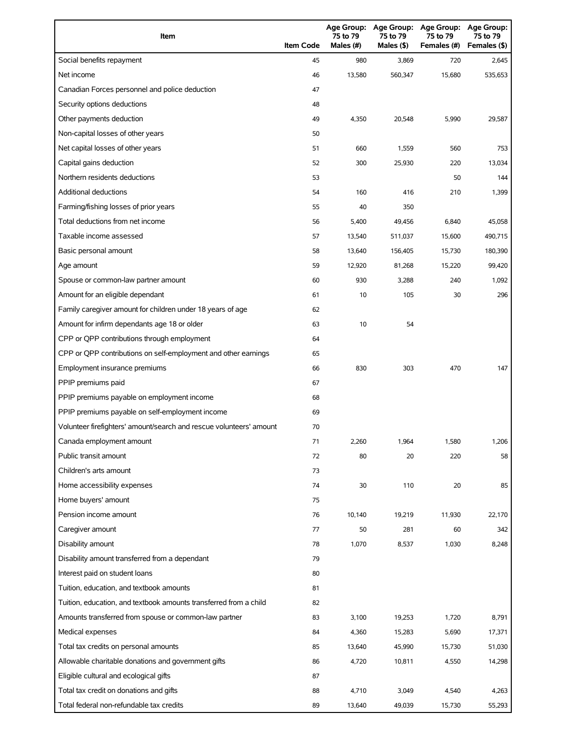| Item                                                                | <b>Item Code</b> | Age Group:<br>75 to 79<br>Males (#) | <b>Age Group:</b><br>75 to 79<br>Males (\$) | <b>Age Group:</b><br>75 to 79<br>Females (#) | <b>Age Group:</b><br>75 to 79<br>Females (\$) |
|---------------------------------------------------------------------|------------------|-------------------------------------|---------------------------------------------|----------------------------------------------|-----------------------------------------------|
| Social benefits repayment                                           | 45               | 980                                 | 3,869                                       | 720                                          | 2,645                                         |
| Net income                                                          | 46               | 13,580                              | 560,347                                     | 15,680                                       | 535,653                                       |
| Canadian Forces personnel and police deduction                      | 47               |                                     |                                             |                                              |                                               |
| Security options deductions                                         | 48               |                                     |                                             |                                              |                                               |
| Other payments deduction                                            | 49               | 4,350                               | 20,548                                      | 5,990                                        | 29,587                                        |
| Non-capital losses of other years                                   | 50               |                                     |                                             |                                              |                                               |
| Net capital losses of other years                                   | 51               | 660                                 | 1,559                                       | 560                                          | 753                                           |
| Capital gains deduction                                             | 52               | 300                                 | 25,930                                      | 220                                          | 13,034                                        |
| Northern residents deductions                                       | 53               |                                     |                                             | 50                                           | 144                                           |
| Additional deductions                                               | 54               | 160                                 | 416                                         | 210                                          | 1,399                                         |
| Farming/fishing losses of prior years                               | 55               | 40                                  | 350                                         |                                              |                                               |
| Total deductions from net income                                    | 56               | 5,400                               | 49,456                                      | 6,840                                        | 45,058                                        |
| Taxable income assessed                                             | 57               | 13,540                              | 511,037                                     | 15,600                                       | 490,715                                       |
| Basic personal amount                                               | 58               | 13,640                              | 156,405                                     | 15,730                                       | 180,390                                       |
| Age amount                                                          | 59               | 12,920                              | 81,268                                      | 15,220                                       | 99,420                                        |
| Spouse or common-law partner amount                                 | 60               | 930                                 | 3,288                                       | 240                                          | 1,092                                         |
| Amount for an eligible dependant                                    | 61               | 10                                  | 105                                         | 30                                           | 296                                           |
| Family caregiver amount for children under 18 years of age          | 62               |                                     |                                             |                                              |                                               |
| Amount for infirm dependants age 18 or older                        | 63               | 10                                  | 54                                          |                                              |                                               |
| CPP or QPP contributions through employment                         | 64               |                                     |                                             |                                              |                                               |
| CPP or QPP contributions on self-employment and other earnings      | 65               |                                     |                                             |                                              |                                               |
| Employment insurance premiums                                       | 66               | 830                                 | 303                                         | 470                                          | 147                                           |
| PPIP premiums paid                                                  | 67               |                                     |                                             |                                              |                                               |
| PPIP premiums payable on employment income                          | 68               |                                     |                                             |                                              |                                               |
| PPIP premiums payable on self-employment income                     | 69               |                                     |                                             |                                              |                                               |
| Volunteer firefighters' amount/search and rescue volunteers' amount | 70               |                                     |                                             |                                              |                                               |
| Canada employment amount                                            | 71               | 2,260                               | 1,964                                       | 1,580                                        | 1,206                                         |
| Public transit amount                                               | 72               | 80                                  | 20                                          | 220                                          | 58                                            |
| Children's arts amount                                              | 73               |                                     |                                             |                                              |                                               |
| Home accessibility expenses                                         | 74               | 30                                  | 110                                         | 20                                           | 85                                            |
| Home buyers' amount                                                 | 75               |                                     |                                             |                                              |                                               |
| Pension income amount                                               | 76               | 10,140                              | 19,219                                      | 11,930                                       | 22,170                                        |
| Caregiver amount                                                    | 77               | 50                                  | 281                                         | 60                                           | 342                                           |
| Disability amount                                                   | 78               | 1,070                               | 8,537                                       | 1,030                                        | 8,248                                         |
| Disability amount transferred from a dependant                      | 79               |                                     |                                             |                                              |                                               |
| Interest paid on student loans                                      | 80               |                                     |                                             |                                              |                                               |
| Tuition, education, and textbook amounts                            | 81               |                                     |                                             |                                              |                                               |
| Tuition, education, and textbook amounts transferred from a child   | 82               |                                     |                                             |                                              |                                               |
| Amounts transferred from spouse or common-law partner               | 83               | 3,100                               | 19,253                                      | 1,720                                        | 8,791                                         |
| Medical expenses                                                    | 84               | 4,360                               | 15,283                                      | 5,690                                        | 17,371                                        |
| Total tax credits on personal amounts                               | 85               | 13,640                              | 45,990                                      | 15,730                                       | 51,030                                        |
| Allowable charitable donations and government gifts                 | 86               | 4,720                               | 10,811                                      | 4,550                                        | 14,298                                        |
| Eligible cultural and ecological gifts                              | 87               |                                     |                                             |                                              |                                               |
| Total tax credit on donations and gifts                             | 88               | 4,710                               | 3,049                                       | 4,540                                        | 4,263                                         |
| Total federal non-refundable tax credits                            | 89               | 13,640                              | 49,039                                      | 15,730                                       | 55,293                                        |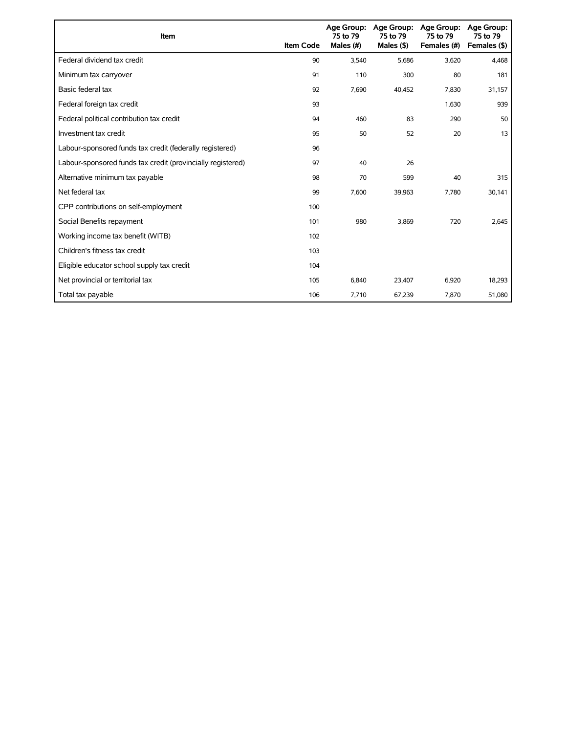| Item                                                        | <b>Item Code</b> | 75 to 79<br>Males (#) | Age Group: Age Group:<br>75 to 79<br>Males $($ \$) | <b>Age Group:</b><br>75 to 79<br>Females (#) | <b>Age Group:</b><br>75 to 79<br>Females (\$) |
|-------------------------------------------------------------|------------------|-----------------------|----------------------------------------------------|----------------------------------------------|-----------------------------------------------|
| Federal dividend tax credit                                 | 90               | 3,540                 | 5,686                                              | 3,620                                        | 4,468                                         |
| Minimum tax carryover                                       | 91               | 110                   | 300                                                | 80                                           | 181                                           |
| Basic federal tax                                           | 92               | 7,690                 | 40,452                                             | 7,830                                        | 31,157                                        |
| Federal foreign tax credit                                  | 93               |                       |                                                    | 1,630                                        | 939                                           |
| Federal political contribution tax credit                   | 94               | 460                   | 83                                                 | 290                                          | 50                                            |
| Investment tax credit                                       | 95               | 50                    | 52                                                 | 20                                           | 13                                            |
| Labour-sponsored funds tax credit (federally registered)    | 96               |                       |                                                    |                                              |                                               |
| Labour-sponsored funds tax credit (provincially registered) | 97               | 40                    | 26                                                 |                                              |                                               |
| Alternative minimum tax payable                             | 98               | 70                    | 599                                                | 40                                           | 315                                           |
| Net federal tax                                             | 99               | 7,600                 | 39,963                                             | 7,780                                        | 30,141                                        |
| CPP contributions on self-employment                        | 100              |                       |                                                    |                                              |                                               |
| Social Benefits repayment                                   | 101              | 980                   | 3,869                                              | 720                                          | 2,645                                         |
| Working income tax benefit (WITB)                           | 102              |                       |                                                    |                                              |                                               |
| Children's fitness tax credit                               | 103              |                       |                                                    |                                              |                                               |
| Eligible educator school supply tax credit                  | 104              |                       |                                                    |                                              |                                               |
| Net provincial or territorial tax                           | 105              | 6,840                 | 23,407                                             | 6,920                                        | 18,293                                        |
| Total tax payable                                           | 106              | 7,710                 | 67,239                                             | 7,870                                        | 51,080                                        |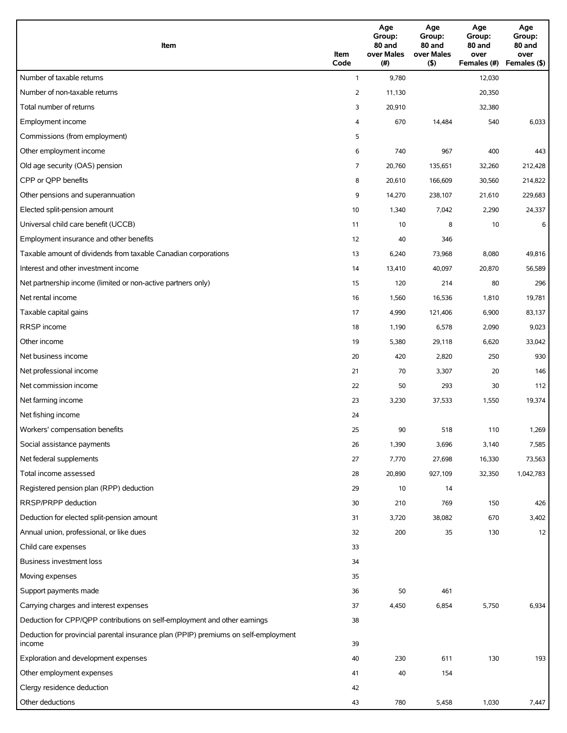| Item                                                                                          | Item<br>Code | Age<br>Group:<br>80 and<br>over Males<br>(# ) | Age<br>Group:<br>80 and<br>over Males<br>(5) | Age<br>Group:<br>80 and<br>over<br>Females (#) | Age<br>Group:<br>80 and<br>over<br>Females (\$) |
|-----------------------------------------------------------------------------------------------|--------------|-----------------------------------------------|----------------------------------------------|------------------------------------------------|-------------------------------------------------|
| Number of taxable returns                                                                     | $\mathbf{1}$ | 9,780                                         |                                              | 12,030                                         |                                                 |
| Number of non-taxable returns                                                                 | 2            | 11,130                                        |                                              | 20,350                                         |                                                 |
| Total number of returns                                                                       | 3            | 20,910                                        |                                              | 32,380                                         |                                                 |
| Employment income                                                                             | 4            | 670                                           | 14,484                                       | 540                                            | 6,033                                           |
| Commissions (from employment)                                                                 | 5            |                                               |                                              |                                                |                                                 |
| Other employment income                                                                       | 6            | 740                                           | 967                                          | 400                                            | 443                                             |
| Old age security (OAS) pension                                                                | 7            | 20,760                                        | 135,651                                      | 32,260                                         | 212,428                                         |
| CPP or QPP benefits                                                                           | 8            | 20,610                                        | 166,609                                      | 30,560                                         | 214,822                                         |
| Other pensions and superannuation                                                             | 9            | 14,270                                        | 238,107                                      | 21,610                                         | 229,683                                         |
| Elected split-pension amount                                                                  | 10           | 1,340                                         | 7,042                                        | 2,290                                          | 24,337                                          |
| Universal child care benefit (UCCB)                                                           | 11           | 10                                            | 8                                            | 10                                             | 6                                               |
| Employment insurance and other benefits                                                       | 12           | 40                                            | 346                                          |                                                |                                                 |
| Taxable amount of dividends from taxable Canadian corporations                                | 13           | 6,240                                         | 73,968                                       | 8,080                                          | 49,816                                          |
| Interest and other investment income                                                          | 14           | 13,410                                        | 40,097                                       | 20,870                                         | 56,589                                          |
| Net partnership income (limited or non-active partners only)                                  | 15           | 120                                           | 214                                          | 80                                             | 296                                             |
| Net rental income                                                                             | 16           | 1,560                                         | 16,536                                       | 1,810                                          | 19,781                                          |
| Taxable capital gains                                                                         | 17           | 4,990                                         | 121,406                                      | 6,900                                          | 83,137                                          |
| RRSP income                                                                                   | 18           | 1,190                                         | 6,578                                        | 2,090                                          | 9,023                                           |
| Other income                                                                                  | 19           | 5,380                                         | 29,118                                       | 6,620                                          | 33,042                                          |
| Net business income                                                                           | 20           | 420                                           | 2,820                                        | 250                                            | 930                                             |
| Net professional income                                                                       | 21           | 70                                            | 3,307                                        | 20                                             | 146                                             |
| Net commission income                                                                         | 22           | 50                                            | 293                                          | 30                                             | 112                                             |
| Net farming income                                                                            | 23           | 3,230                                         | 37,533                                       | 1,550                                          | 19,374                                          |
| Net fishing income                                                                            | 24           |                                               |                                              |                                                |                                                 |
| Workers' compensation benefits                                                                | 25           | 90                                            | 518                                          | 110                                            | 1,269                                           |
| Social assistance payments                                                                    | 26           | 1,390                                         | 3,696                                        | 3,140                                          | 7,585                                           |
| Net federal supplements                                                                       | 27           | 7,770                                         | 27,698                                       | 16,330                                         | 73,563                                          |
| Total income assessed                                                                         | 28           | 20,890                                        | 927,109                                      | 32,350                                         | 1,042,783                                       |
| Registered pension plan (RPP) deduction                                                       | 29           | 10                                            | 14                                           |                                                |                                                 |
| <b>RRSP/PRPP</b> deduction                                                                    | 30           | 210                                           | 769                                          | 150                                            | 426                                             |
| Deduction for elected split-pension amount                                                    | 31           | 3,720                                         | 38,082                                       | 670                                            | 3,402                                           |
| Annual union, professional, or like dues                                                      | 32           | 200                                           | 35                                           | 130                                            | 12                                              |
| Child care expenses                                                                           | 33           |                                               |                                              |                                                |                                                 |
| Business investment loss                                                                      | 34           |                                               |                                              |                                                |                                                 |
| Moving expenses                                                                               | 35           |                                               |                                              |                                                |                                                 |
| Support payments made                                                                         | 36           | 50                                            | 461                                          |                                                |                                                 |
| Carrying charges and interest expenses                                                        | 37           | 4,450                                         | 6,854                                        | 5,750                                          | 6,934                                           |
| Deduction for CPP/QPP contributions on self-employment and other earnings                     | 38           |                                               |                                              |                                                |                                                 |
| Deduction for provincial parental insurance plan (PPIP) premiums on self-employment<br>income | 39           |                                               |                                              |                                                |                                                 |
| Exploration and development expenses                                                          | 40           | 230                                           | 611                                          | 130                                            | 193                                             |
| Other employment expenses                                                                     | 41           | 40                                            | 154                                          |                                                |                                                 |
| Clergy residence deduction                                                                    | 42           |                                               |                                              |                                                |                                                 |
| Other deductions                                                                              | 43           | 780                                           | 5,458                                        | 1,030                                          | 7,447                                           |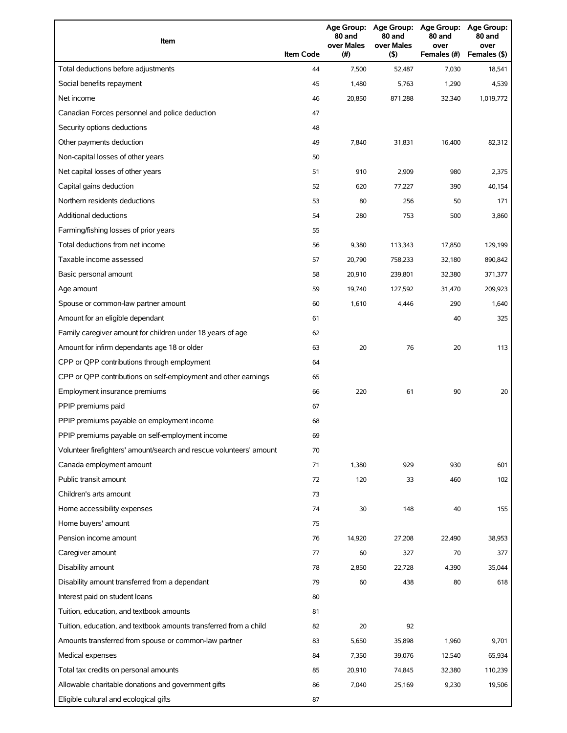| Item                                                                | <b>Item Code</b> | 80 and<br>over Males<br>(# ) | 80 and<br>over Males<br>(5) | Age Group: Age Group: Age Group:<br>80 and<br>over<br>Females (#) | <b>Age Group:</b><br>80 and<br>over<br>Females (\$) |
|---------------------------------------------------------------------|------------------|------------------------------|-----------------------------|-------------------------------------------------------------------|-----------------------------------------------------|
| Total deductions before adjustments                                 | 44               | 7,500                        | 52,487                      | 7,030                                                             | 18,541                                              |
| Social benefits repayment                                           | 45               | 1,480                        | 5,763                       | 1,290                                                             | 4,539                                               |
| Net income                                                          | 46               | 20,850                       | 871,288                     | 32,340                                                            | 1,019,772                                           |
| Canadian Forces personnel and police deduction                      | 47               |                              |                             |                                                                   |                                                     |
| Security options deductions                                         | 48               |                              |                             |                                                                   |                                                     |
| Other payments deduction                                            | 49               | 7,840                        | 31,831                      | 16,400                                                            | 82,312                                              |
| Non-capital losses of other years                                   | 50               |                              |                             |                                                                   |                                                     |
| Net capital losses of other years                                   | 51               | 910                          | 2,909                       | 980                                                               | 2,375                                               |
| Capital gains deduction                                             | 52               | 620                          | 77,227                      | 390                                                               | 40,154                                              |
| Northern residents deductions                                       | 53               | 80                           | 256                         | 50                                                                | 171                                                 |
| Additional deductions                                               | 54               | 280                          | 753                         | 500                                                               | 3,860                                               |
| Farming/fishing losses of prior years                               | 55               |                              |                             |                                                                   |                                                     |
| Total deductions from net income                                    | 56               | 9,380                        | 113,343                     | 17,850                                                            | 129,199                                             |
| Taxable income assessed                                             | 57               | 20,790                       | 758,233                     | 32,180                                                            | 890,842                                             |
| Basic personal amount                                               | 58               | 20,910                       | 239,801                     | 32,380                                                            | 371,377                                             |
| Age amount                                                          | 59               | 19,740                       | 127,592                     | 31,470                                                            | 209,923                                             |
| Spouse or common-law partner amount                                 | 60               | 1,610                        | 4,446                       | 290                                                               | 1,640                                               |
| Amount for an eligible dependant                                    | 61               |                              |                             | 40                                                                | 325                                                 |
| Family caregiver amount for children under 18 years of age          | 62               |                              |                             |                                                                   |                                                     |
| Amount for infirm dependants age 18 or older                        | 63               | 20                           | 76                          | 20                                                                | 113                                                 |
| CPP or QPP contributions through employment                         | 64               |                              |                             |                                                                   |                                                     |
| CPP or QPP contributions on self-employment and other earnings      | 65               |                              |                             |                                                                   |                                                     |
| Employment insurance premiums                                       | 66               | 220                          | 61                          | 90                                                                | 20                                                  |
| PPIP premiums paid                                                  | 67               |                              |                             |                                                                   |                                                     |
| PPIP premiums payable on employment income                          | 68               |                              |                             |                                                                   |                                                     |
| PPIP premiums payable on self-employment income                     | 69               |                              |                             |                                                                   |                                                     |
| Volunteer firefighters' amount/search and rescue volunteers' amount | 70               |                              |                             |                                                                   |                                                     |
| Canada employment amount                                            | 71               | 1,380                        | 929                         | 930                                                               | 601                                                 |
| Public transit amount                                               | 72               | 120                          | 33                          | 460                                                               | 102                                                 |
| Children's arts amount                                              | 73               |                              |                             |                                                                   |                                                     |
| Home accessibility expenses                                         | 74               | 30                           | 148                         | 40                                                                | 155                                                 |
| Home buyers' amount                                                 | 75               |                              |                             |                                                                   |                                                     |
| Pension income amount                                               | 76               | 14,920                       | 27,208                      | 22,490                                                            | 38,953                                              |
| Caregiver amount                                                    | 77               | 60                           | 327                         | 70                                                                | 377                                                 |
| Disability amount                                                   | 78               | 2,850                        | 22,728                      | 4,390                                                             | 35,044                                              |
| Disability amount transferred from a dependant                      | 79               | 60                           | 438                         | 80                                                                | 618                                                 |
| Interest paid on student loans                                      | 80               |                              |                             |                                                                   |                                                     |
| Tuition, education, and textbook amounts                            | 81               |                              |                             |                                                                   |                                                     |
| Tuition, education, and textbook amounts transferred from a child   | 82               | 20                           | 92                          |                                                                   |                                                     |
| Amounts transferred from spouse or common-law partner               | 83               | 5,650                        | 35,898                      | 1,960                                                             | 9,701                                               |
| Medical expenses                                                    | 84               | 7,350                        | 39,076                      | 12,540                                                            | 65,934                                              |
| Total tax credits on personal amounts                               | 85               | 20,910                       | 74,845                      | 32,380                                                            | 110,239                                             |
| Allowable charitable donations and government gifts                 | 86               | 7,040                        | 25,169                      | 9,230                                                             | 19,506                                              |
| Eligible cultural and ecological gifts                              | 87               |                              |                             |                                                                   |                                                     |